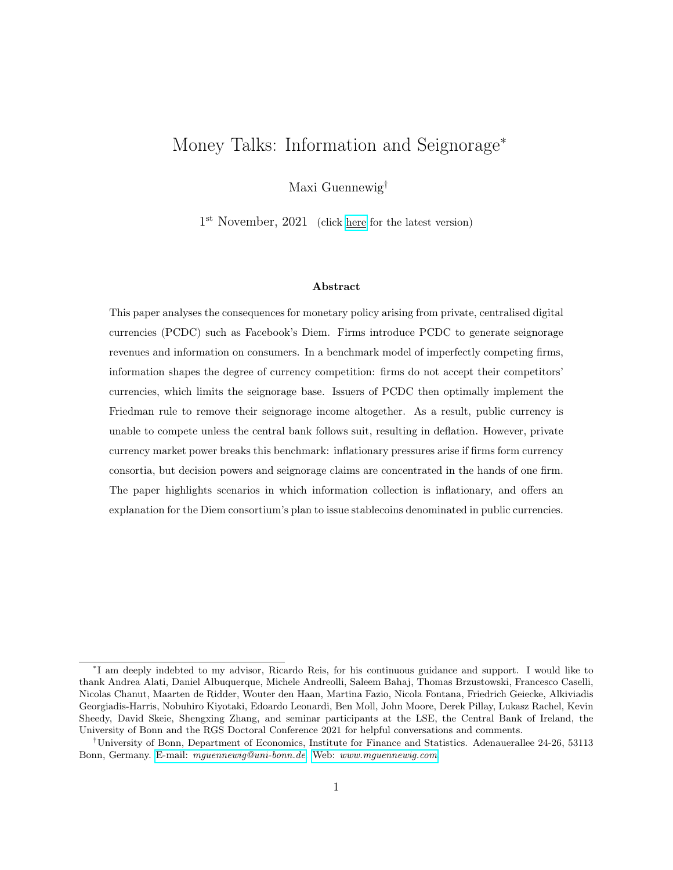# Money Talks: Information and Seignorage<sup>∗</sup>

Maxi Guennewig†

1<sup>st</sup> November, 2021 (click [here](https://www.dropbox.com/s/r2s3wobsxdlylxy/JMP_Guennewig.pdf?dl=0) for the latest version)

#### Abstract

This paper analyses the consequences for monetary policy arising from private, centralised digital currencies (PCDC) such as Facebook's Diem. Firms introduce PCDC to generate seignorage revenues and information on consumers. In a benchmark model of imperfectly competing firms, information shapes the degree of currency competition: firms do not accept their competitors' currencies, which limits the seignorage base. Issuers of PCDC then optimally implement the Friedman rule to remove their seignorage income altogether. As a result, public currency is unable to compete unless the central bank follows suit, resulting in deflation. However, private currency market power breaks this benchmark: inflationary pressures arise if firms form currency consortia, but decision powers and seignorage claims are concentrated in the hands of one firm. The paper highlights scenarios in which information collection is inflationary, and offers an explanation for the Diem consortium's plan to issue stablecoins denominated in public currencies.

<sup>∗</sup> I am deeply indebted to my advisor, Ricardo Reis, for his continuous guidance and support. I would like to thank Andrea Alati, Daniel Albuquerque, Michele Andreolli, Saleem Bahaj, Thomas Brzustowski, Francesco Caselli, Nicolas Chanut, Maarten de Ridder, Wouter den Haan, Martina Fazio, Nicola Fontana, Friedrich Geiecke, Alkiviadis Georgiadis-Harris, Nobuhiro Kiyotaki, Edoardo Leonardi, Ben Moll, John Moore, Derek Pillay, Lukasz Rachel, Kevin Sheedy, David Skeie, Shengxing Zhang, and seminar participants at the LSE, the Central Bank of Ireland, the University of Bonn and the RGS Doctoral Conference 2021 for helpful conversations and comments.

<sup>†</sup>University of Bonn, Department of Economics, Institute for Finance and Statistics. Adenauerallee 24-26, 53113 Bonn, Germany. E-mail: [mguennewig@uni-bonn.de](mailto:mguennewig@uni-bonn.de). Web: <www.mguennewig.com>.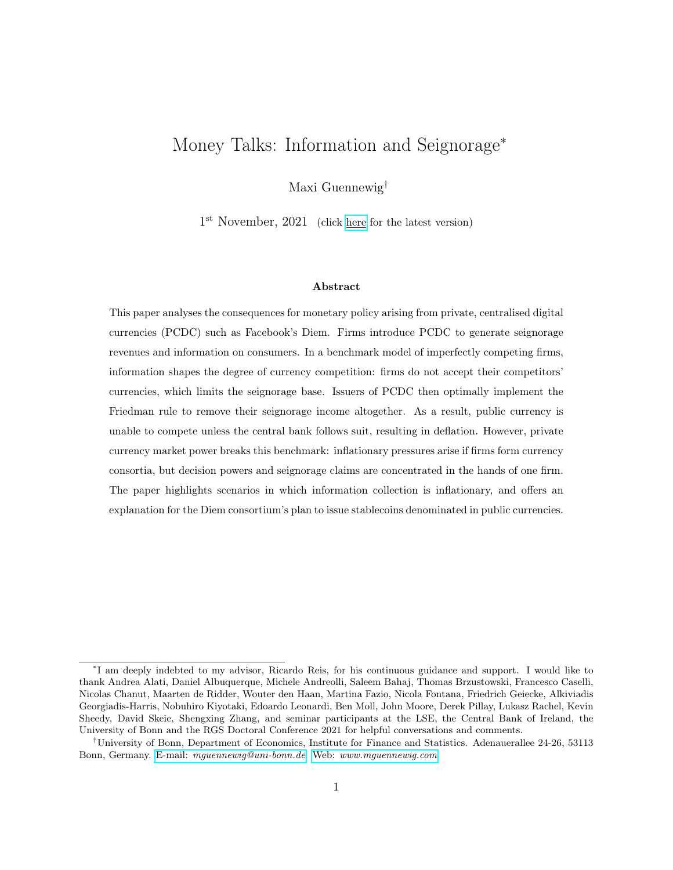# 1 Introduction

The last decade has seen large-scale innovation in the realm of digital currencies. The most prominent example is Bitcoin, a private, decentralised digital currency (PDDC) for which transactions are verified using cryptographic technologies, and which has been issued in large amounts. Not yet in existence but already the subject of research and discussion are central bank digital currencies (CBDC), to be issued by monetary authorities and complementing banknotes, coins and bank reserves. This paper discusses a third type of digital currency: private, centralised digital currencies (PCDC) issued and operationally managed by firms or groups of firms that produce consumption goods. With the announcement of Libra—now renamed Diem and to be issued by a consortium of 100 firms lead by Facebook—they are perceived as a serious rival to central bank currency in the future. With over a billion users of Alibaba's Alipay and Tencent's WeChat Pay each, they are already much more important in number of transactions than Bitcoin.<sup>1</sup>

Unlike decentralised digital currencies, PCDC do not offer anonymity. The owner of the technology knows the identity of the consumer and verifies transactions centrally. The collected transaction data have great value in understanding consumer tastes, raising the profits of the seller. Therefore, introducing a centralised digital currency brings one benefit: it generates information rents. Unlike CBDC, PCDC generate further income that stays in private hands and is not rebated to the fiscal authorities. Issuing zero-interest currency backed by interest-paying assets, the firms obtain a second benefit: seignorage revenues. This paper studies how these two benefits affect the issuance of PCDC. It also studies their effect on monetary policy, both private and public, once the PCDC is widely used.

To this end, I develop a benchmark model in which the introduction of a PCDC endangers the central bank's policy autonomy. Building towards this benchmark, I first introduce a partial equilib-

<sup>1</sup>Diem is clearly designed as a currency as users will hold tokens in their digital wallets. These tokens can be exchanged for other currencies at the prevailing exchange rate. However, Alipay and WeChat Pay have features of both currencies and payment technologies which simply access bank accounts. On the one hand, users can hold tokens in their digital wallets. On the other hand, when making payments using the app, users can also debit their bank accounts. In this case, Alipay and WeChat Pay resemble payment technologies such as debit cards, rather than currencies. Furthermore, the value of Alipay and WeChat Pay tokens is pegged one-for-one to the RMB. The results of the model hold if two conditions are met: tokens are used as media of exchange when purchasing consumption goods; and the issuer of tokens obtains seignorage revenues. Both of these conditions are met for Alipay and WeChat Pay tokens. However, heavy government regulation—discussed in Section 6—affects the degree to which such technologies compete with government currency.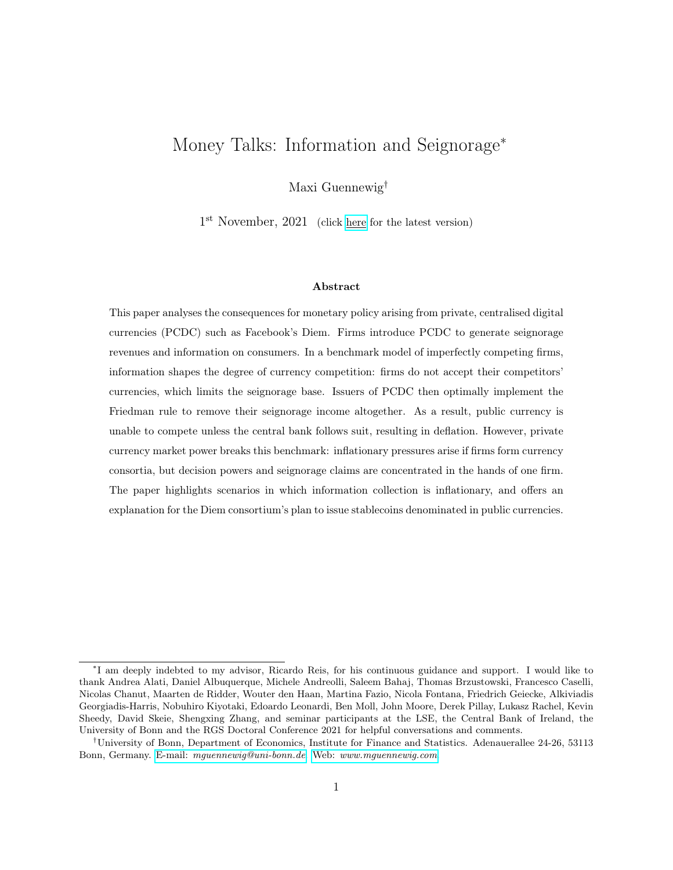rium framework of imperfect competition with information frictions. Consumers value consumption heterogeneously, but their types and purchases are unobservable initially. Firms—best thought of as vertically-integrated platforms, conglomerates or firm consortia which supply the entire range of consumption goods—can only identify consumers after introducing a payment technology that generates transaction data. The model thus contains a notion of information based on past purchasing behaviour. Furthermore, firms have market power. Consumers are subject to search frictions and must engage in directed, sequential search for price offers in the spirit of Diamond (1971). As a result, firms charge prices above marginal costs and use information to attract the most profitable customers.

The paper then develops a general equilibrium framework which fully nests the partial equilibrium model. The payment technology is modelled as money: consumers face a cash-in-advance constraint following Lucas and Stokey (1987), forcing them to hold currency corresponding to their consumption expenditure. The government issues public currency. Firms pay a fixed cost to introduce a private currency which brings two important benefits. First, usage of their currency generates information rents. As in the partial equilibrium model, the issuer learns their customers' types and exploits this information to increase profits. Second, firms obtain seignorage revenues proportional to their issued money when investing the proceeds into interest-bearing bonds.<sup>2</sup> Finally, I endogenise the firms' currency acceptance. Thus, the money in circulation could be public, private, or both.

The benchmark model yields two important results. First, information shapes the degree of currency competition: firms do not accept competitor currencies. Information breaks the firms' indifference between the currencies in circulation since transaction data help to profitably allocate scarce advertising capacity. The model's prediction is consistent with empirical observations from the world of digital platforms and payment technologies. In China, Alipay and WeChat Pay dominate the market for digital payments. However, customers of Alibaba cannot use WeChat Pay to purchase goods. Similarly, Amazon does not accept Google Pay and PayPal, which until recently belonged to eBay. Given the model's prediction and above observations, I anticipate that firms such as Amazon, Apple and Google will not accept Facebook's Diem in the future.

This first result—the limited acceptance of PCDC due to information collection—is key to arrive

<sup>2</sup>Private currencies are thus modelled as stablecoins.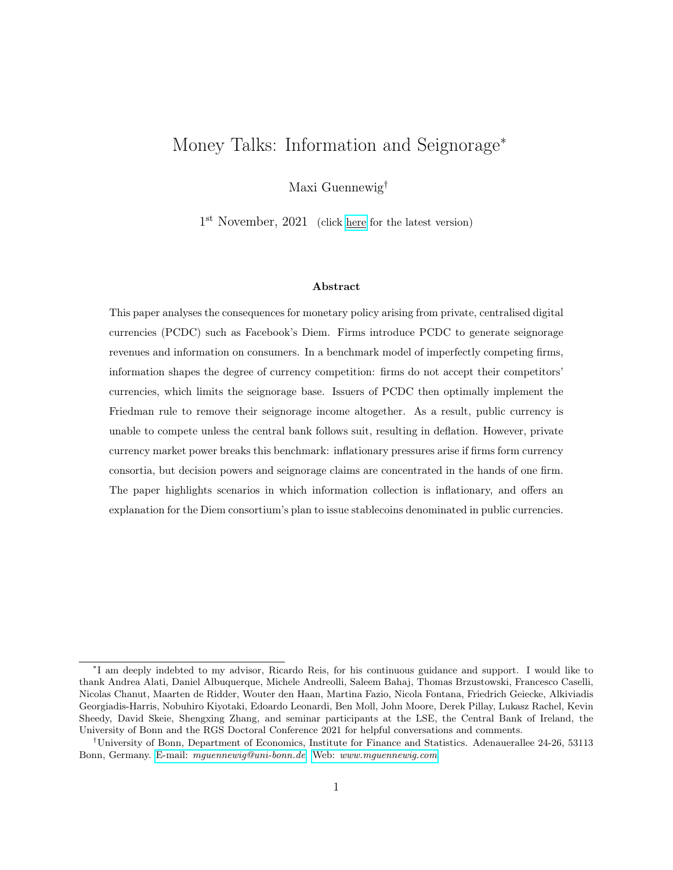at the second main result, characterising the effect of optimal private monetary policy on public monetary policy. In models of money as the medium of exchange, seignorage revenues correspond to a tax on consumption. Holding money is costly: it does not pay interest and therefore yields a lower return than bonds. The nominal interest rate of the economy can be interpreted as a tax rate. Since consumers only hold money to purchase consumption, real consumption expenditure forms the tax base. By the first result, information limits private currency holdings—and thus the seignorage tax base—to consumption expenditure with the issuing firm. As the recipient of seignorage revenues, this firm perfectly internalises the effect of the seignorage consumption tax. To maximise profits, it removes the seignorage tax altogether and sets interest rates in the private currency to zero. Optimally, the firm does not levy a tax on top of its profit-maximising price.

In the model, profit-maximising private monetary policy restricts public monetary policy, and vice versa. Consumers do not hold a currency if it is associated with a higher total price of consumption goods, combining the product price and the currency's seignorage tax. Thus, whenever interest rates in the public currency are larger than zero, competitor firms which only accept this public currency are unable to compete. Consumers do not demand public currency, and the central bank is forced to implement a zero interest rate policy. While limiting its policy autonomy, the introduction of private currency disciplines the central bank: implementing the Friedman rule of zero nominal interest rates improves welfare, and only the firms' market power prevents efficiency. However, while zero interest rates are desirable in a model of money as medium of exchange, they are associated with deflation—an outcome that may be undesirable for reasons outside of this model.<sup>3</sup>

Breaking the benchmark. The third main result is that inflationary pressures arise if firms form currency consortia, but decision powers and seignorage claims are concentrated in the hands of one firm. I further show that the optimal seignorage tax rate is strictly positive whenever the seignorage tax base generated by consortium member firms is sufficiently large. In this context, information induces inflationary pressures if it increases the size of private currency transactions on which the consortium leader can levy a tax. Another interpretation of this result is that the central bank enjoys full policy autonomy as the private currency becomes widely used in the economy. In fact, I show scenarios in which the public currency disciplines the private currency.

<sup>&</sup>lt;sup>3</sup>One example includes economies with nominal wage rigidities. The central bank may want to use inflation as a tool to reduce real wages in response to a negative productivity shock. See i.e. Uhlig and Xie (2021) for a model with nominal rigidities and multiple currencies.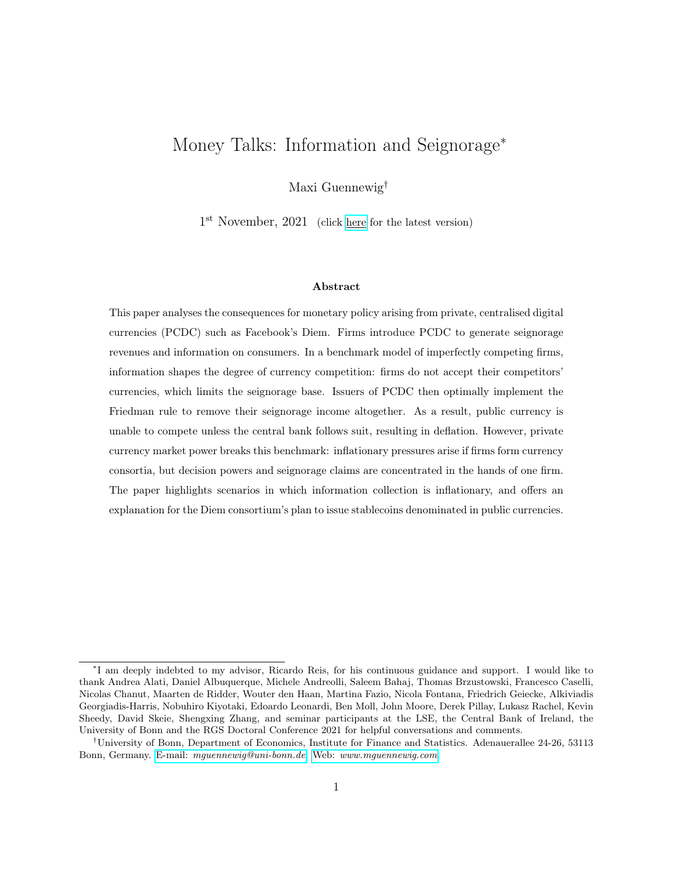Policies to escape the benchmark. In the extensions, I analyse whether particular policies allow the government to escape the privately-enforced zero interest rate environment. First, I consider interest-bearing CBDC, and find that the central bank indeed regains full autonomy as long as digital public currency yields the same return as bonds. I then evaluate a frequently made argument for the success of public currencies: governments can force firms to pay taxes in the public currency. In doing so, the government may indeed create demand for its currency and escape the zero interest rate environment. Interestingly, such a policy induces high levels of private currency inflation associated with welfare improvements. Firms deflate the value of their currency to obtain capital gains on public currency holdings while simultaneously compensating consumers with product discounts.

Contribution to the literature. This paper is the first to formally discuss private digital currencies as an information-generating device. It is also the first to discuss private, profit-maximising monetary policy conducted by producers of consumption goods and the arising consequences for monetary policy. The paper therefore primarily speaks to the literature on the digitalisation of money and currency competition.

Brunnermeier et al. (2019) discuss various aspects of the digitalisation of money. They describe, albeit without a model, how the introduction of digital currency areas helps promote platform cohesion and information collection. Central bank policy autonomy may be under pressure if public currencies lose their role as medium of exchange. In this work, I develop a formal model to endogenise the issuance of PCDC in order to achieve information and seignorage rents. I find that the introduction of one private currency already limits central bank autonomy. However, this result does not hold if the private currency is widely used in exchange.

The monetary policy consequences described in this analysis resonate with the findings of Benigno et al. (2019). In their paper, a global private currency is used in two countries together with the local public currencies. By a no-arbitrage argument, all exchange rates are fixed in equilibrium, and monetary policies become synchronised. The authors cover the special case of Diem as interestbearing currency: central banks must set interest rates on bonds to zero for public currency to be able to compete. This result is obtained more generally when considering the nature of the issuer of currency, even if Diem does not pay interest. It also establishes that Diem-issuers have no incentive to pay interest if the currency is widely used.

Many more papers discuss digital currencies. However, they either analyse the effect of other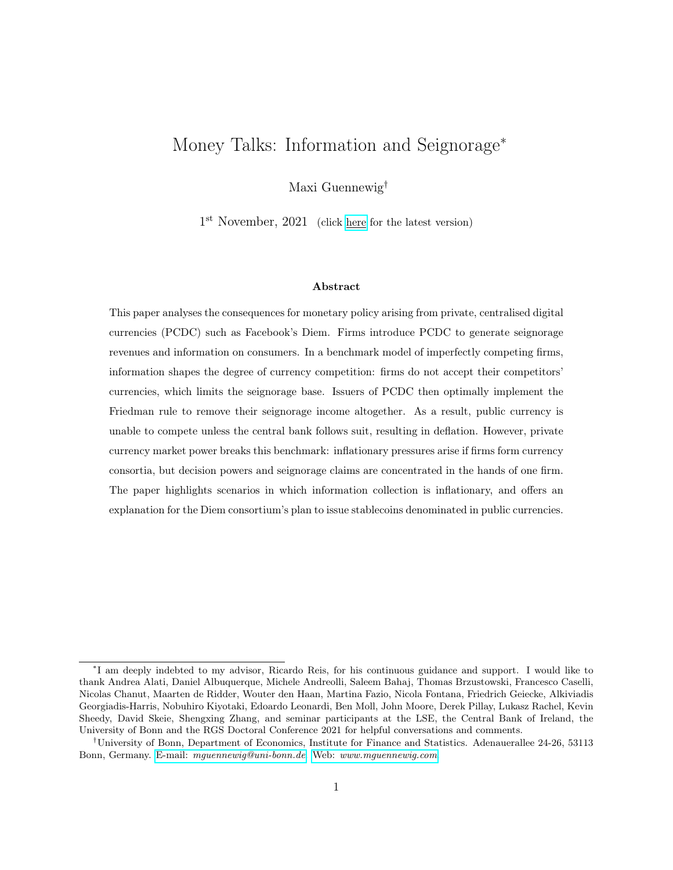types of digital currency on public monetary policy, or they analyse PCDC but not the consequences for monetary policy. In Fernández-Villaverde and Sanches (2019), entrepreneurs issue PDDC such as Bitcoin which compete with public currency. The entrepreneurs obtain seignorage revenues by expanding the money supply and may frustrate the government's attempts to implement the Friedman rule. Skeie (2019) discusses digital currency runs when a PDDC competes with public currency experiencing high inflation rates. Fernández-Villaverde et al. (2020) analyse an economy in which the central bank issues CBDC and invests in real assets. As a result, it may face a trade-off between price stability and excessive liquidation of its investments.

In Chiu and Wong (2020), a digital platform faces the choice between introducing private token money and accepting government currency. Issuing tokens is costly but generates transaction fees. However, the monopolist platform is fixed in size. Thus, it does not fully compete with other platforms or non-platform firms that accept government currency. I endogenise platform size. Private currency competes with government currency through the prices faced by consumers in each denomination. Gans and Halaburda (2015) discuss PCDC as a customer retention device in a partial equilibrium setting. Li and Mann (2018), Catalini and Gans (2018), Garratt and Van Oordt (2019), Prat et al. (2019), Rogoff and You (2020) and Cong et al. (2020), among others, analyse PCDC with a focus on optimal design to finance at low interest rates, rather than to compete with government fiat money. Keister and Monnet (2020) discuss how CBDC can generate information for central banks over the quality of banks' balance sheets. While sharing the notion of information and digital currency, I discuss how PCDC generates information for firms over consumer tastes.<sup>4</sup> Lastly, Garratt and van Oordt (2021) and Garratt and Lee (2021) discuss how payment data collection leads to welfare losses due to price discrimination and monopoly formation. CBDC preserve privacy and help increase consumer welfare. However, the technology through which firms collect information—PCDC in this analysis—is not directly modelled, and these papers do not analyse the consequences for monetary policy.

Information and privacy in the digital economy are being tackled from many other directions; see Goldfarb and Tucker (2019) and Bergemann and Bonatti (2019) for extensive surveys. Customer recognition by imperfectly competing firms has been addressed in Villas-Boas (1999) and Fudenberg

<sup>4</sup>For further papers discussing pricing of cryptocurrencies, see, among others, Athey et al. (2016), Chiu and Koeppl (2017), Biais et al. (2018), Prat and Walter (2018), Budish (2018), Schilling and Uhlig (2019), Sockin and Xiong (2020) and Choi and Rocheteau (2020).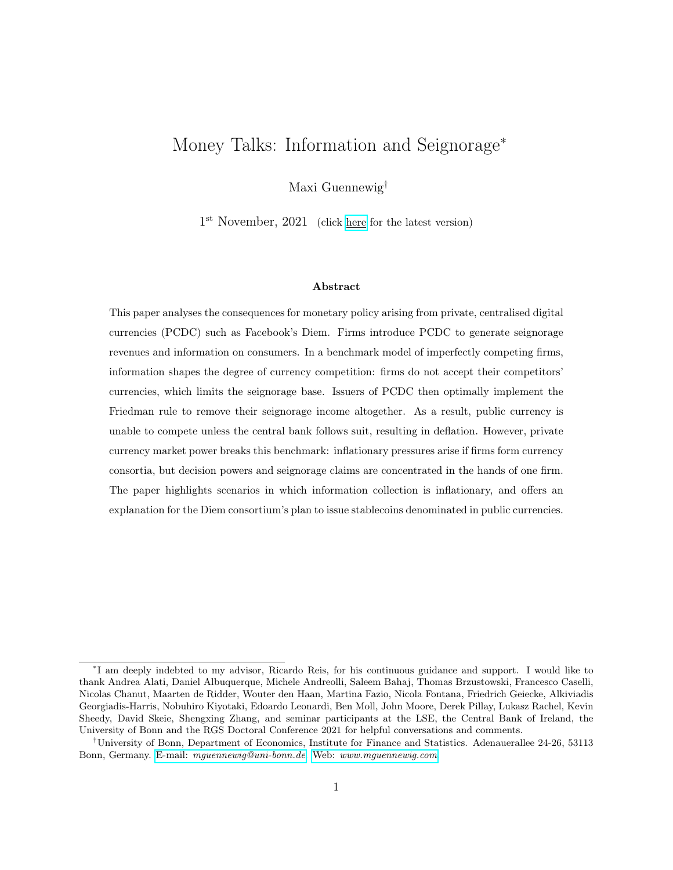and Tirole (2000).<sup>5</sup> In more recent work, Bonatti and Cisternas (2020) investigate price discrimination by short-lived monopolists based on a consumer score that aggregates information on past purchases. Modelling information in a general equilibrium framework, I endogenise the introduction and acceptance of digital currencies by firms in order to discuss consequences for monetary policy.

Finally, this paper is related but does not belong to the literature on search-theoretic models of money. In the seminal work by Lagos and Wright (2005), anonymous agents search for trade partners in a decentralised market. Money facilitates transactions since anonymity precludes credit. In this analysis, I take it as given that the Diem consortium—a group of private companies lead by data firm Facebook which is in the business of collecting information on consumers, effectively overcoming anonymity—are issuing currency. I then set out to discuss profit-maximising behaviour and characterise the consequences for monetary policy. In the process, I develop a variant of the Diamond sequential search model in order to create a tractable framework, incorporating notions of imperfect competition and information based on past purchase behaviour into a monetary model. Search frictions are nothing but a useful modelling tool: the model yields closed form expressions for equilibrium prices, profits and thus the equilibrium value of information.<sup>6,7</sup>

Organisation of this paper. Section 2 presents two very simple monetary models capturing the paper's main results intuitively. The partial equilibrium model containing notions of imperfect competition and information based on past purchasing behaviour is developed in Section 3. Section 4 combines this building block with a general equilibrium framework in which firms issue PCDC, and discusses consequences for monetary policy. The effects of currency consortium ownership structures on inflation outcomes are developed in Section 5. Section 6 discusses interest-bearing CBDC and policies that force firms to hold public currency. Section 7 concludes.

<sup>&</sup>lt;sup>5</sup>See also Acquisti and Varian (2005), and Fudenberg and Villas-Boas (2012) for a survey of this literature.

<sup>&</sup>lt;sup>6</sup>In reality, the search process leads to noise in the equilibrium price: see Burdett and Judd (1983), as well as Burdett et al. (2017) and Bethune et al. (2020) in a monetary context.

<sup>&</sup>lt;sup>7</sup>In a similar vein, I do not offer a comprehensive theory of advertising and product pricing. Advertising serves as a tool to exploit information. With a focus on the search process and pricing of consumption goods, advertising for attention has been explored by, among others, Armstrong and Zhou (2011) and Haan and Moraga-González (2011).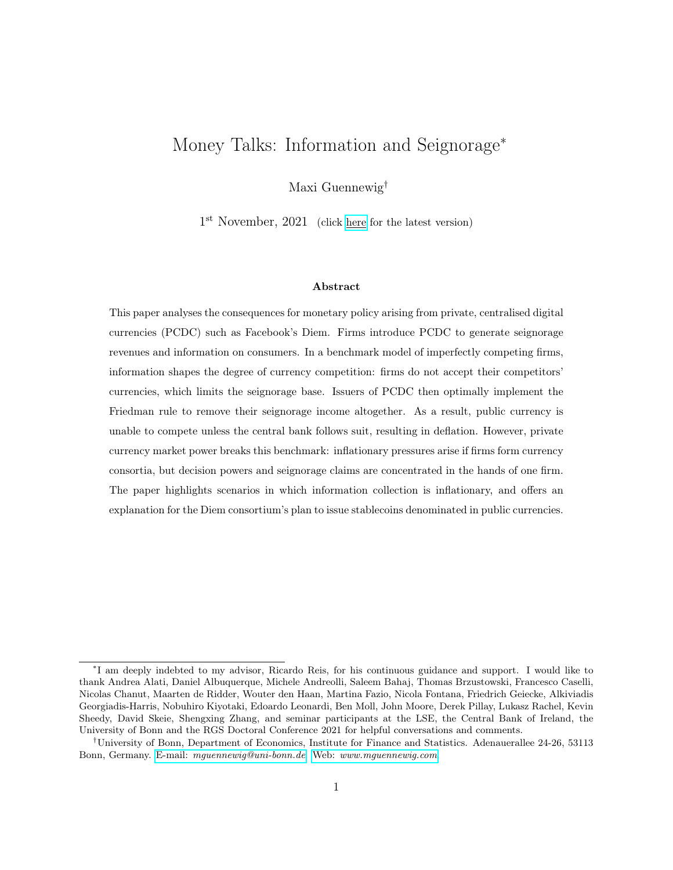## 2 Two very stylised monetary models

This paper develops three building blocks to derive its main results. It is therefore useful to present two very stylised monetary models—fully microfounded and generalised in Sections 3 to 5—which capture the complete framework's intuition.

## 2.1 A very stylised benchmark model

First, consider an economy in which two firms  $i \, 2 \, ff, gg$  produce an identical consumption good and charge the same price p. Let the consumer demand at firm i be denoted by  $C^i$ . The economy features two competing monies: the government supplies a strictly positive amount of public currency, and firm f supplies a strictly positive amount of private currency called *Diem*. Suppose that the demand for Diem,  $m$ , and the consumption demand with firm  $f$ 's are tightly linked; suppose further that the same is true for the demand for public money,  $m^{\$}$ , and for consumption with firm g:

$$
m = p C^{f} \qquad \text{with} \qquad C^{f} = \begin{cases} C^{f}(p(1+\tau)) > 0 & \text{if } \tau \leq \tau^{s}, \\ 0 & \text{otherwise.} \end{cases}
$$
\n
$$
m^{s} = p C^{g} \qquad \text{with} \qquad C^{g} = \begin{cases} C^{g}(p(1+\tau^{s})) > 0 & \text{if } \tau^{s} \leq \tau \\ 0 & \text{otherwise.} \end{cases}
$$
\n
$$
(1)
$$

where  $\tau^z$  denotes the cost of holding currency  $z \, 2 \, f$ , \$g. It captures the rate at which currency, a liability of the issuer, loses real value. Let me call the total loss in a currency's real value, given by  $\tau^z m^z$ , the seignorage revenues of the issuer.<sup>8</sup> The above demand schedules imply that firm f sells strictly positive amounts of the consumption good whenever the private currency seignorage rate is weakly less than public currency seignorage rate; the relationship is reversed for firm  $q$ . Equation (1) further assumes that the cost of holding money scales up firm prices in perfect analogy to a tax rate. It thus affects money demand through the demand for consumption goods. Finally, to complete the set-up, suppose that competition among firms is imperfect.<sup>9</sup> In particular, assume both firms charge the price that a monopolist would charge in order to maximise product profits in

<sup>8</sup>Section 4 establishes a direct link between the rates of seignorage, nominal interest and inflation.

 $9$ Section 3 provides a microfoundation using search frictions in the spirit of Diamond (1971).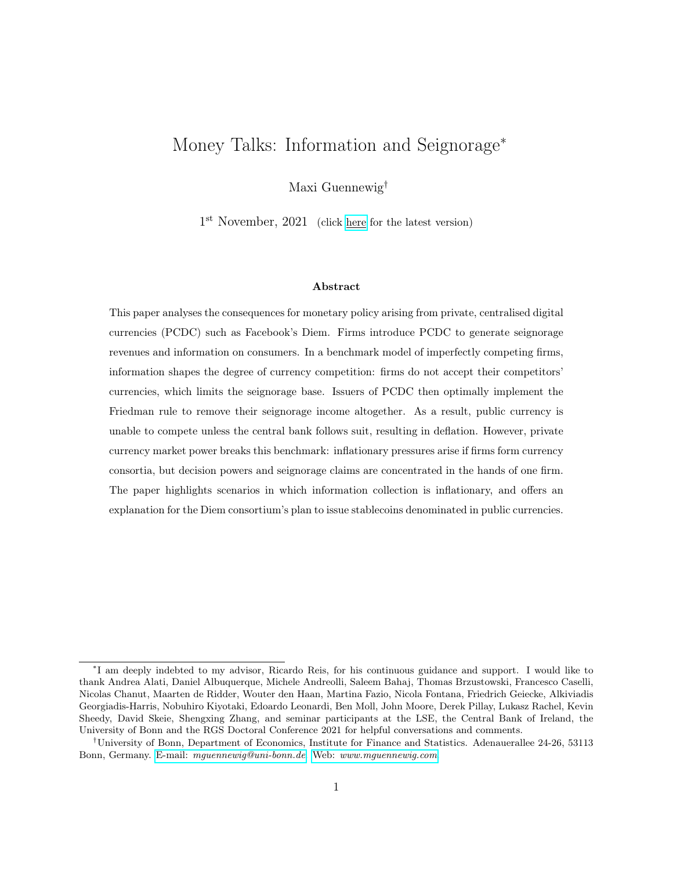the absence of any seignorage. I thus refer to  $p$  as the *profit-maximising price*:

$$
p = arg \; \underset{p^i}{max} \; [p^i \quad mc] \; C^i(p^i) \quad \text{for} \; i \; 2 \; ff, gg \tag{2}
$$

where mc denotes the constant marginal cost of producing one unit of the consumption good.

In this environment, it must be that private and public currency feature the same cost in equilibrium: given the strictly positive supply of both currencies and the money demand schedules of Equation (1), money markets only clear if

$$
\tau = \tau^{\$} = \tau \tag{3}
$$

Turning to private monetary policy, firm f implements the Diem seignorage rate that maximises the sum of product profits and seignorage revenues. Optimally, seignorage revenues are fully removed:

$$
0 = arg \max_{\tau} [p(1 + \tau) \quad mc] C^{f}(p(1 + \tau)) \tag{4}
$$

As the recipient of seignorage revenues, firm  $f$  internalises their effect—equivalent to the effect of a tax—on product profits. Since firm  $f$  already charges the profit-maximising price, they do not levy a tax on top of it.<sup>10</sup> Importantly, the money demand functions imply that private monetary policy fully restricts public monetary policy: no consumers demand public money if the government does attempt to raise seignorage revenues.

This simple economy is microfounded and generalised in Sections 3 and 4. Consumers require money in order to purchase consumption goods. Besides seignorage, usage of Diem generates information which firm  $f$  utilises to increase their profits at the expense of firm  $q$ . The money demand schedules of Equation (1) are then the endogenous outcomes of firm g's decision not to accept Diem; and of firm f's decision not to generate seignorage revenues, which makes Diem cheaper than the public currency when purchasing consumption goods from firm f whenever  $\tau^{\$} > 0$ . Information crucially limits the Diem seignorage base to the product revenues of the Diem-issuing firm. In other words, information breaks the money portfolio indeterminacy typical of models of currency competition—originally described by Kareken and Wallace (1981), and recently rediscovered in pa-

 $10$ This result is generalised in Section 4. Firms could also generate seignorage income but would optimally provide compensating product discounts.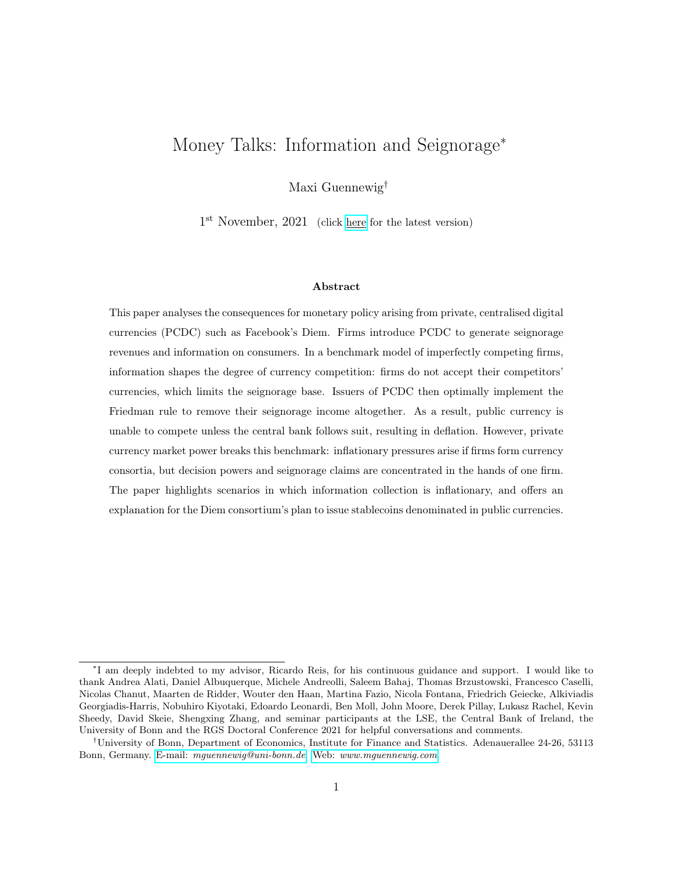pers such as Schilling and Uhlig (2019), Benigno et al. (2019) and Fernández-Villaverde and Sanches (2019).

## 2.2 A very stylised model breaking the benchmark

Second, consider an economy with three firms selling two different goods: firm f operates as a monopolist in one market, and firms  $f$  and  $g$  engage in imperfect competition in another market. All firms charge the profit-maximising price  $p$ . Firm  $f$  again issues Diem and conducts private monetary policy by choosing  $\tau$ . Suppose demand for Diem is now given by:

$$
m = \begin{cases} p C^{f}(p(1+\tau)) + p C^{f}(p(1+\tau)) & \text{if } \tau \leq \tau^{s}, \\ p C^{f}(p(1+\tau)) & \text{otherwise.} \end{cases}
$$
(5)

Firm  $f$ 's total profits are then given by:

$$
f = \left[ p(1 + \tau) \mod C^f(p(1 + \tau)) + \mathbf{1}_{\hat{\mathcal{F}}_T} \quad \mathcal{F}_{\hat{\mathcal{F}}}^T \quad p C^f \left( p(1 + \tau) \right) \right] \tag{6}
$$

Firm f trades of maximising its own product profits  $(\tau = 0)$  against generating seignorage revenues from firm  $f$ . For some very mild assumptions on the functional forms of the consumption demand schedules, firm f optimally implements a strictly positive seignorage tax rate whenever  $\tau^{\$} > 0$ :

$$
\arg\max_{\tau} \quad f \quad > \quad 0 \tag{7}
$$

Whenever Diem seignorage rates are positive, the central bank is also able to implement positive seignorage rates and thus regains policy autonomy.

The second economy is microfounded and analysed in much generalised form in Section 5. Firms f and f form a currency consortium and jointly issue Diem, but monetary policy is controlled by firm  $f$ . Firm  $g$  again only accepts public currency due to the information rents. Section 5 provides a more formal characterisation of private monetary policy for different distributions of seignorage dividend shares and for different sizes of currency consortia. It also highlights scenarios in which information increases the seignorage base available to firm  $f$ , and thus becomes inflationary.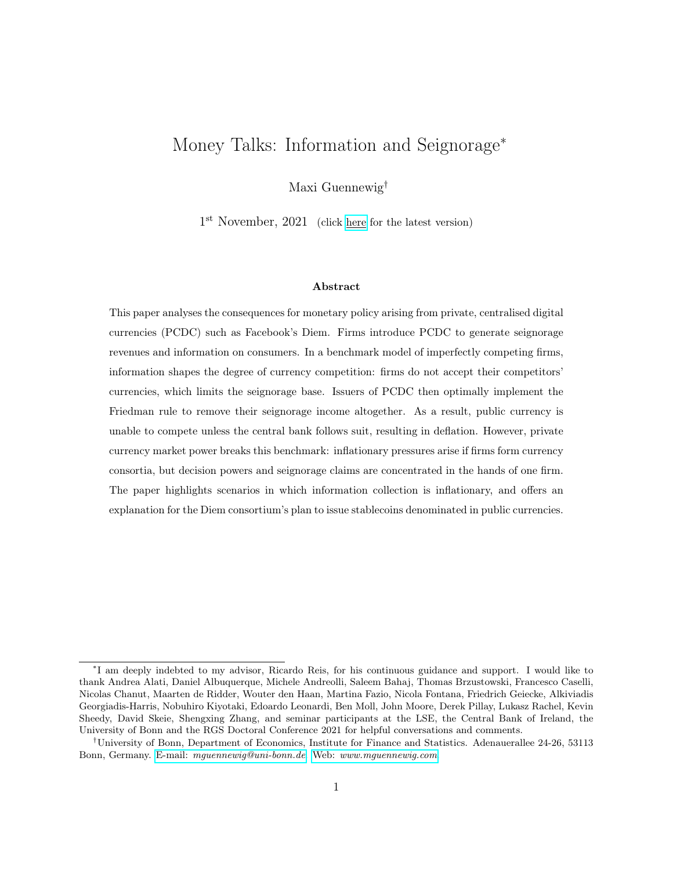# 3 Partial equilibrium model

This section introduces a two-period partial equilibrium model with notions of imperfect competition and information based on past purchasing behaviour. Firms do not know their customers and cannot observe their types until they introduce a private payment technology that reveals consumer purchases. The paper employs search frictions in the spirit of Diamond (1971) as a useful modelling device. In particular, they allow for an analytical characterisation of equilibrium prices and thus the value of information. Given this characterisation, the model endogenises the introduction and general acceptance of firms' payment technologies. Importantly, the partial equilibrium model is flexible enough to serve as a building block for the general equilibrium framework presented in Section 4, in which the payment technology is modelled as money.

### 3.1 Environment

### 3.1.1 Consumers

There is a continuum of consumers  $j$  on the unit interval. Consumers differ in their taste of the consumption good. Their type  $\theta_j$  is both private information and constant over time. There are two periods:  $t \nightharpoonup \mathcal{D}$ , 1g. Consumer j's period utility derived from consumption is given by:

$$
u_j(c_t) = \theta_j^1 \alpha c_t^{\alpha} \quad p_t c_t \quad \alpha \geq (0, 1)
$$
 (8)

where  $p_t$  denotes the price of the consumption good. At the beginning of the game, each consumer draws their type from a publicly known, common binary distribution:  $\theta_j \n\mathcal{Z} \n\mathcal{H}_L, \theta_H \n\mathcal{G}, P[\theta_j = \theta_H] = q$ , with  $\theta_H > \theta_L$  0.<sup>11</sup>

Firms, introduced below, cannot transmit any information to consumers, neither about their own price nor their competitor's price. Consumers thus have to search for price offers. I assume directed, sequential search with perfect recall. Each period features two sub-periods, day and night. There is no discounting between sub-periods. During the day, firms set their prices for the period, and consumers obtain an initial price quote by visiting one firm. Having learnt one price, consumers

<sup>&</sup>lt;sup>11</sup>The exponent on  $\theta_i$  is included for exposition purposes and without loss of generality. As a result, consumer demand schedules and equilibrium firm profits are linear in consumer types.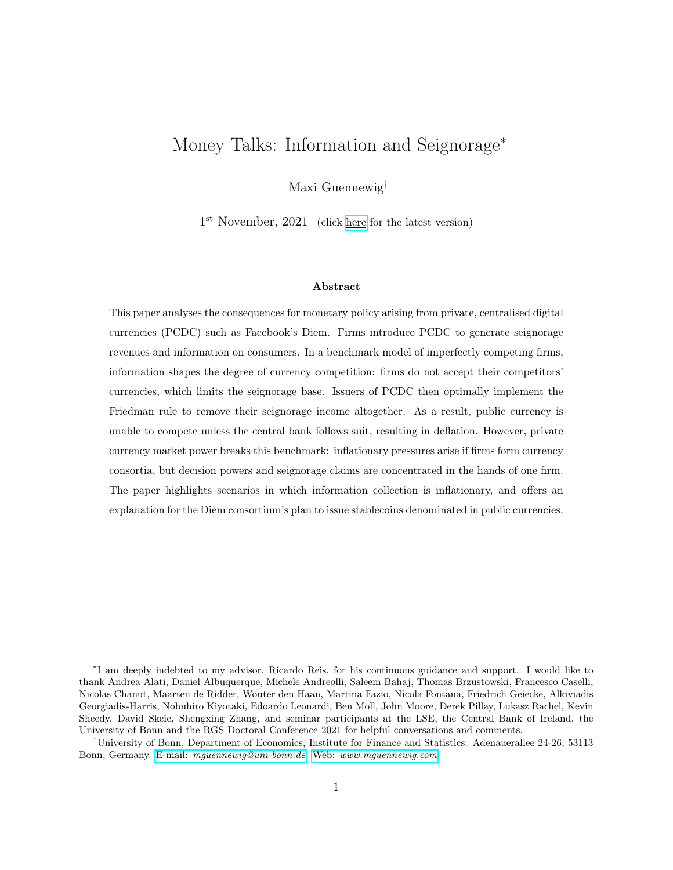have the option to visit a second firm at night, and learn about their price, before making their final consumption decision. The first search is free, the second search costs  $S > 0$ .<sup>12</sup>

### 3.1.2 Firms

The model features two firms,  $i \n\geq f f, qg$ , which supply a homogeneous non-durable good. They set their period prices during the day. Firms seek to maximise profits and produce at constant marginal costs  $mc$ . In the second period, firms have the ability to send an advertising message to a limited fraction  $\xi$  < 1 of consumers, at zero cost.<sup>13</sup> They cannot advertise to any consumers beyond this fraction.<sup>14,15</sup> Advertising is the mechanism through which firms exploit information on consumer types. In particular, I make a behavioural assumption affecting the initial search decision: consumers visit the more heavily advertising firm first, as long as they expect this firm to charge a weakly lower price than its competitor. In equilibrium, all firms charge the same price to all consumers, regardless of type and time period. Unless firms can direct the consumers' initial search towards their firm, they have no means of making use of information. Let firm i's decision to send an advertising message to consumer j be denoted by  $a^{i,j} \n\supseteq \mathcal{D}$ , 1g. Importantly, firms can neither observe consumer types nor competitor strategies, and thus have to form beliefs. Denote the set of firm i's strategies and beliefs by

$$
\sigma_0^i = p_0^i, \quad \sigma_1^i = (p_1^i, a^i), \quad \text{and} \quad \mu_t^i(\sigma_t^{-i}, \theta), \quad t \ge 0, 1 \tag{9}
$$

#### 3.1.3 Payment technologies

At the beginning of the first period, firms may pay a fixed cost to introduce a private payment technology that reveals otherwise unobservable first period purchases. This generates information, as firms identify their customers and back out their types  $\theta$ . In the absence of a private payment

 $12\text{As}$  is common in the literature, the first search is free in order to prevent the market from breaking down. For sufficiently small yet strictly positive initial search costs, all consumers enter the market due to the concavity of the utility function.

<sup>&</sup>lt;sup>13</sup>I assume that  $\xi > q/2$ . If firms split the market equally, a firm sells to a measure  $q/2$  of high valuation consumers. This assumption implies that their advertising capacity exceeds the number of their high valuation customers.

<sup>&</sup>lt;sup>14</sup>I implicitly assume that reaching the first fraction  $\xi$  of consumers is costless, reaching any consumers beyond the initial fraction ξ is infinitely costly. This is an extreme version of the cost function considered in Grossman and Shapiro (1984) and Tirole (1988).

<sup>15</sup>I could in principle allow firms to advertise in the first period but—without any information on consumer types—they cannot do better than randomising.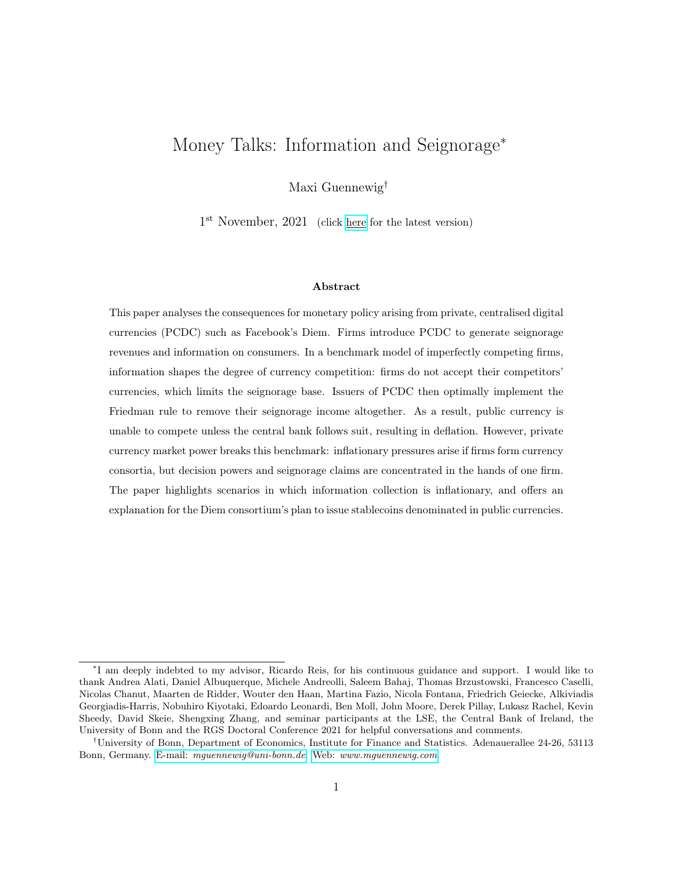technology, I assume that an unmodelled neutral payment technology is used.<sup>16</sup> In this case, firms do not learn consumer identities or types. I also assume that—once a firm has introduced their private payment technology—all of their transactions are conducted using this technology.<sup>17</sup> Firms decide whether to accept the competitor's technology. For a given transaction, only one payment technology can be used: if a consumer of firm i uses the payment technology of firm i, then the information accrues to firm  $i$ .

Let firm is strategy set be denoted by  $i$ , consisting of the binary introduction and acceptance decisions  $(\gamma^i, \gamma^{i, i})$ . Firm strategies are fully observable by all agents in the economy.

## 3.2 Consumer strategies in the final period

Consider the consumer's decision problem at time-1. In the final period of the game, decisions do not affect any future payoffs. Omitting time subscripts for readability, consumer j's demand schedule conditional on purchasing from firm i charging price  $p^i$  is given by

$$
c(p^i, \theta_j) = \arg\max_c \left( \theta_j^1 \alpha_c c^{\alpha} \quad p^i c \right) = \theta_j \left( \frac{\alpha}{p^i} \right)^{\frac{1}{1 - \alpha}} \tag{10}
$$

Given price  $p^i$ , consumers simply demand quantities that maximise utility. Their types  $\theta$  shift their demand schedules: the higher the consumer's valuation, the larger the quantities that they purchase. Clearly, consumers prefer to be charged low prices, but they cannot observe a firm's pricing strategy until they obtain a price offer. Since firms cannot transmit any information, consumers have to form beliefs. Let  $\mu^j(p)$  denote such beliefs of consumer j, and let  $\psi^j(\mu^j(p), a^j)$  denote their initial search strategy.<sup>18</sup> Consumers first visit the firm which they expect to charge the lower prices. If they expect both firms to charge the same price, the relative advertising intensity determines the first search given the behavioural assumption. Importantly, advertising breaks the consumers' indifference in equilibria in which all firms charge the same price. Only if consumers expect both firms to charge the same price, and both firms have advertised with the same intensity, consumers randomise.

Having obtained one price offer  $p^i$ , consumers need to decide whether to search again. Let the continuation search strategy be denoted by  $\omega^j(p^i, \mu^j(p^{-i}))$ . Consumers trade off the expected gains

<sup>&</sup>lt;sup>16</sup>From Section 4 onwards, public currency plays the role of this neutral payment technology.

<sup>&</sup>lt;sup>17</sup>This is the endogenous outcome of the monetary framework presented in Section 4.

<sup>&</sup>lt;sup>18</sup>A formal description of the consumer's search strategies is provided in Appendix C.1.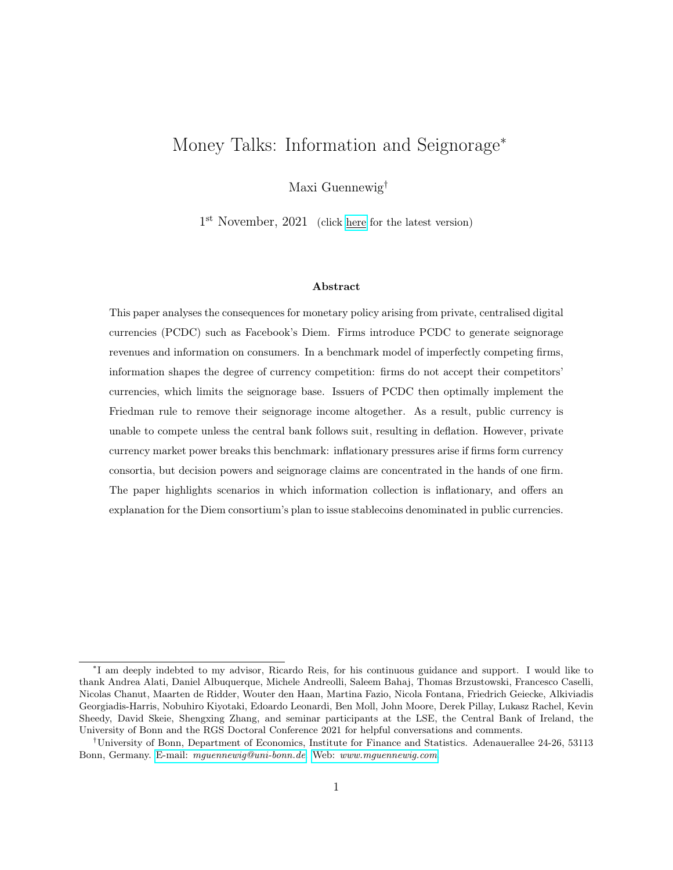due to a lower price offer against the fixed cost of searching  $S > 0$ . This gives rise to a cut-off rule: consumers are only willing to pay the fixed cost if the other firm's expected price  $\mathbb{E}[p^{-i}j\mu^j]$  is sufficiently lower than the first price offer  $p^i$ .

## 3.3 Characterising the monopoly price

Given the consumer demand schedule, profits selling to a consumer of type  $\theta$  are given by

$$
(p, \theta) = (p \quad mc) \ c(p, \theta) \tag{11}
$$

The profit function  $(p, \theta)$  is continuous and concave in p for all  $p > 0$ , and there exists a unique profit-maximising price  $p(\theta)$  given by:

$$
p(\theta) = arg \; max \quad (p, \theta) = \frac{mc}{\alpha} \qquad p \tag{12}
$$

The profit-maximising monopoly price is given by a constant mark-up over marginal costs and is thus independent of the consumer's type  $\theta$ . Two assumptions yield this result:  $\theta$  does not affect the price elasticity of consumption; and marginal costs are constant. It follows that monopoly profits are linear in the consumer type:

$$
(\theta) = \kappa \theta \tag{13}
$$

where  $\kappa$  is a constant. The profit function  $(p, \theta)$  is strictly increasing in p for all  $p < p$ , and strictly decreasing in p for all  $p > p$ .

### 3.4 Equilibrium definition and prices

I now proceed to define the equilibrium and to solve for equilibrium strategies. First, I show that firms charge the monopoly price  $p$  in equilibrium.<sup>19</sup> Equilibrium profits on a given consumer increase

<sup>&</sup>lt;sup>19</sup>I focus on equilibria in which  $p_t^i$  p for all i, t. It is easy to see that one firm charging a price  $p^i = p$  and the other firm charging a price  $p^{-i} > p$  constitutes an equilibrium, with consumer beliefs formed rationally and thus consistent with above prices. All consumers visit firm i. Neither firm has an incentive to deviate from above prices. Firm i charges the profit-maximising monopoly price and has no incentive to increase the price. Lowering the price does not attract any additional consumers. Firm  $i$  cannot attract any consumers by lowering their price, given consumer beliefs.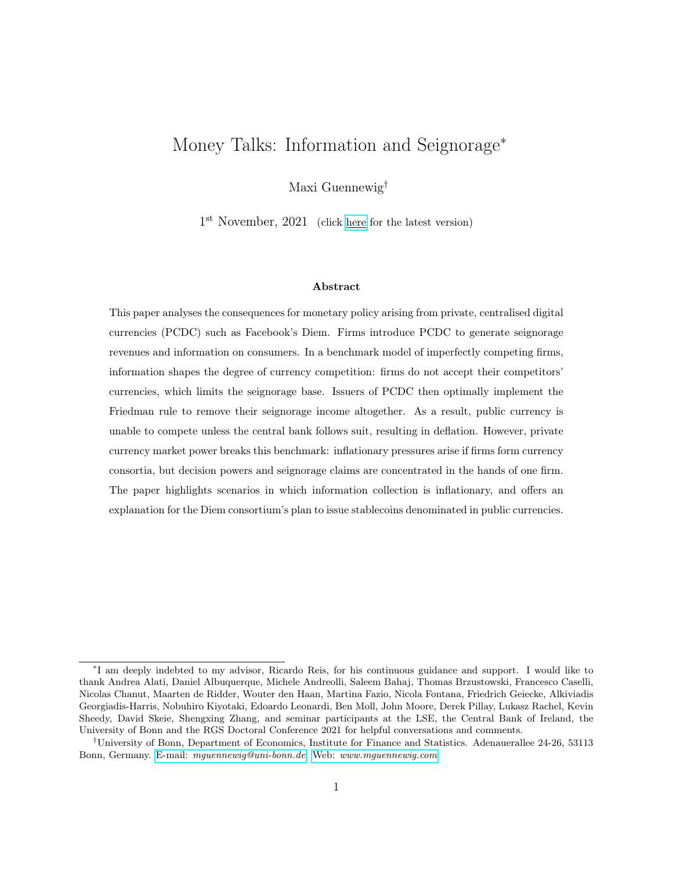linearly in type  $\theta$ , and advertising thus aims to maximise the average type of a firm's customer base.

Equilibrium definition. The Perfect Bayesian Equilibrium (PBE) of this game is given by the set of firm strategies  $(\;\;{}^i,\sigma_t^i)_{t\geq \tau 0,1g,\; i\geq f f,gg}$  that solve the firms' profit maximisation problems, given beliefs  $\mu_t^i(\sigma_t^{-i},\theta)$ ; and the set of consumer strategies  $\big(\psi_t^j\big)$  $_i^j, \omega_t^j$  $_i^j, c_t^j$  $_{t}^{j})_{t\geq \tau 0,1g,\; j\geq [0,1]}$  that solve the utility maximisation problem, given beliefs  $\mu_t^j$  $t^{\jmath}(p_t)$ . Beliefs are formed rationally and updated according to Bayes' Law.

Lemma 1 (Dynamic Diamond Paradox). For any  $S > 0$ , both firms charge the monopoly price in both time periods in equilibrium:

$$
p_t^i(\theta) = p \quad \text{for all } i, t \tag{14}
$$

The proof is provided in Appendix C.2. Intuitively, having obtained a price offer, consumers operate a cut-off rule in the final period. They compare the additional gains from searching potentially obtaining a lower price offer—against the fixed cost of searching. This gives market power to firms. Conditional on being visit by a consumer, they face a profitable upwards deviation in the price—unless firms already charge the monopoly price. Given the assumptions of constant price elasticities and constant marginal costs, the monopoly price is independent of consumer types. In equilibrium, consumer beliefs about firm pricing must be correct, which is only true if all firms charge the monopoly price in the final period and consumers expect them to do so. Thus, all consumers face the same price in the final period. Giving away information in the first period therefore does not harm consumers. Consumers again only consider product prices when deciding on their initial search and operate a cut-off rule having obtained a price offer. This leads to equilibrium monopoly pricing also in the first period.

Given the search frictions and assumptions on utility and marginal costs, firms obtain full market power, but do not price discriminate. Thus, high valuation consumers do not have any incentives to mimic the low valuation consumers' actions in equilibrium. The advantage is model tractability: the framework includes notions of imperfect competition and information, and is flexible enough to be built into a standard monetary framework. The disadvantage is that the model is silent on strategic consumer behaviour.<sup>20</sup>

<sup>&</sup>lt;sup>20</sup>See Bonatti and Cisternas (2020) for a recent example of price discrimination based on past purchase behaviour.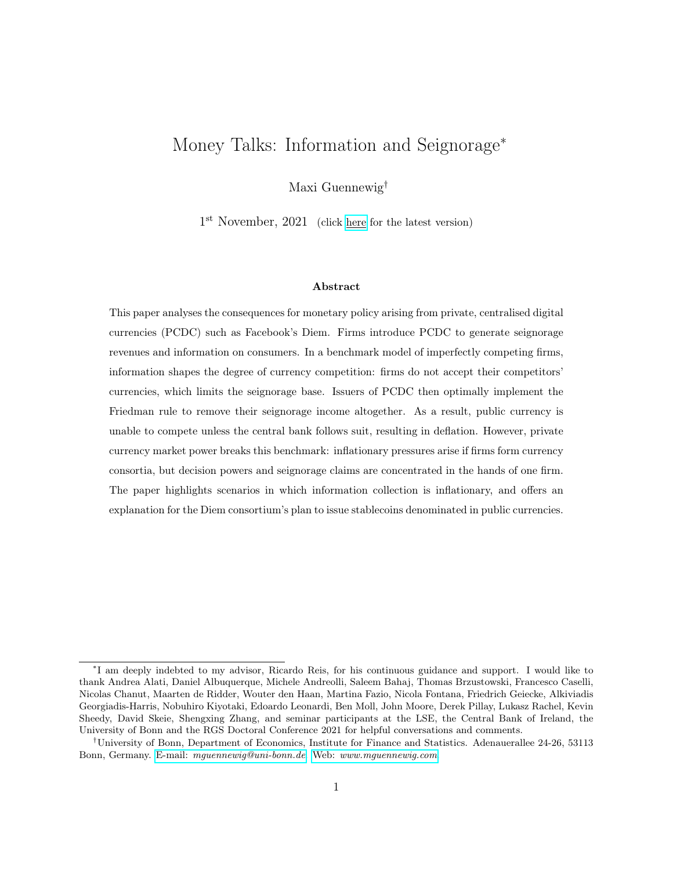### 3.5 Equilibrium advertising strategies

Having characterised equilibrium prices allows us to characterise equilibrium advertising strategies. Since all firms charge the monopoly price, profits on a consumer of type  $\theta$  are given by  $(\theta) = \kappa \theta$ . When devising an advertising strategy, firms aim to maximise the value of their customer base: profits are increasing in the average type of their customers. The firms' relative levels of information thus determine the breakdown of profits.

Consider first a firm that has not introduced a payment technology,  $\gamma^{i, int} = 0$ . This firm neither knows their customers' identity, nor their type  $\theta$ , and thus randomly advertises among the general population of consumers. Consider next a firm that has obtained information on their customer base and is able to distinguish consumers of types  $\theta_L$  and  $\theta_H$ . The firm advertises to consumers of known high valuation, and uses the remaining advertising capacity to advertise to consumers for which they did not obtain any information.<sup>21</sup>

### 3.6 Payment technology introduction and acceptance strategies

Having solved for equilibrium prices, advertising strategies and thus the value of information, this subsection characterises the firms' payment technology introduction and acceptance strategies in equilibrium.

Proposition 1 (No interoperability). Firms do not accept their competitor's payment technology:

$$
\gamma^{i,acc} = 0, \quad i \; 2 \; ff, gg \tag{15}
$$

The proof is provided in Appendix C.3. Intuitively, more information is always better, as it helps to improve the customer base at the expense of the competitor firm. Therefore, firms have no incentive to generate information for other firms. I strongly expect this result to hold up in more

<sup>&</sup>lt;sup>21</sup>To see that this strategy is optimal for a given firm i, consider first their randomising competitor i. The probability of double-advertising is equal for all consumers, and thus the informed firm aims to advertise to as many high type consumers as possible. If the competing firm is also informed, consider the choice between advertising to a consumer of known low type, and a consumer of unknown type. Begin with a consumer of unknown type to which firm i advertises. Since the competitor i is informed, they know their type exactly. If  $\theta = \theta_L$ , the competitor does not advertise and firm i sells to this consumer with probability one. If  $\theta = \theta_H$ , the competitor i advertises with probability one, and firm i wins this customer with probability  $\frac{1}{2}$ . Fixing firm i's advertising strategy for a previous customer of firm i, switching to a consumer of unknown type reduces the probability of being matched with the known low type by  $\frac{1}{2}$ . At the same time, it increases the probability of being matched with an unknown type by  $\frac{1}{2}$ . The proof is completed by realising that the unknown type has a higher expected valuation  $\mathbb{E}[\theta] > \theta_L$ .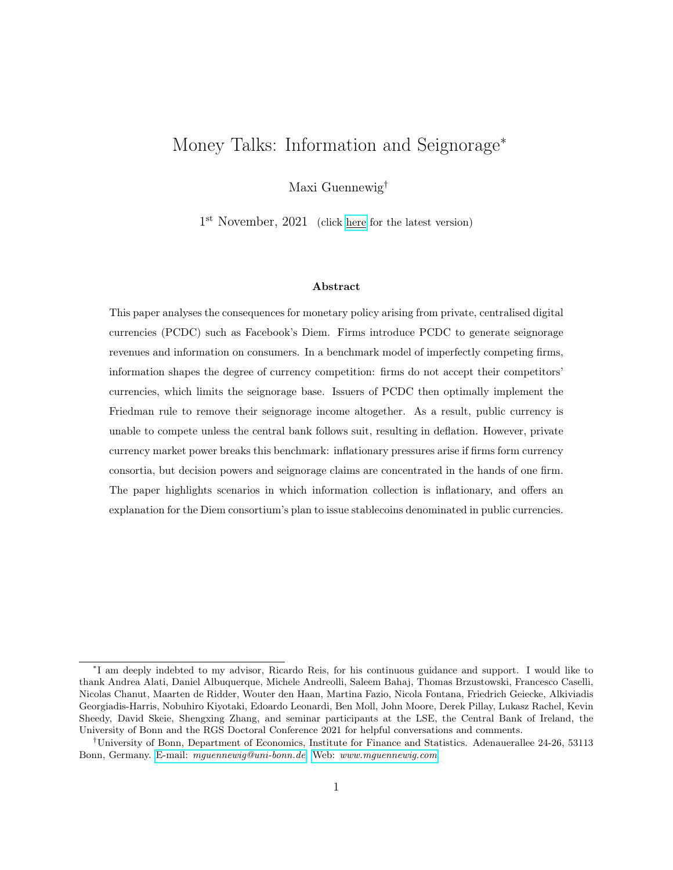general settings. A firm should not accept a competitor payment technology in any environment in which the usage of this technology generates a direct benefit to the competitor.

The model therefore predicts that digital giants including Amazon, Apple and Google should not accept Diem as a payment technology upon its introduction. This prediction is consistent with observations from the real world. In China, the market for digital payments is dominated by Alipay and WeChat Pay. The social media platform WeChat resembles Facebook, and their payment technology cannot be used to purchase goods with Alibaba, the owner of Alipay. In other parts of the world, Amazon does not accept payments with Google Pay and PayPal, which until recently belonged to eBay.

The equilibrium payment technology introduction decisions are characterised in full in Appendix A. In summary, either both firms introduce a payment technology if the fixed cost of doing so is sufficiently low, or neither firm does. Industry profits are fixed at = κ**E**[θ] by Lemma 1; it follows that any information gains are mere redistributions from one firm to another.

## 4 General equilibrium: Monetary framework

This section develops a general equilibrium framework which perfectly nests the partial equilibrium model of the previous section. The payment technology is specified as money which consumers need to hold in order to transact. The government supplies public currency. Firms choose whether to introduce a private currency, and whether to accept the public and competitor private currencies. Crucially, currencies compete. Consumers hold the currency in which they face the lowest total cost of purchasing consumption goods. In the general equilibrium framework, this total cost consists of two objects: the price charged by firms and the opportunity cost of holding money. Money does not pay interest, implying that consumers have to forego income. Thus, the opportunity cost of a particular currency is given by the nominal interest rate of bonds in this denomination. Importantly, the central bank conducts monetary policy by setting the nominal interest rate—and hence affects the opportunity cost of holding public currency. At the same time, firms issuing private currency maximise the sum of product profits and seignorage revenues. They jointly choose their product price and implement a private monetary policy that achieves this goal. Since currencies compete, the existence of a private currency may have stark consequences for the central bank which finds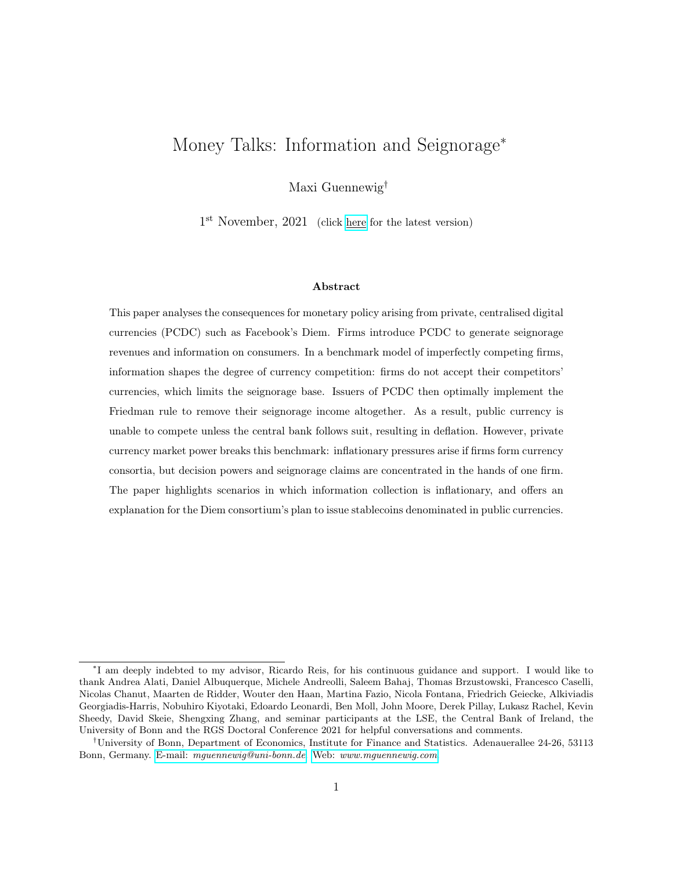itself unable to implement their desired interest rates. In fact, this section shows that optimal private monetary policy forces the central bank to set interest rates to zero, leading to deflation.

### 4.1 Environment

#### 4.1.1 Households

The model features overlapping generations (OLG) of consumers who live for three periods and discount the future at rate  $\beta$ . They consume a credit good X and a money good C, and supply labour  $N_t$ . At each point in time, three cohorts born in three different periods co-exist. Their age is denoted by  $A \supseteq f_y, m, og$ . Period utility for consumer j is given by

$$
U_{A,j} = U(X) + \theta_{A,j}^{1-\alpha} (C)^{\alpha} \qquad N \tag{16}
$$

The market for the money good corresponds to the market of Section 3. Consumers derive utility from money good consumption for the first two periods of their life during which they value consumption heterogeneously according to their type  $\theta_j$ . They do not value consumption of the money good in the final period of their life:

$$
\left(\theta_{y,j},\,\theta_{m,j},\,\theta_{o,j}\right) \;=\; \left(\theta_j,\,\theta_j,\,0\right) \tag{17}
$$

The two firms i 2 ff, gg introduced in Section 3 supply the money good and charge a price  $p_t^i$ . Consumers again search sequentially for price offers within a given period. To simplify without loss of generality, I assume that the first search is free, and the second search is infinitely costly. In the second period of their lives, consumers receive an advertising message sent by firms, as before. Consumers also decide which payment technology, now modelled as money, to use at a given firm. This decision is explained in detail in subsection 4.1.3.

The OLG structure is useful to replicate the setting of the previous section: it cuts off the purchase history and thus limits the degree of learning to the first period of consumer lives; it also allows the game among firms and consumers to be solved backwards from the final period in which consumers derive utility from money good consumption. Yet the model requires an infinite horizon for money to achieve its equilibrium value (see subsection 4.1.3 for details).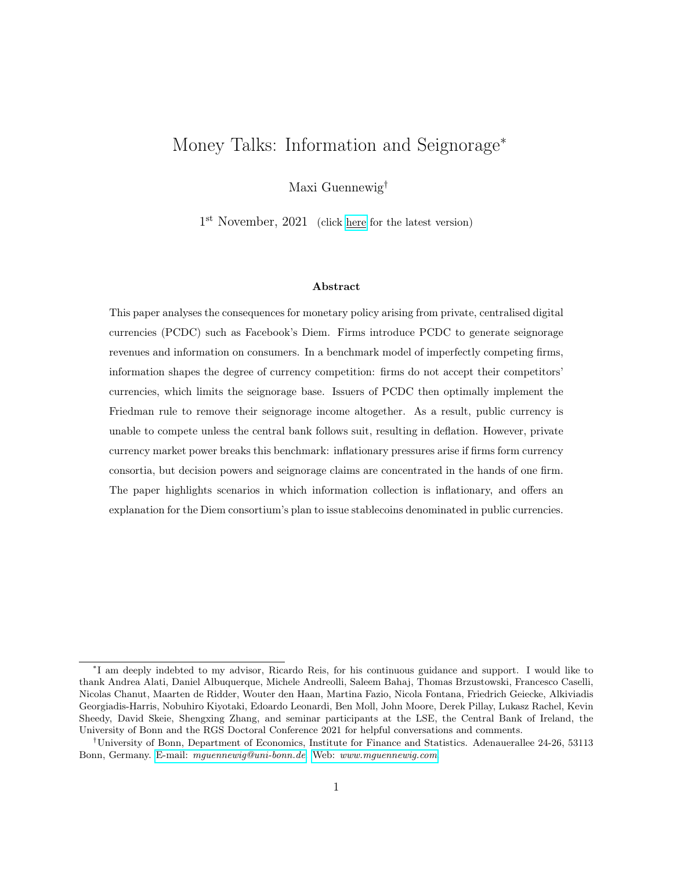Turning to the credit good, I assume that the Inada conditions hold for the utility function,  $U(X)$ . This implies the existence of a consumption level X satisfying  $U^{\ell}(X) = 1.22$  The market for the credit good is a useful modelling device. First, the credit good serves as the numeraire. Consumers supply labour and are compensated with a real wage  $w_t$  which allows them to purchase exactly as many units of the credit good. Money good producers charge real prices  $p_t$  in units of the credit good. Second, the market for the credit good pins down the real wage  $w_t$ , described in detail in the following subsection. Third, the separability and quasi-linearity of the utility function ensure that credit good consumption is pinned down in equilibrium. Intuitively, consumers can always supply an additional unit of labour at constant marginal disutility in order to purchase  $w_t$ more units of the credit good. This pins down the real interest rate. Effectively, the credit side of the economy is super-neutral with respect to monetary policy which allows me to focus on its direct effect on the levels of money good consumption—and thus on the role of money as medium of exchange.

Consider consumer j who has visited firm i and learnt their price  $p_t^i$ . This consumer forms a portfolio consisting of money and bonds in three currencies. Let the public currency be denoted by  $M^{\$}$ . Firm f issues private currency M, firm g issues currency  $M^{\$}$ . Going forward, I refer to the public currency as the *Dollar* and to firm  $f^{\ell_s}$  private currency as *Diem.* Omitting all  $(A, j)$ subscripts to indicate individual decision and state variables of consumer  $j$  aged  $A$ , let their total money holdings in Dollar values be denoted by  $e_t M_t$ :

$$
\mathbf{e}_t \mathbf{M}_t = M_t^{\$} + e_t M_t + e_t^{\$} M_t^{\$} \tag{18}
$$

where the exchange rates  $(e_t, e_t^{\mathbb{G}})$  denote the price of private currencies in terms of the Dollar. The price level  $P_t$  is the price of the Dollar in terms of the credit good; dividing nominal money balances in Dollar values by  $P_t$  thus yields real money balances in units of the numeraire. Consumers face non-negativity constraints on their real money balances for each currency. Turning to bonds, the

 $22$ The consumer's period utility corresponds to a buyer's period utility in Lagos and Wright (2005). In their paper, sellers in the decentralised market pay a utility cost for every unit produced. Instead, I assume that firms produce according to a production function outlined below, using labour which is supplied by the household. These assumptions on the utility function buy tractability.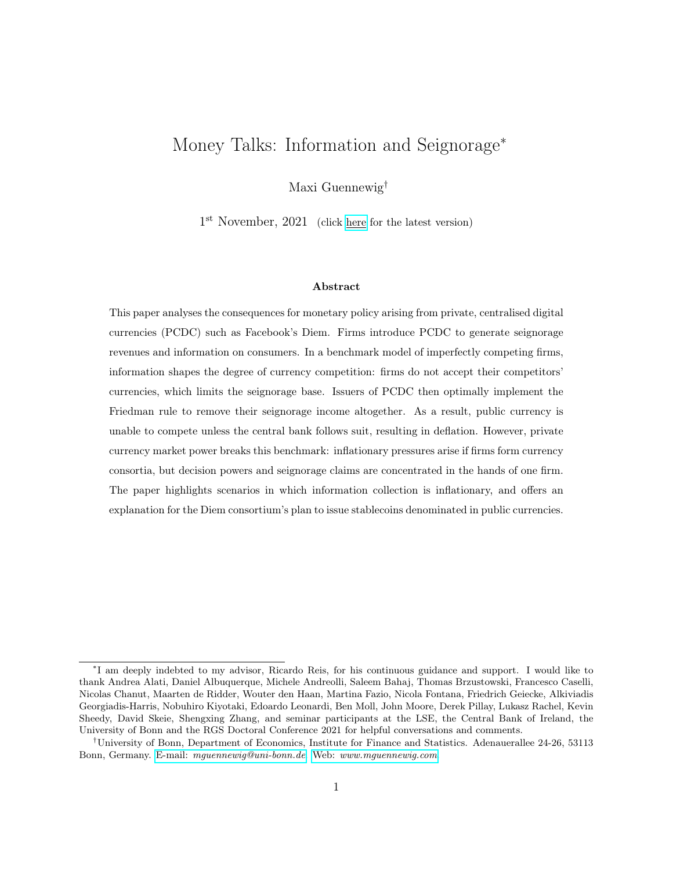Dollar value of total bond holdings,  $e_t Q_t B_t$ , is given by:

$$
\mathbf{e}_t \mathbf{Q}_t \mathbf{B}_t = Q_t^{\$} B_t^{\$} + e_t Q_t B_t + e_t^{\$} Q_t^{\$} B_t^{\$} \tag{19}
$$

where  $Q_t$  denotes the prices of bonds issued at time-t, to mature in the following period. Bond prices are inversely related to the interest rate prevailing in the respective currencies:

$$
Q_t^z = \frac{1}{1 + i_t^z}, \qquad z \; 2 \; f\$, \quad, \mathbb{G}g \tag{20}
$$

In sum, consumer j's budget constraint, all in terms of the credit good, is then given by:

$$
X_t + p_t^i C_t + \frac{\mathbf{e}_t \mathbf{M}_t}{P_t} + \frac{\mathbf{e}_t \mathbf{Q}_t \mathbf{B}_t}{P_t} \qquad w_t N_t + \frac{\mathbf{e}_t \mathbf{M}_{t-1}}{P_t} + \frac{\mathbf{e}_t \mathbf{B}_{t-1}}{P_t} + T_t \tag{21}
$$

where  $T_t$  denotes the total real lump-sum transfer from firms and government to consumer j. I assume that firms and governments transfer all proceeds to the young in equal proportions.<sup>23</sup>

### 4.1.2 Firms

There are two sectors, the credit good and the money good sector. All firms maximise lifetime profits.<sup>24</sup> The firms in the money good sector are the ones introduced in Section 3: two firms  $i \geq f f$ , gg compete for consumer demand, choose a price  $p^i$ , and send an advertising message  $a^{i,j}$ to middle-aged consumers. They decide whether to introduce and accept payment technologies, outlined in detail in the subsection 4.1.3.

In the general equilibrium framework, each sector produces given production functions that are linear in the only input factor labour:

$$
Y_t^X = N_t^X \qquad Y_t^C = N_t^C \tag{22}
$$

I assume perfect competition in the credit good market. Given the linearity of the production

<sup>&</sup>lt;sup>23</sup>If households receive large transfers when they are old, they may want to supply negative amounts of labour in order to achieve the optimal level of credit good consumption. As long as  $X$  is sufficiently high, this assumption ensures that the labour supply is always positive, without affecting any other equilibrium outcomes.

 $^{24}$ In equilibrium, consumer discount factors are equalised. Firms use this representative discount factor.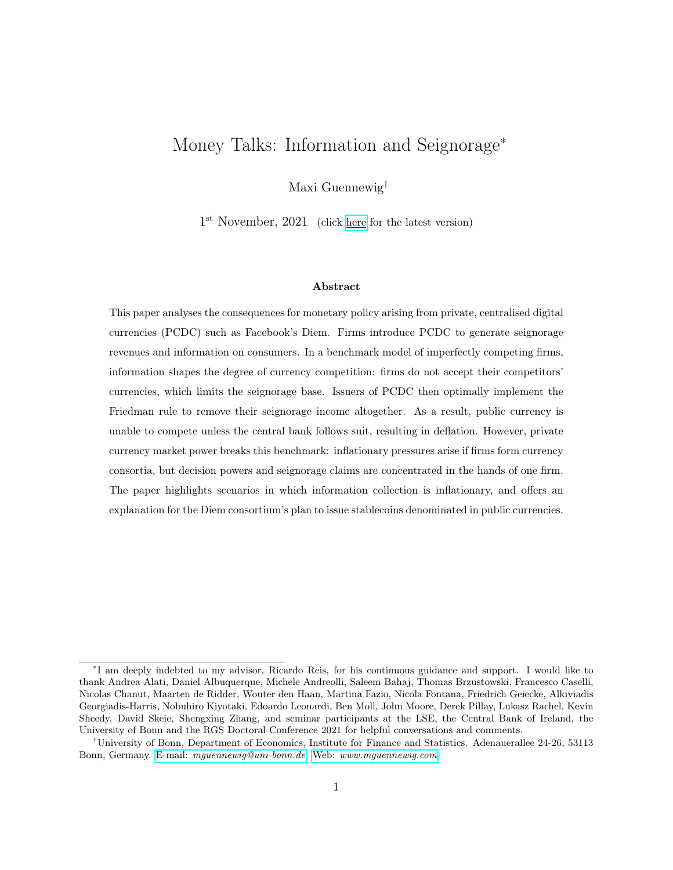function, the real wage and thus real marginal costs for all firms in this economy are given by

$$
w_t = mc_t = 1 \qquad \text{for all } t \tag{23}
$$

### 4.1.3 Payment technologies: Money

The payment technology of Section 3 is now modelled as money: consumers need to hold currency in order to facilitate transactions of the money consumption good. In particular, they face a cashin-advance (CIA) constraint. The timing assumption is that of Lucas and Stokey (1987): the "cash market" opens after the "credit market". Search takes place when the credit market is open, and consumers choose their cash balances in order to purchase goods from the firms they have visited. Consumption finally takes place at the end of the period.<sup>25</sup>

Firm f's currency introduction and acceptance decision is given by

$$
f = (\gamma, \gamma^{f, \mathsf{\$}}, \gamma^{f, \mathsf{\$}}) \tag{24}
$$

Conditional on all private currencies being introduced, the CIA constraint faced by consumer j at firm  $f$  is therefore given by

$$
p_t^f C_t^f \qquad \gamma^{f,\$} \frac{M_t^{\$}}{P_t} + \frac{e_t M_t}{P_t} + \gamma^{f,\$} \frac{e_t^{\$} M_t^{\$}}{P_t} \tag{25}
$$

with a corresponding currency decision and resulting CIA constraint for firm  $g$ . One unit of real money allows for one unit of real money good expenditure. For a given currency, this is only true if the firm also accepts this currency. As an example, if  $\gamma^{f,\$} = 0$ , then Dollar holdings do not enable consumption purchases with firm  $f$ . The CIA constraint above imposes that firms always accept their own private currency as means of payment.

#### Assumption. Consumers perfectly anticipate which currencies each firm accepts.

This assumption ensures that firms do not forgo any revenues by not accepting a particular currency. Since PCDC are newly being introduced, this assumption initially boils down to the public currency being widely used as an alternative form of payment. Casual empiricism from the world of digital giants, as discussed in the previous section, further suggests that the network effects of not accepting

 $^{25}$ An alternative timing specification is presented in Appendix E.1. The results are unchanged.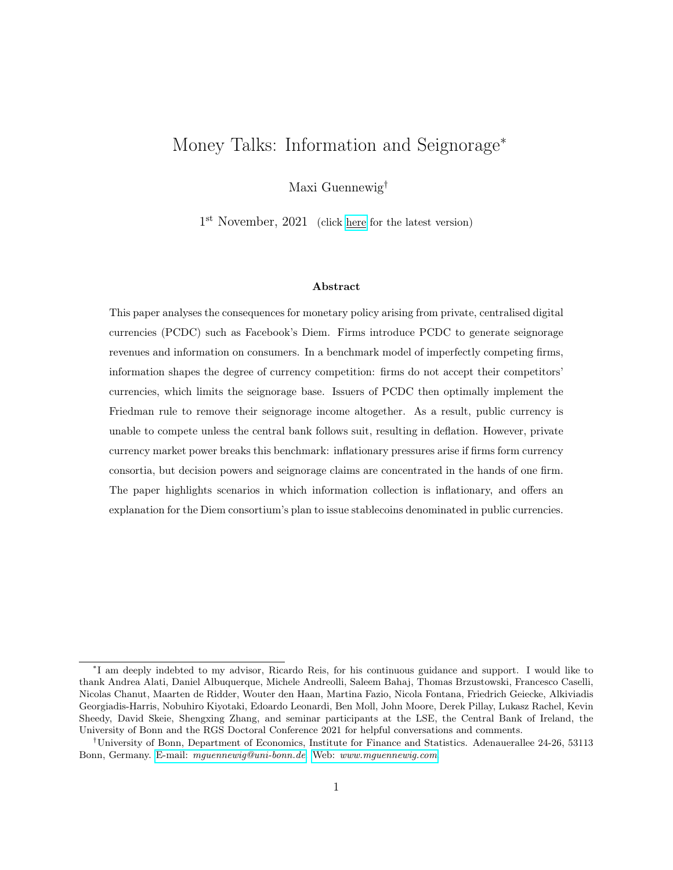PCDC are not reducing revenues to the extent that firms want to accept competitor technologies. Perhaps more controversially, this assumption also implies that firms are more willing to form digital currency areas by not accepting the public currency. I certainly plan to revisit the question of such network effects, particularly the effects of not accepting PCDC on smaller firms, in future work.

Given this setup, the OLG structure helps address a feature of the cash-in-advance model: consumers need to hold real money balances proportional to their consumption expenditure but there is no direct exchange of money and goods. Consumers enter the following period with exactly the same amount of nominal money even if they have consumed. Including a third period in which money holdings unravel is useful since money has no value to consumers when they have died, and they would otherwise strategically reduce their money good consumption when middle-aged. Furthermore, the model requires an infinite horizon for money holdings of old consumers to be valued: younger generations need to demand money in order to purchase consumption goods.

## 4.2 Money balances and demand schedules

Given the problem's set-up, this section provides a summary and intuitive discussion of the consumer optimality conditions. A formal, step-by-step solution to the consumer problem, including the full set of optimality conditions, is presented in Appendix D. The equilibrium of this economy is defined in Appendix D.1.

Importantly, the monetary framework nests the equilibrium mechanism of Section 3. As in the partial equilibrium model, firms have market power due to the search frictions and charge monopoly prices which are independent of consumer types—all consumers face the same prices in all time periods. Hence, the consumers' decisions when young do not affect future payoffs. It follows that consumers maximise present utility in each time period when determining money balances and interacting with producers of the money good.

First, the optimality conditions for credit good consumption establish the equilibrium relationship between nominal and real interest rates as well as the inflation rate. Assuming separability and quasi-linearity of the utility function, combined with constant wages  $w_t = 1$ , renders the credit side of the economy super-neutral with respect to monetary policy. It follows that credit good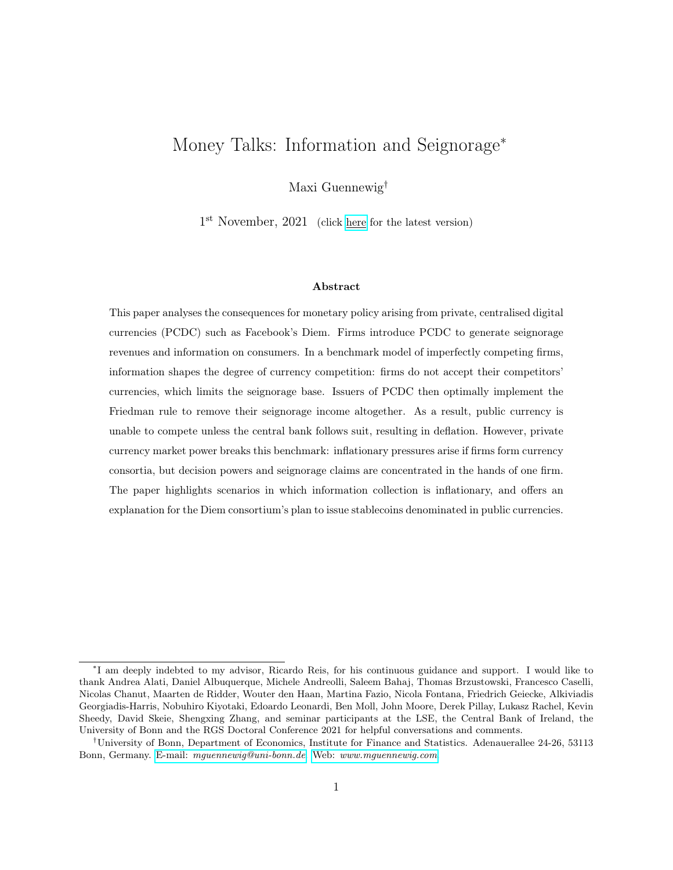consumption is equal for all time periods  $t$  and consumer ages  $A$ :

$$
X_{A,t} = X \tag{26}
$$

Intuitively, given the unit real wage, consumers can always purchase one more unit of the credit good by supplying an additional unit of labour. The real interest rate of the economy is then pinned down by the time rate of preference:  $1 + r_t = \beta^{-1}$ . For all currencies  $z \neq \beta$ , , Gg, define the inflation rate  $\pi_{t+1}^z$  as the change in their price relative to the credit good over time. The first order conditions for bonds for all consumers, regardless of their type and asset holdings, simplify to the Fisher equation (here expressed in bond prices):

$$
Q_t^z = \beta (1 + \pi_{t+1}^z)^{-1} \tag{27}
$$

The price of bonds needs to compensate for the fact that consumers discount the future and that nominal bonds change real value over time, captured by the inflation rate.

Second, consumers only hold money in order to enable consumption purchases. To illustrate, let  $\tau_t^z = (1 \t Q_t^z)$  denote the difference in prices of money and bonds. Money is dominated by bonds in terms of returns whenever  $Q_t^z < 1$ . Thus,  $\tau_t^z$  exactly captures the cost of holding money. Intuitively, whenever  $\tau_t^z > 0$  for all currencies z, consumers do not hold currencies that are not accepted by firm  $i$ ; if multiple currencies are accepted, they hold the currency with the lowest cost. Furthermore, consumers do not hold real money balances in excess of their real money good expenditure. Let  $\tau_t^i$  denote the lowest opportunity cost among all currencies accepted by firm *i*. Appendix D.2 formally shows that consumer  $j$ 's CIA constraint is binding whenever holding money to purchase consumption goods from firm *i* is costly,  $\tau_t^i > 0$ :

$$
m_{A,j,t} = p_t^i C_{j,t}(\theta_{A,j}, p_t^i, \tau_t^i)
$$
\n(28)

where  $m_{A,j,t}$  denotes the equilibrium real money portfolio of the consumer at time-t. If  $\tau_t^i = 0$ , there is no opportunity cost of holding money and the CIA constraint is slack.<sup>26</sup>

Third, the demand schedule for the money good that maximises present money good utility is

<sup>&</sup>lt;sup>26</sup>The solution also implies a zero lower bound on nominal interest rates for all currencies  $z \nvert 2 \rvert$   $\mathfrak{F}, \quad$ , Gg:  $Q_t^z$  = 1,  $i_t^z$ 0. For negative interest rates, markets for bonds and money do not clear: consumers want to borrow infinite amounts at negative rates to purchase money which pays zero interest.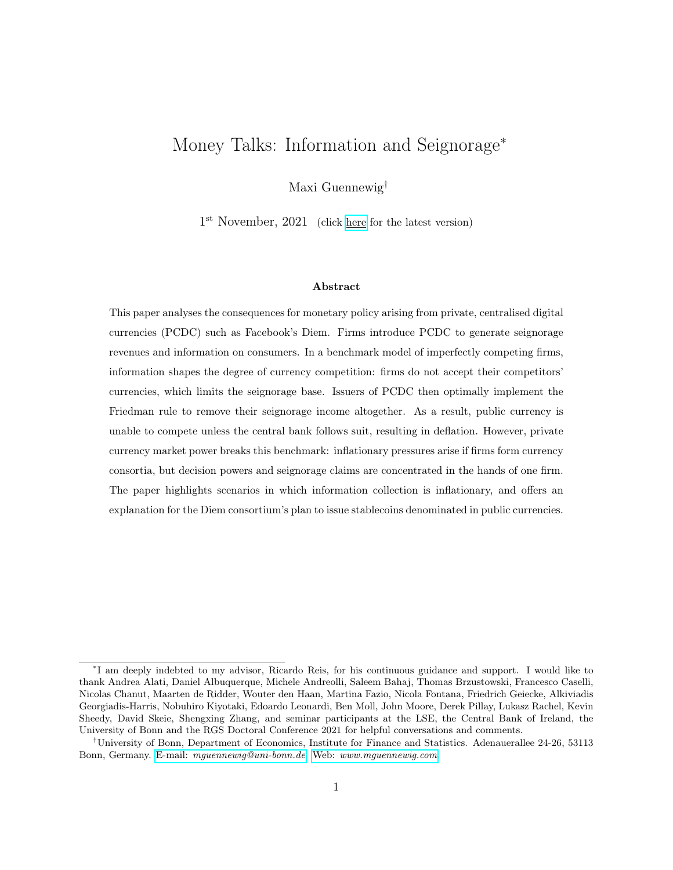given by

$$
C(\theta_{A,j}, p_t^i, \tau_t^i) = \theta_{A,j} \left[ \frac{\alpha}{p_t^i (1 + \tau_t^i)} \right]^{\frac{1}{1 - \alpha}} \tag{29}
$$

Compared to Section 3, the demand schedule is now a function of the seignorage-adjusted price: firms charge a price  $p^i$  which is scaled up by the opportunity cost of having to hold a currency that is accepted in exchange. If  $\tau_t^i = 0$ , bonds and money have the same return. There is no opportunity cost of money and consumers pay the real price only once. If  $\tau_t^i > 0$ , consumers pay the full price once to firms, and another  $(\tau_t^i)$ -times to the issuer of currency. As  $\tau_t^i$  approaches one—or equivalently, the corresponding bond price approaches zero and inflation in this currency approaches infinity—consumers have to hold an asset that fully loses its real value in the process. Thus, they pay the full price a second time.

Finally, consumers visit the firm which they expect to charge the lowest seignorage-adjusted price. This is true for any age. When consumers are middle-aged, they receive an advertising message from firms. For equal seignorage-adjusted prices, they visit the more heavily advertising firm. Otherwise they randomly choose a firm. When consumers are young, they do not receive an advertising message and randomise immediately for equal seignorage-adjusted prices. Due to the assumption of infinite search costs, consumers only ever visit one firm to obtain a price offer in a given period. As before, let the consumer's initial search strategy be denoted by  $\psi^j$  2 ff, gg.

## 4.3 Producers issuing PCDC remove the opportunity cost of money

Given search frictions and resulting market power, firms set their prices in each period as if they were monopolists. In contrast to Section 3, the model now contains two types of (money good) producers: those that do not issue private currency and need to accept the public currency; and those that have introduced a PCDC. The consumer demand schedule of Equation (29) reveals that consumers consider two factors: the real price  $p_t^i$  in terms of the numeraire, and the opportunity cost of money captured by  $\tau_t^i$ . For a firm without private currency, the firm sets the price and the central bank implements a particular seignorage tax rate. A producer that issues private currency chooses both: it charges a price and controls monetary policy for the currency used in the transaction. This subsection first characterises monopoly pricing for firms that transact in the public currency. It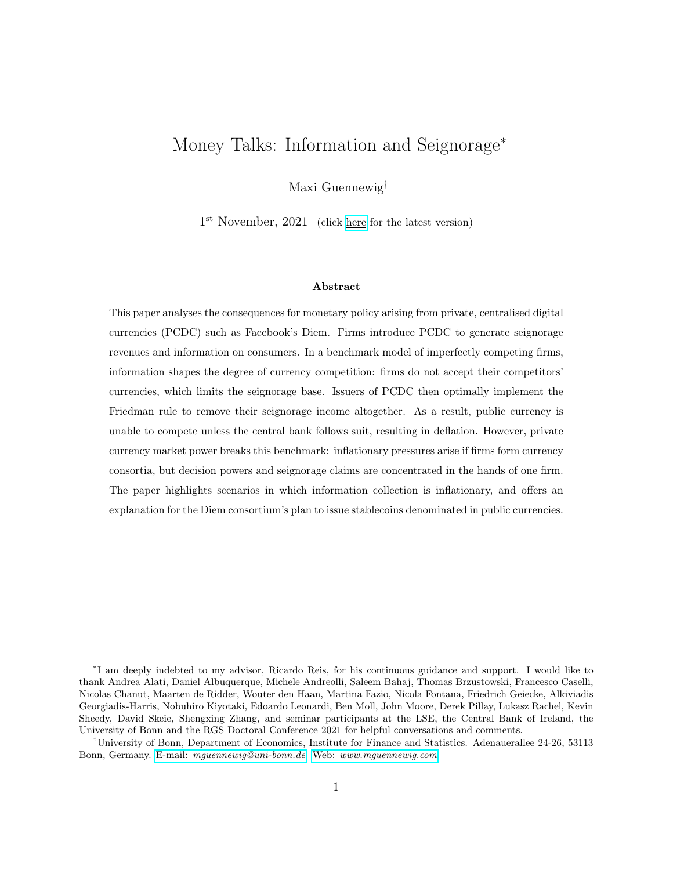then jointly characterises product pricing and private monetary policy for firms that transact in their private currency.

Consider firm *i* that transacts in the public currency and does not obtain seignorage revenues on a given transaction with consumer  $j$ . The firm's corresponding profits are given by

$$
\dot{t} = \left(p_t^i \quad 1\right) C \left(\theta_{A,j}, p_t^i, \tau_t^{\$}\right) \tag{30}
$$

Firms charge the same price as in the partial equilibrium Diamond search game, but profits are distorted by the opportunity cost of holding Dollars. Taking public monetary policy as given, firms maximise profits. Importantly, firms optimally do not internalise the Dollar opportunity cost, and profits are directly reduced by the seignorage tax:

$$
p = arg max_{\begin{array}{c} \hat{t} \\ p_t^i \end{array}} \begin{array}{ccc} i \\ t \end{array} \end{array} \begin{array}{c} i \\ ( \theta_{A,j}, \tau_t^{\$} ) = \kappa \theta_{A,j} \left( 1 + \tau_t^{\$} \right)^{\frac{1}{\alpha - 1}} \end{array} \tag{31}
$$

Next consider firm  $f$  which issues Diem. The opportunity cost of money is exactly the seignorage income of the issuer of money.<sup>27</sup> Diem is modelled as a stablecoin: it is backed with Diemdenominated bonds that have been issued by the household.<sup>28,29</sup> For every unit of money issued at price one, firm  $f$  purchases a unit of bonds at price  $Q_t$ . The firm's total seignorage revenues,  $s_t$ , are then given by  $s_t = \tau_t m_t$ . Positive seignorage revenues require  $\tau_t > 0$ , implying a binding CIA constraint. Equation (29) stresses how seignorage acts as a tax on consumption: the opportunity cost of money directly scales up the firms' prices.<sup>30</sup> The expression for seignorage revenues also stresses the link between the seignorage tax rate, bond prices and inflation. As  $\tau_t$  increases,  $Q_t$ falls; by Equation (27), this corresponds to an increase in the inflation rate  $\pi_{t+1}$ .

Given Proposition 1, I postulate that firm  $g$  does not accept Diem in order not to generate information for their competitor. I verify this postulate having jointly characterised optimal product pricing and private monetary policy for firm  $f$ , and having discussed the consequences for public

 $^{27}$ A full derivation of seignorage income from the firm's flow budget constraint is provided in Appendix D.5.

<sup>28</sup>Section 6.2 discusses an economy in which only Dollar-denominated bonds exist.

<sup>&</sup>lt;sup>29</sup>Households are perfectly happy supplying bonds in exchange for money as long as the real bond return does not exceed  $1 + r_t = \beta^{-1}$ . Since  $w_t = 1$ , every unit of interest payments will have to be made up by supplying one unit of labour in the future, but the disutility from supplying labour is discounted by the rate of time preference  $β$ .

<sup>&</sup>lt;sup>30</sup>Although not explicitly modelled here, the government's seignorage income can be obtained in perfect analogy. If the government issues bond to borrow from households, then the seignorage income is the interest expenditure saved when issuing money, a zero-interest liability.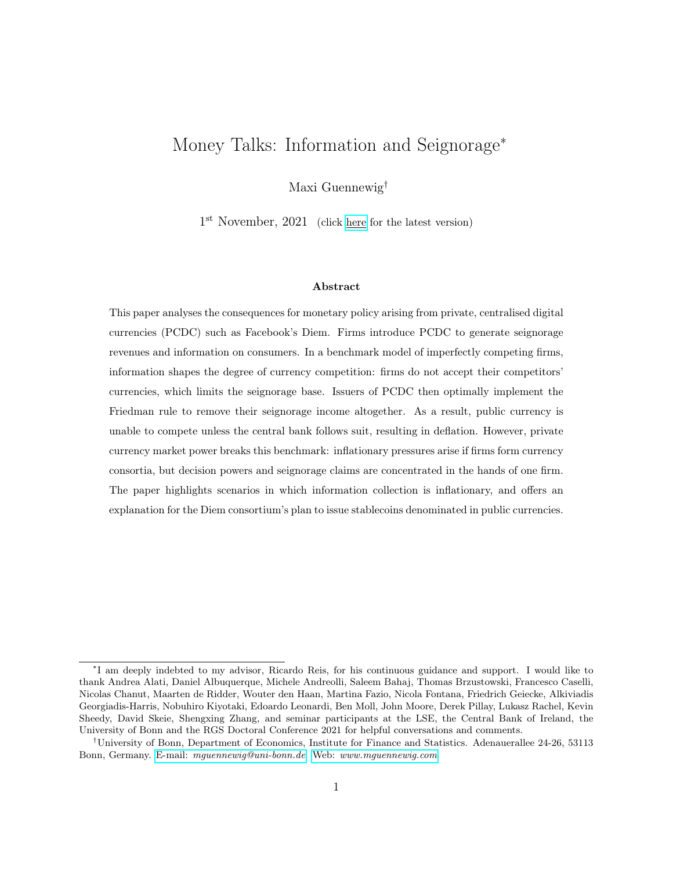monetary policy. It follows that—whenever seignorage revenues are positive and the CIA constraint binds—Diem holdings are exactly equal to purchases from firm  $f$  using Diem:

$$
s_t = \tau_t \ p_t^f \int_{f \psi^j = fg} C \left( \theta_{A,j}, p_t^f, \tau_t \right) dj \tag{32}
$$

The profit-maximisation problem of firm  $f$  is then given by

$$
\max_{p_t^f, \tau_t} \left( p_t^f(1 + \tau_t) - 1 \right) \int_{f \psi^j = fg} \theta_{A,j} \left[ \frac{\alpha}{p_t^f(1 + \tau_t)} \right]^{\frac{1}{1 - \alpha}} dj \tag{33}
$$

The following proposition jointly characterises private monetary policy and product pricing:

Proposition 2 (Profit-maximising private monetary policy). A producer of the consumption good, who also supplies the money used in the transaction and controls the associated inflation rate, chooses a seignorage-adjusted price satisfying

$$
p_t^f(1 + \tau_t) = p \tag{34}
$$

While continuing to charge a seignorage-adjusted price corresponding to the monopoly price, the firm optimally removes the opportunity cost of money. It does so by providing product discounts, pursuing a private monetary policy of  $\tau = 0$ , or implementing a combination of the two.

Firm f charges a real price  $p_t^f$  $_t^I$ . At the same time, consumers need to hold money to purchase consumption goods and are subject to the associated opportunity cost. This is captured by  $(1 + \tau_t)$ . Consumers pay the real price once directly to firms, and another  $(\tau_t)$ -times indirectly to the issuer of currency as seignorage tax. Importantly, if a transaction takes place in private currency, the tax rate is also set by firm f. As the supplier of Diem and therefore recipient of seignorage revenues, firm f maximises the total sum of producer profits and seignorage tax income. In doing so, they perfectly internalise any equilibrium effects. Thus, the firm optimally implements a private currency variant of the Friedman rule, removing the tax income altogether. Firms obtain a degree of freedom: they can implement any private monetary policy and then set prices accordingly. Firm  $f$  charges exactly that seignorage-adjusted price—consisting of a real product price and the opportunity cost of money—which maximises total profits. The breakdown between product profits and seignorage revenues is irrelevant to firm  $f$ .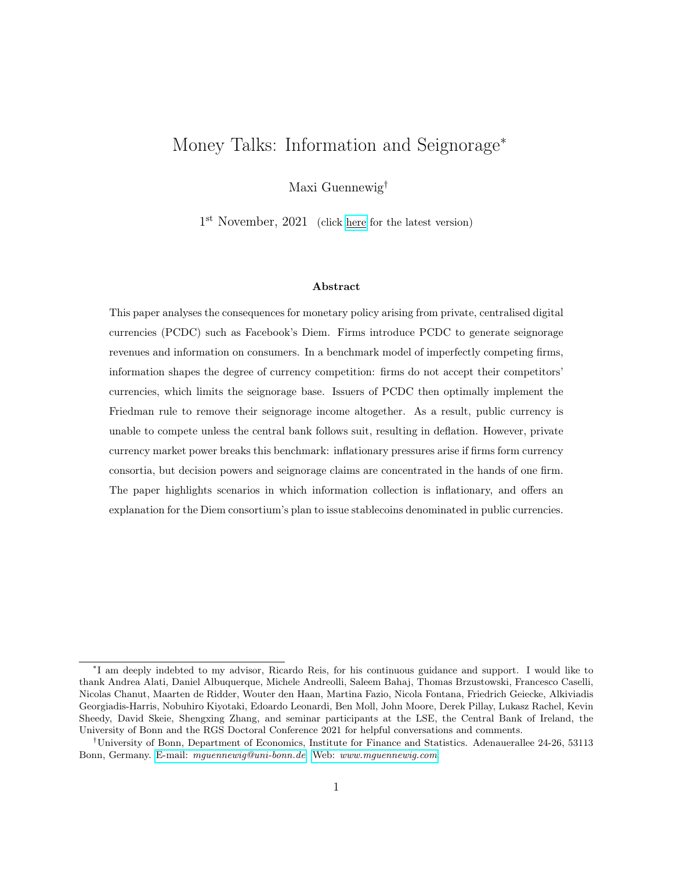The result of Proposition 3 appears surprising in the context of proposed regulation. Regulators worry that issuers of Diem inflate away the value of their currency in order to increase profits, hurting consumers in the process. The model suggests that the equilibrium effect goes in the exact opposite direction: firms remove the opportunity cost of holding money, which in the case of  $\tau_t = 0$ is associated with deflation (Equation 27).

Corollary 1 (Currency design equivalence). If firms were allowed to pay interest on private currency in the model, Proposition 2 would extend to interest payments. Firms are indi erent between implementing  $\tau_t = 0$ , or fully compensating for inflation using either price discounts or interest payments on currency.

Given the private currencies' digital nature, it is technologically feasible to pay interest on money holdings. Corollary 1 helps explain why the Libra White Paper v2.0 (April 2020) proposes to design Diem as non-interest-bearing currency: consumers can be incentivised to hold Diem through different measures other than interest payments. Considering the regulators' worries about the consequences arising from the introduction of PCDC, this result is again surprising. One suggested policy to mitigate the consequences is to prevent issuers of PCDC from paying interest. The model suggests that such a policy does not have any bite. It prevents issuers of PCDC from adding a feature to their currency which they do not need to add. It also cannot avoid the consequences for monetary policy outlined below.

Crucially, the results obtained in this section rely on the fact that the issuer of PCDC obtains seignorage revenues corresponding exactly to its product sales. Consumers only hold Diem in order to transact with firm f. This section should therefore be considered a benchmark. Section 5 discusses currency consortia more generally in which seignorage revenues may not be distributed according to sales shares. Section 6 introduces policies that affect seignorage revenues, i.e. through macroprudential policies which limit how firms can invest the proceeds from issuing money.

### 4.4 The presence of a PCDC pushes nominal interest rates to zero

Having characterised the seignorage-adjusted prices that firms charge in different currencies, I am now ready to derive the consequences for private and public monetary policy. Suppose only firm f has introduced their private currency Diem. Since I fix the firms' introduction decisions, let me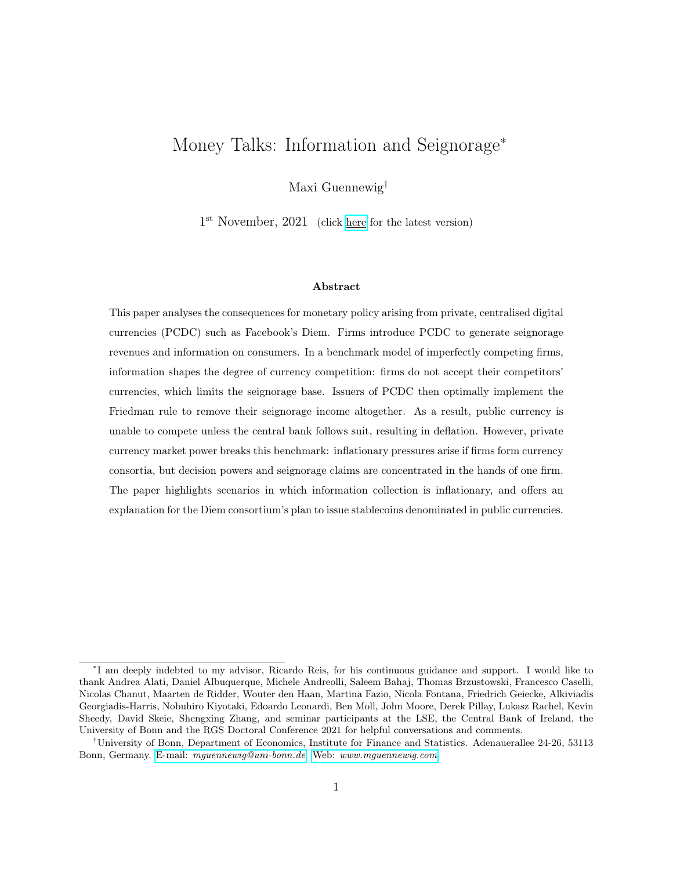call this scenario partial equilibrium. The partial equilibrium is interesting to discuss for various reasons. First, understanding partial equilibrium payoffs is required to fully characterise the best response of a competing firm upon the introduction of a private currency. Second, if seignorage does not provide an advantage over the competitor in equilibrium (which I show below), then counterinnovations in payment technologies need not take the form of currencies. Lastly, there may be first mover advantages outside of the model: examples include network effects, or the regulator's lack of appetite for another digital currency run by some digital conglomerate in the future.

Corollary 2 (Search and choice of currency). Suppose  $\tau_t^{\$}>0$ . Consumers only visit firms which have introduced their own private currencies. Whenever these firms accept the Dollar and their private currency, consumers prefer to transact using the private currency.

Proposition 3 (Monetary policy consequences for one-sided introduction). Suppose the government supplies a positive amount of money,  $M_t^{\$,s} > 0$ . Then money markets only clear it

$$
\tau_t^{\$} = 0 \qquad , \qquad i_t^{\$} = 0 \tag{35}
$$

Given the pricing formula for bonds, this policy is associated with deflation:  $\pi_{t+1}^s = \beta \quad 1 < 0$ .

Consumers rationally form beliefs about firms' prices. Given optimal product pricing combined with private monetary policy, and unless  $\tau_t^{\$} = 0$ , purchasing at firm f using Diem is less costly than a) using the Dollar at firm f, and b) purchasing at firm g. Suppose  $\tau_t^{\$} > 0$ . No consumer visits firm  $q$ 's store, and thus aggregate consumption of the money good provided by firm  $q$  is zero. Since no consumer uses the Dollar at firm f, the non-negativity constraint binds, and  $M_t^{\$} = 0$ . Therefore money markets cannot clear if the government supplies a positive Dollar supply,  $M_t^{\$, S} > 0$ , unless  $\tau_t^{\$} = 0$ . Seignorage revenues accruing to the currency-supplying firm lower their seignorage-adjusted prices; these prices are only matched by the competing firm in the absence of any government seignorage revenues. That is, the central bank's interest rate needs to satisfy  $i_t^{\$} = 0$ .

### 4.5 Model equivalence for Friedman rule

Upon the introduction of a PCDC, the obtained consumption levels are those that would be achieved in a pure Dollar economy in which the central bank follows the Friedman rule. Here, in equilibrium,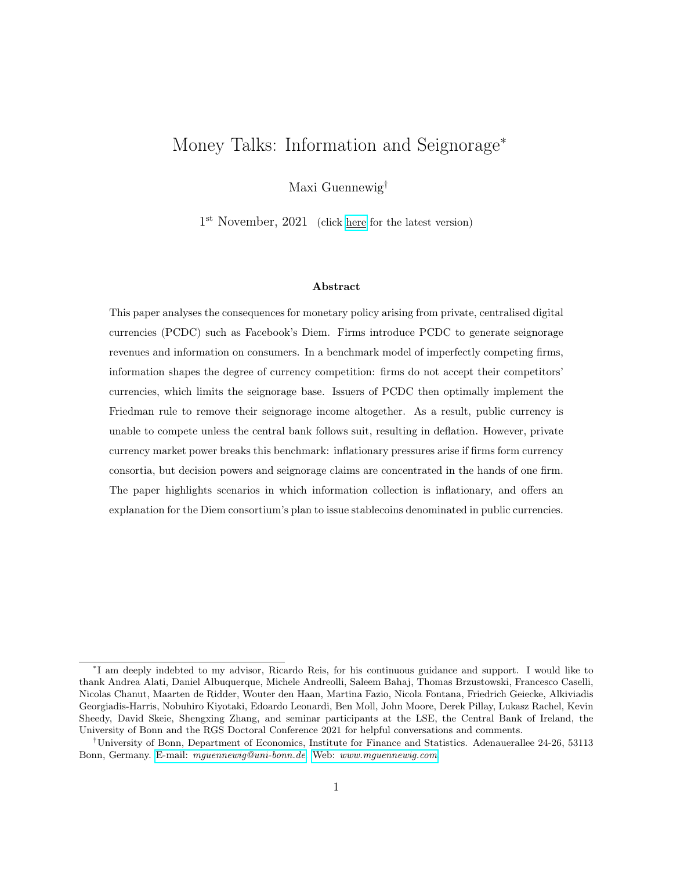this Friedman rule is privately enforced. The PCDC disciplines the public currency, and the central is forced to remove the opportunity cost of holding money by setting nominal interest rates to zero.

Corollary 3. By Proposition 3, the government is forced not to raise seignorage taxes. Once all seignorage taxes are removed, the competitor firm's problem in the monetary framework mirrors the problem in the partial equilibrium model of Section 3.

Given the monetary framework's equivalence to the partial equilibrium model once the opportunity cost of money has been removed, the firms' currency acceptance and advertising decisions are unchanged relative to Section 3. Firms never want to generate information for their competitors, and hence do not accept other firms' currencies in analogy to Proposition 1. This verifies the postulate that firms do not accept competitor currencies:

$$
\gamma^{g,} = 0 \tag{36}
$$

## 4.6 Welfare and e ciency

Forcing the government to implement the Friedman rule is welfare-improving. Money serves the vital role of facilitating transactions, and levying a tax on money balances reduces consumption. However, the allocations achieved following the Friedman rule are not efficient due to the search frictions, giving rise to monopoly pricing. Firms still sell their products at prices exceeding marginal costs.

### 4.7 Both firms introduce a private currency if information rents are large

The equilibrium private currency introduction decisions are discussed in detail in Appendix B. In short, the model features a first mover advantage. Both firms reap the equilibrium seignorage rents equally from a one-sided introduction of PCDC. Firm  $f$  forces the government to implement the Friedman rule and remove their seignorage tax, which by Equation (31) leads to an increase in firm g's profits. However, once information on consumers is being generated, firm f exploits it to improve their customer base at the cost of firm  $q$ . The first mover therefore trades off the sum of seignorage and information gains from introducing a private currency against a fixed cost of doing so. The second mover then only trades off the information gains against the fixed cost. Only if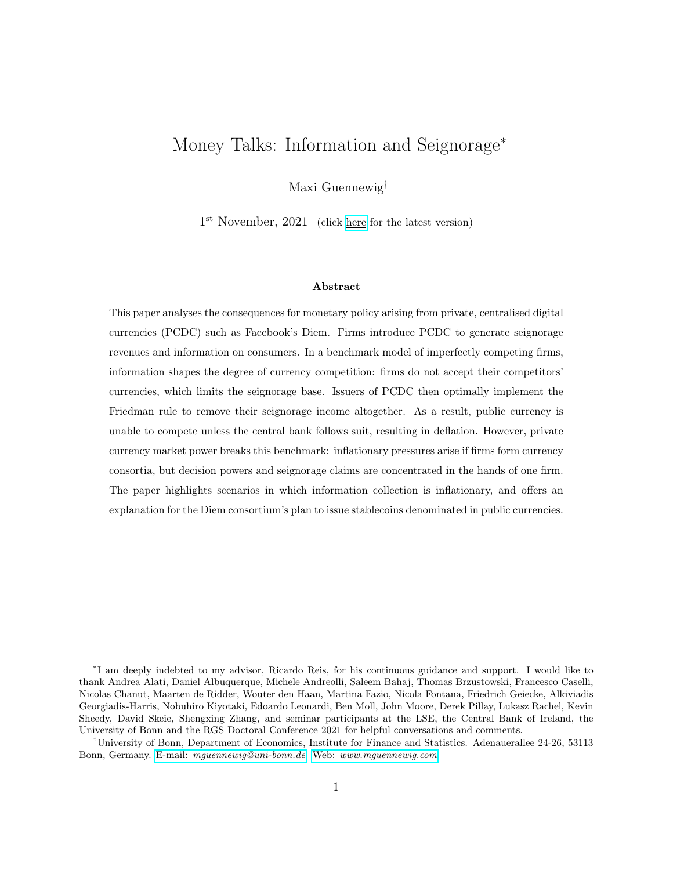these information gains are large, both firms benefit equally. If the information gains are small relative to the fixed cost, only one firm introduces a PCDC and gains an information advantage on the competitor firm.

## 5 Industrial organisation of currency consortia

In the benchmark of Section 4, firms internalised the opportunity cost of holding money due to seignorage revenues. Monetary policy was forced to follow suit and implement a zero interest rate policy. Inspired by the institutional set-up of Diem as a currency consortium consisting of multiple firms and initiated by Facebook, I now consider seignorage dividend structures more generally, and discuss their effect on equilibrium inflation outcomes.

### 5.1 Environment

In this section, consumption utility is derived from two money goods:

$$
U_{A,j,t} = U(X_t) + \left(C_t^f\right)^{\alpha} + \left(\chi \theta_{A,j}\right)^{1-\alpha} \left(C_t\right)^{\alpha} N_t \tag{37}
$$

For simplicity, and to isolate the mechanism, I assume that firm f supplies the first money good,  $C<sup>f</sup>$ , as a monopolist. The market for the second money good, C, mirrors the money good market of the previous section, and so do the consumers' optimality conditions. Two firms  $(f, g)$  produce the second money good, and consumers have to sequentially search for price offers from these firms. The parameter  $\chi$  determines the relative size of the second market. Let  $\theta$  denote the firm f 's average customer base. Information helps improve this customer base. The parameter thus captures the information gains in the second money good market relative to the information gains in the first money good market.

Consider the partial equilibrium scenario in which firms  $(f, f)$  have formed a currency consortium that issues Diem, the only private money in the economy. I assume that firm  $f$  is the consortium leader, deciding on Diem monetary policy and thus on the corresponding seignorage tax rate.<sup>31</sup> I refer to firm  $f$  as the consortium member.

 $31$ One interpretation is that the leading firm determines the initial private currency set-up, including private monetary policy, and the second firm joins the currency consortium afterwards taking this set-up as given. The Diem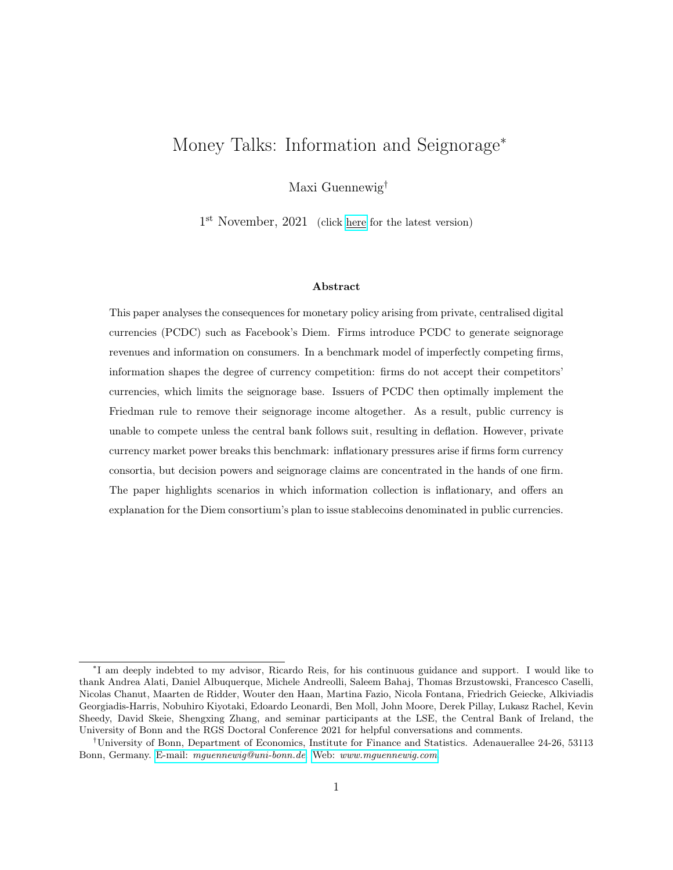As by Proposition 1 and in Section 4, competitor firm  $g$  does not accept Diem given the consortium's information rents. The consortium only obtains seignorage revenues that correspond to the Diem transactions with consortium firms. The parameter  $\eta$  characterises the seignorage dividend structure: the consortium leader receives a share  $\eta$  of the total Diem seignorage revenues. The leader's total profits are then given by:

$$
\begin{array}{lll}\nf &=& \left[p^f(1+\eta\,\tau)\right) & mc\right]C^f\big(p^f(1+\tau)\big) + \eta\,\tau\,p^f\,C\big(p^f(1+\tau),\chi\theta\big) \tag{38}\n\end{array}
$$

The consortium leader maximises profits with respect to its price  $p<sup>f</sup>$  and the Diem seignorage tax rate  $\tau$ , subject to the consortium member's optimal pricing strategy and an upper bound on  $\tau$ :

$$
\tau \qquad \tau(\tau^{\$}, \eta) \tag{39}
$$

The consortium member only sells positive amounts of the consumption good if they charge a weakly lower seignorage-adjusted price than their competitor. If the Diem seignorage tax rate is too high, the consortium member prefers not to be part of the currency consortium and does not generate any seignorage revenues. It follows that the Diem seignorage tax rate is bounded from above.<sup>32</sup> To complete the set-up, I define a notion of private currency market power:

Definition (Ownership concentration). Let the transaction share of the consortium leader relative to the consortium member at a Diem seignorage tax rate of  $\tau = 0$  be denoted by

$$
\varphi = \frac{1}{1 + \chi \theta} \tag{40}
$$

Ownership of seignorage dividend claims is concentrated whenever the consortium leader's dividend share exceeds their transaction share absent of a Diem seignorage tax:

$$
\eta > \varphi \tag{41}
$$

Ownership is not concentrated whenever  $\eta = \varphi$ .

consortium's proposal to issue many public currency-denominated stablecoins before all of the proposed 100 members have joined is one such scenario.

 $32$ Appendix F.1 provides the corresponding profit function for firm f and derives equilibrium pricing strategies for both firms, yielding the leader's profits as a function purely of the Diem seignorage tax rate and parameters  $(\eta, \eta)$  $\chi$ ,  $\theta$ ), as well as the upper bound on  $\tau^{\approx}$ .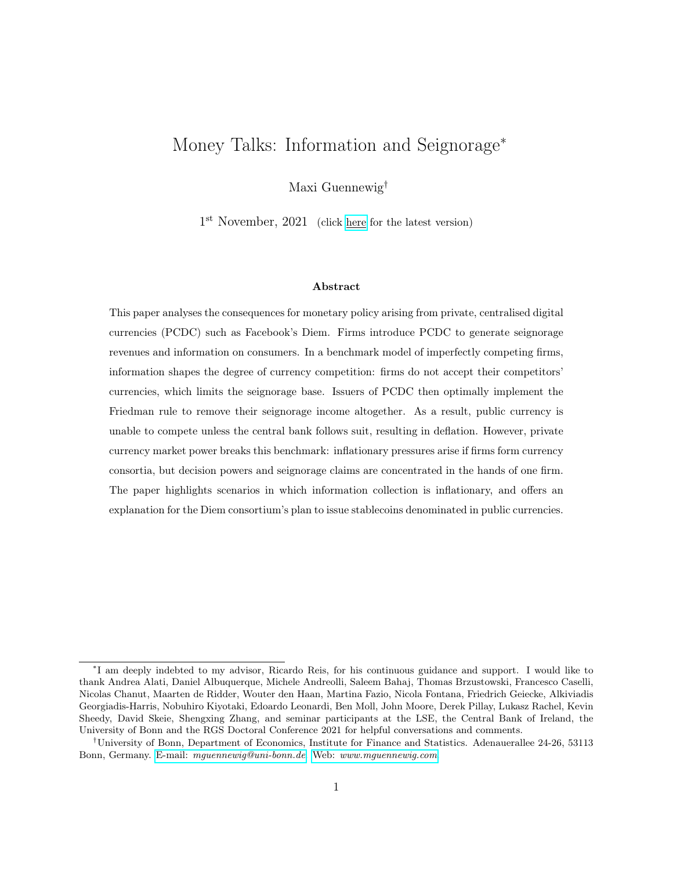### 5.2 Inflationary pressures for large consortia and if ownership is concentrated

Given this set-up, I am now ready to characterise sufficient conditions such that the consortium leader levies seignorage taxes on its consortium member firms.

Proposition 4 (Diem inflationary pressures). The consortium leader implements a strictly positive seignorage tax, inducing inflationary pressures, if at least one of two su cient conditions is met:

- 1. Ownership is concentrated.
- 2. The Diem transaction share of the consortium leader is su ciently small:  $\varphi < \varphi$

Proof: see Appendix F.2. Intuitively, the consortium leader trades off maximising its own product profits and corresponding seignorage revenues against collecting seignorage income generated from the consortium member's transactions. The former is maximised as  $\tau_t = 0$  but this sets the latter to zero. As ownership becomes concentrated, the trade-off tips in the favour of the latter: the consortium leader gains ability to internalise a positive seignorage tax while receiving a larger portion of the tax on the consortium member's transactions. Similarly, as  $\varphi$  decreases, the tax base available to the consortium leader grows relative to its own product profits, and so does the temptation to levy a seignorage tax. One interpretation of Proposition 4 is that inflationary pressures arise as the private currency becomes more commonly used in the economy. Another interpretation is that information becomes inflationary:

Corollary 4 (Inflationary information). When information collection leads to a relative increase in the consortium member's transactions relative to the consortium leader, increasing the seignorage tax base, then information becomes inflationary.

The optimal Diem seignorage tax rate— if the consortium leader were unconstrained by central bank policy—is the solution to a non-linear problem which can only be characterised analytically for a subset of parameter combinations. Hence Figure 1 plots the numerical solution as a function of dividend and transaction shares.<sup>33</sup> It also shows the upper bound on  $\tau$ , here illustrated for a

<sup>&</sup>lt;sup>33</sup>The Figure includes two plots for two values of the curvature parameter  $\alpha \neq 0.75, 0.9q$ . The higher the curvature parameter, the higher the elasticity of substitution between the credit and money goods. Consumer are more willing to switch to credit good consumption, and hence the optimal tax rate, keeping other parameters fixed, is decreasing in  $\alpha$ .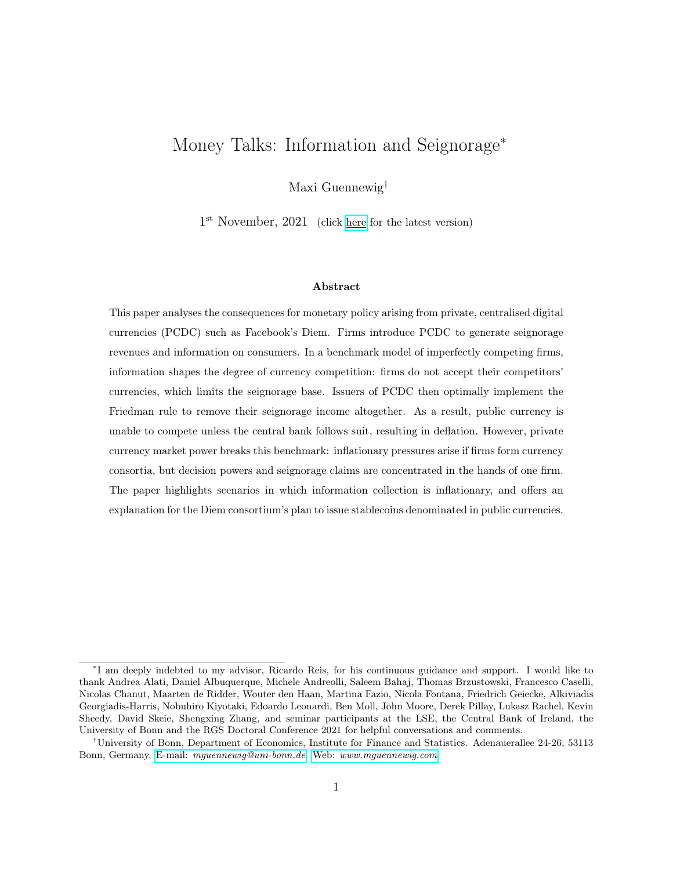desired central bank policy of  $\tau_t^{\$} = 0.06$ . Whenever the unconstrained Diem seignorage tax rate lies above the upper bound, then public monetary policy disciplines private monetary policy. Central bank enjoys full policy autonomy.



Figure 1: Unconstrained profit-maximising Diem seignorage tax rate and its upper bound

## 5.3 Comparative statics

Figures 2 and 3 show comparative statics of the unconstrained Diem seignorage tax rate for the combined market size and relative information gain parameters  $\chi\theta$  as well as the dividend share parameter  $\eta$ . At an equal dividend and transaction share of  $\eta = \varphi = \frac{1}{2}$  $\frac{1}{2}$ , the profit-maximising seignorage tax rate is zero. At this point, decreasing the leader's transaction share or increasing its ownership share leads to an increase in  $\tau$ . Figure 2 demonstrates that the effect of decreasing  $\varphi$  —either increasing the size of the consortium member market  $\chi$  or increasing their market share  $\theta$  due to information—remains positive over the entire parameter space. New consortium members and larger information gains are always (weakly) inflationary.

The effect of increasing the leader's seignorage dividend share  $\eta$  is ambiguous. At a seignorage tax rate of zero, the effect of increasing ownership concentration on seignorage tax rates is positive and large. The consortium leader obtains a larger share of the total seignorage income, gains in ability to internalise the tax' equilibrium effect, and thus prefers to raise taxes. Away from the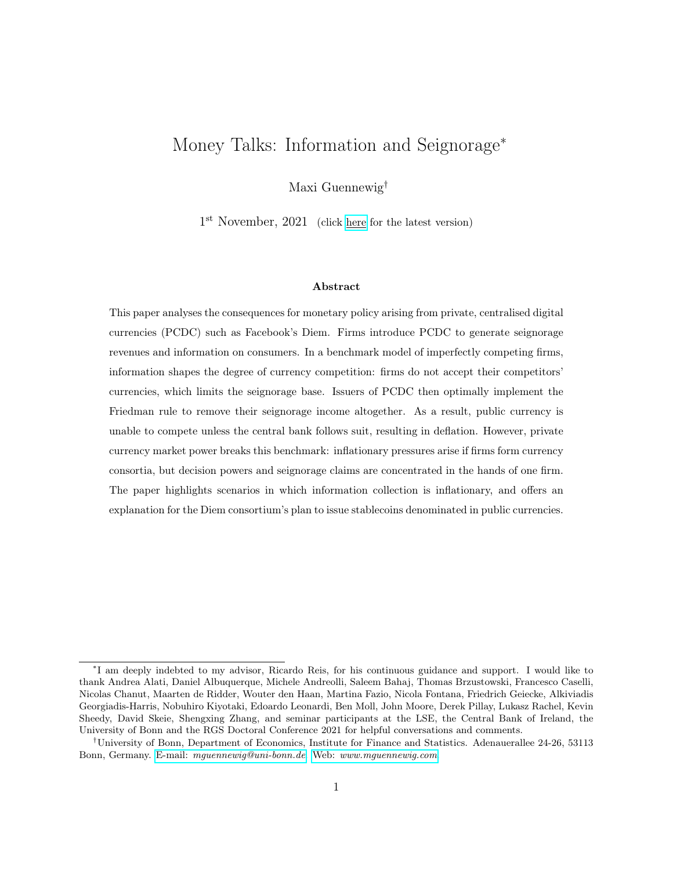

Figure 2: Comparative statics: increasing the consortium member's transaction share



Figure 3: Comparative statics: increasing the consortium leader's dividend share

Friedman rule, the effect is negative, especially if the consortium member's transaction share is large. The reasons is that the consortium leader—if unconstrained by the central bank—charges a high seignorage tax rate. Reducing the consortium member's seignorage dividend share implies that they are less able to internalise the effect of the seignorage tax. Hence, the consortium leader optimally would like to charge a lower seignorage tax rate.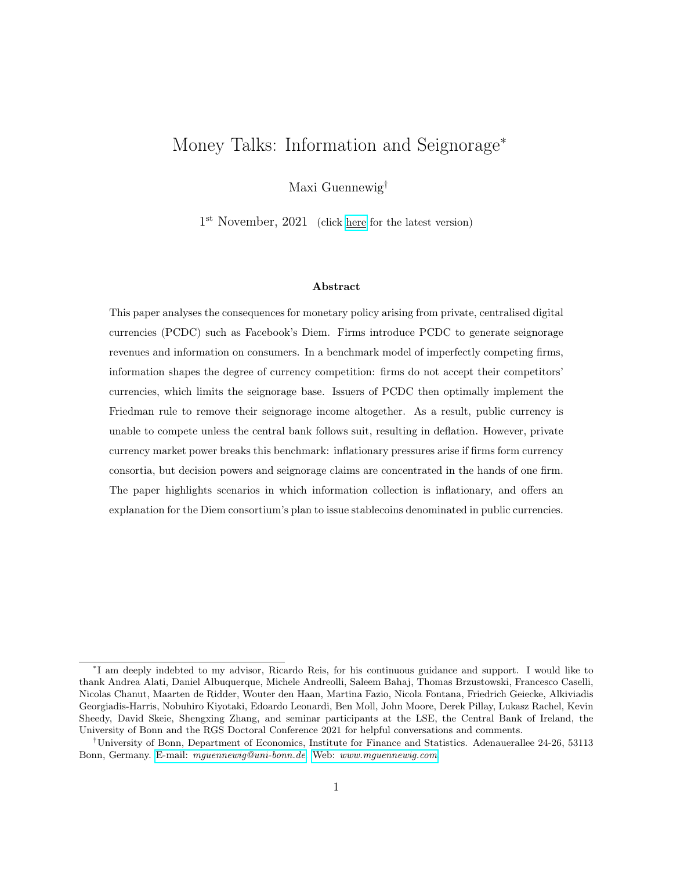### 5.4 Discussion of the proposed set-up of Diem

The fact that the consortium leader may benefit from private currency inflation has implications for the optimal design of private currencies. In particular, the model offers an explanation why the Diem consortium are planning on issuing many stablecoins denominated in public currencies, effectively adopting the public currency as unit of account. Through the lens of the model, this corresponds to a scenario in which the public currency disciplines the PCDC, and the consortium leader maximises their profits by implementing the government's preferred inflation policy. In the same vein, the model helps explain why the Diem association plan on designing their currency as non-interest-bearing.

Information may well be the reason why Diem are willing to adopt public monetary policy. The Diem consortium is lead by Facebook, a firm in the business of collecting information on consumers in order to tailor advertising. If information helps increase its consortium members' market shares, then this incentivises the consortium leader to implement a seignorage tax, which in turn reinstates central bank autonomy.

In sum, this section demonstrates that private currency market power creates inflationary pressures. The general equilibrium concerns remain: in partial equilibrium, firm  $f$  optimally implements strictly positive seignorage tax rates. The counter-innovation incentives for firm  $q$  therefore increase relative to Section 4.

# 6 Extensions

This section presents a variety of further extensions to the benchmark outlined in Section 4. First, paying interest on public currency allows the central bank to escape the zero interest rate environment. Second, regulators fear that issuers of PCDC may be tempted to inflate away the value of their currency if it is backed with assets denominated in another currency. I show that firms cannot increase profits through such capital gains. Lastly, subsection 6.3 evaluates a frequent argument for the success of public currencies: the government can force firms to pay sales taxes in the public currency. Similarly, as seen in China for Alipay and WeChat Pay, the regulator could impose macroprudential policies which force firms to invest proceeds from issuing private currency in central bank reserves.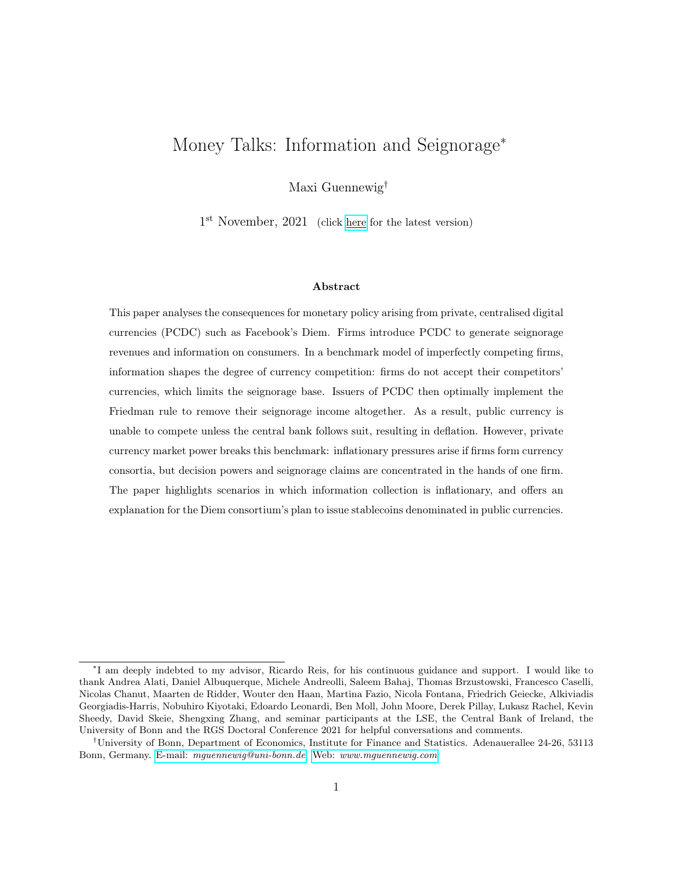### 6.1 Interest-bearing CBDC

In Section 4, the central bank was forced to set a zero nominal interest rate. Here I show that central bank digital currency, paying an interest rate  $i_t^M$ , allows central banks to internalise the opportunity cost of holding public money without giving up central bank autonomy.

Proposition 5. The central bank can escape the zero lower bound by issuing interest-bearing digital currency. The interest rate on digital currency must match the interest rate paid on bonds:

Appendix G.1 presents two variants of the model which formally prove Proposition 5. For a twosided introduction of private currency, the Dollar loses its role as medium of exchange. However, the central bank can convince consumers to hold Dollars even though it does not facilitate transactions. As long as the interest paid on bonds does not exceed the interest received on money, consumers are happy to scale up their balance sheets by purchasing government currency. For a one-sided introduction, consumers only hold Dollars if accepting firms do not charge strictly higher seignorageadjusted prices. Since issuers of private currency internalise the opportunity cost of holding money, the central bank of Section 4 was forced to follow suit and set  $\tau_t^{\$} = 0$  ( $i_t^{\$} = 0$ ). Equivalently, the central bank can compensate consumers by paying sufficient interest on money.

## 6.2 Capital gains due to higher private currency inflation

Previously I assumed that the assets held by firms, household-issued bonds, were of the same denomination as their liabilities, private currency. In this subsection, I assume that bonds may only be issued in Dollars. This could give rise to a motive for higher inflation on the private currency: firms can effectively force consumers to hold the private currency by not accepting the Dollar; then generating a high inflation rate on private currency can lead to an appreciation of the Dollar-denominated assets relative to the liabilities denominated in the private currency. The firm obtains capital gains. This section establishes that issuers of PCDC cannot increase their profits relative to the benchmark using capital gains.

Proposition 6. Suppose the firm only holds Dollar-denominated assets. Then, in equilibrium and relative to the benchmark of Proposition 2, the firm cannot increase profits through capital gains resulting from higher inflation on its own currency.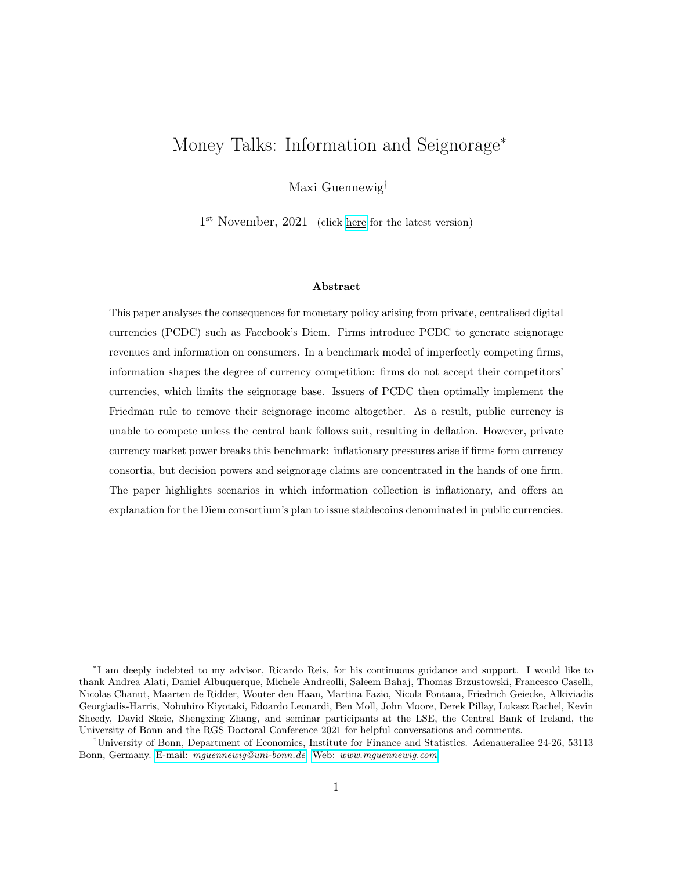The formal proof is provided in Appendix G.2. Intuitively, total profits are broken down into three components: product profits, direct seignorage revenues, and indirect capital gains. However, the profit function mirrors the one in Equation (33). Thus, the result on the jointly optimal private monetary policy and product pricing of Proposition 2 still holds.

$$
\frac{f, total}{t} = \underbrace{\underbrace{f}_{t} (p_t^f, \tau_t)}_{\text{product profits}} + \underbrace{\tau_t^{\$} m_t}_{\text{seignorage}} + \underbrace{(\tau_t \ \tau_t^{\$}) m_t}_{\text{capital gains}}
$$
\n
$$
= \underbrace{f}_{t} (p_t^f, \tau_t) + \tau_t m_t \tag{42}
$$

To deepen the intuition, note that seignorage revenues are governed by the Dollar seignorage tax rate  $\tau_t^{\$}$ . Capital gains however are governed by the difference in the Dollar and Diem seignorage tax rates: for every unit of real Diem balances the firm holds real Dollar bonds, and their relative value increases proportionally in the Diem inflation rate and therefore its seignorage tax rate. On the consumer's side, money holdings are determined by the opportunity cost of holding Diem. The breakdown between direct seignorage revenues and indirect capital gains, captured by the Dollar seignorage tax rate, is irrelevant for consumers. Thus, profits are only affected by the Diem seignorage tax rate and the firm implements a private monetary policy as characterised in Proposition 2.

The general equilibrium consequences for monetary policy are unchanged. Firm  $f$  perfectly internalises the opportunity cost of holding Diem. Firm g is priced out of the market unless  $\tau_t^{\$} = 0$ , forcing the central bank to follow suit.

## 6.3 Forcing firms to hold public currency

A popular argument for the success of government fiat currency is the fact that governments can demand taxes to be paid in public currency. In this section firms need to pay a fraction  $\lambda$  of their sales in tax, payable in Dollars:

$$
\lambda p_t^f C_t^f \quad \frac{M_t^{f,\$}}{P_t} \tag{43}
$$

where  $M_t^{f,$ \$ denotes the Dollar holdings of firm f. It is immediately clear that such a policy leads to positive demand for Dollars whenever firm  $f$  sells any goods to consumers, even if they only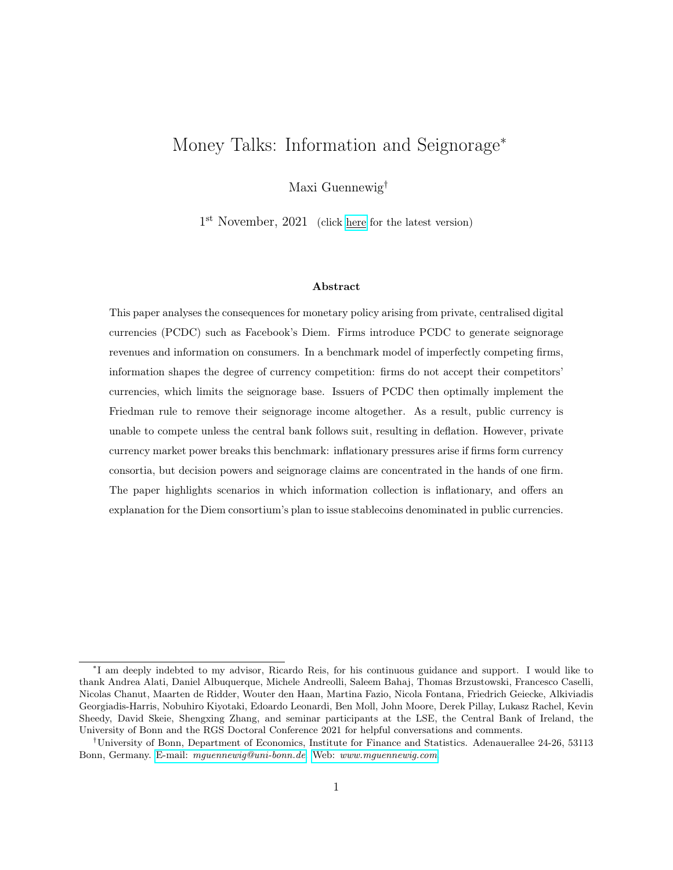accept Diem. This section establishes intuitively that sales taxes payable in Dollars lead to high levels of private currency inflation which, surprisingly, are welfare-improving. A formal derivation of the result is presented in Appendix G.3.

Consider a binding CIA constraint for which real expenditure on consumption goods with firm f correspond to the economy's real Diem balances:  $p_t^f C_t^{m,f} = m_t$ . Firms prefer to hold interestbearing bonds over money, and thus the constraint in Equation (43) binds:

$$
\lambda m_t = \frac{M_t^{f,\$}}{P_t} \qquad (1 \quad \lambda) m_t = \frac{B_t^f}{P_t} \qquad (44)
$$

where  $B_t^f$  denotes firms f's Dollar bond holdings.<sup>34</sup> Total firm profits are then given by:

$$
\frac{f, total}{t} = \underbrace{\underbrace{f(p_t^f, \tau_t, \lambda)}_{\text{product profits}} + \underbrace{(1 - \lambda)\tau_t^{\$}m_t}_{\text{seignorage}} + \underbrace{(\tau_t - \tau_t^{\$})m_t}_{\text{capital gains}}}
$$
\n(45)

Forcing firms to hold a part of their asset portfolio in public currency acts as a tax on direct seignorage revenues, breaking the one-for-one relationship with capital gains of the previous subsection. The firm collects interest only on its bond holdings, but the capital gains accrue for both money and bond holdings. The balance of internalising the opportunity cost of money either through discounts or through deflation tips in favour of high inflation and corresponding product discounts, in order to achieve capital gains.

Proposition 7. Suppose the government forces the firm to pay sales taxes in Dollars. Then both firm profits and consumer welfare are increasing in Diem inflation, and are maximised as

$$
\tau = 1 \qquad , \qquad \pi / 1 \qquad (46)
$$

It follows that private monetary policy is characterised by infinite inflation, associated with higher consumption and thus higher consumer welfare. Consumers have to hold an asset that fully loses its real value in order to purchase a consumption good; however, this good is sold at a low price, possibly below marginal costs, to compensate for the inflation losses. Effectively, capital gains allow the firm to circumvent both the sales tax and the enforced opportunity cost of holding Dollars. Both consumers and firm benefit.

 $34$ Without loss of generality, I maintain the assumption that all household bonds are issued in Dollars.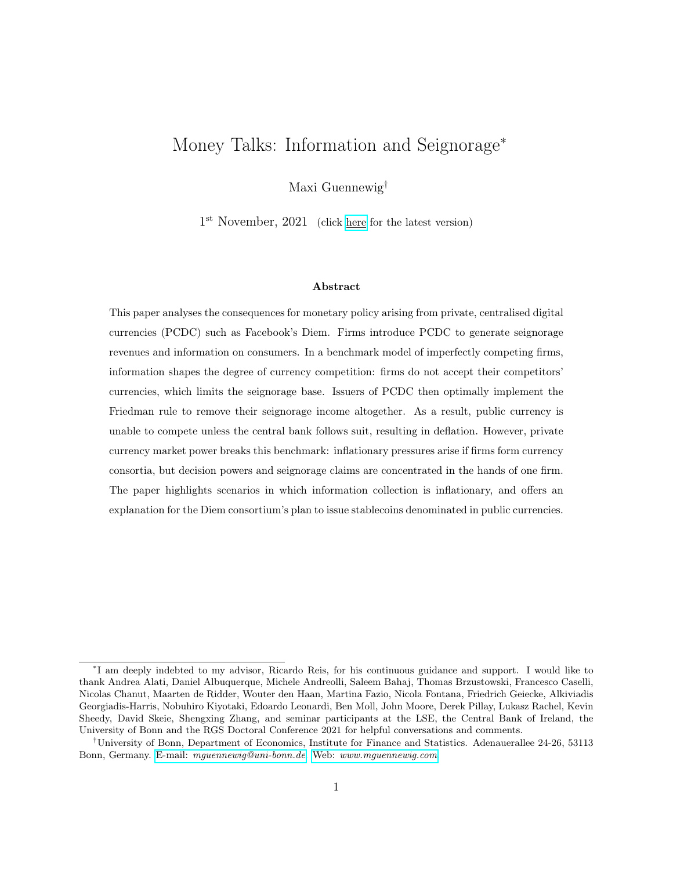General equilibrium. The option to circumvent the sales tax through capital gains combined with product discounts has stark consequences for the competitor firm g, who is fully priced out of the market (see Appendix G.3). Thus, the incentive to counter-innovate and also introduce a digital private currency is extremely high. Since the government forces firms to hold Dollars to pay taxes, the central bank does not need to set nominal interest rates to zero. While public money may lose its role as medium of exchange between firms and consumers, it finds a new role as medium of exchange between firms and government.

Macroprudential policy. Regulating agencies in Europe and the US are in the process of drawing up a rule book for companies issuing stablecoins such as Diem, including restrictions on asset investments. In the model, the equilibrium logic of this subsection is unchanged when firms are forced to hold government currency as a macroprudential measure. Issuers of private currency aim to circumvent the policy by inflating away the value of their currency, achieving capital gains; consumers are compensated with discounts. Profits and welfare are increasing in private currency inflation.<sup>35</sup>

Macroprudential policy for a widely used PCDC. Alipay and WeChat Pay are subject to very tight macroprudential regulation imposed by the People's Bank of China (PBoC). In particular, they need to hold  $100\%$  of their proceeds as reserves with the PBoC.<sup>36</sup> The model helps explain why the value of private currency—the tokens held in digital wallets—is pegged to the value of the public currency, the Renminbi (RMB). Both Alipay and WeChat Pay are widely used with third-party firms. These firms do not give product discounts as they do not receive any seignorage revenues or capital gains. The issuers of PCDC therefore trade off the increase in capital gains against the seignorage and information rents obtained when other firms transact using their technologies. If the latter outweigh the former, then firms prefer to also implement the public interest rate set by the PBoC and peg the value of their tokens to the value of the RMB. If capital gains are sufficiently large, then these firms would prefer to inflate away the value of their currency. In that case, no transactions with other third-party firms would take place using their technologies.

<sup>35</sup>See Appendix G.4 for a formal derivation of the result.

<sup>36</sup>Source: General Office of the People's Bank of China (2018), issue no. 114.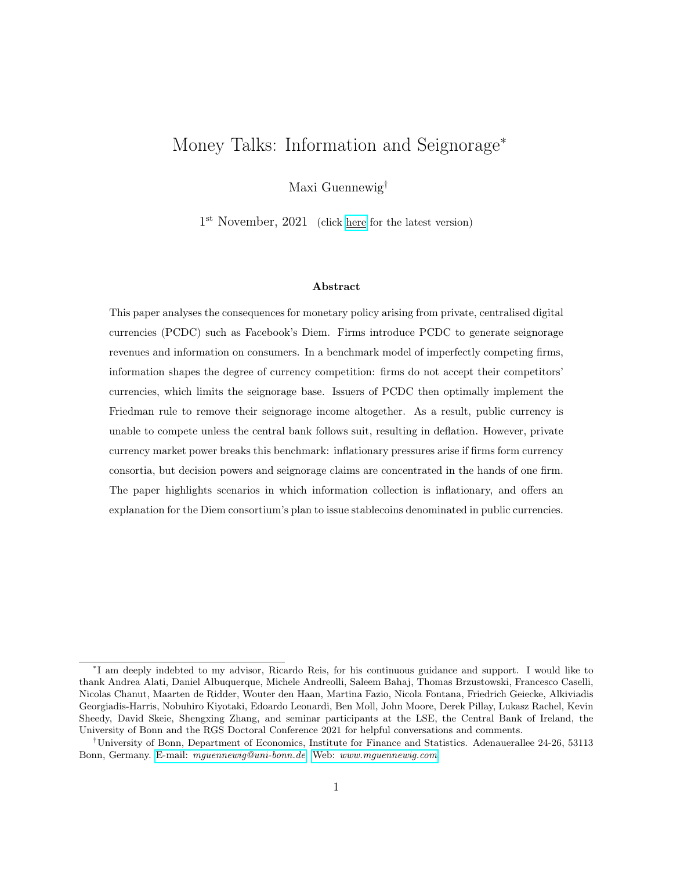## 7 Conclusion

This paper is the first work to formally analyse the relationship between information and seignorage for private digital currencies issued by firms. The model highlights two important interactions between information and seignorage. First, seignorage revenues accrue to the issuer of private currency, but information limits the degree to which firms can collect such seignorage proceeds. The resulting private and public inflation outcomes depend on whether large firms issue currencies on their own, or whether many smaller firms form currency consortia which are dominated by one firm. The central bank loses its policy autonomy in the former case but regains it in the latter. In the second case, information becomes inflationary when it increases the seignorage tax base which the consortium leader can exploit using higher inflation rates. The model helps explain the Diem consortium's plans to issue public currency-denominated stablecoins.

In my analysis, information affects the size of the seignorage tax base, leading to different private and public monetary policy outcomes depending on the institutional set-up of the issuer of private money. Looking ahead, I consider exploring the formation of currency consortia as well as the interaction between information and seignorage in the presence of price discrimination and network effects important and fruitful avenues of future research.

## References

- Acquisti, A. and H. R. Varian (2005): "Conditioning Prices on Purchase History," Marketing Science, 24, 367–381.
- Armstrong, M. and J. Zhou (2011): "Paying for Prominence," The Economic Journal, 121, 368–395.
- Athey, S., I. Parashkevov, V. Sarukkai, and J. Xia (2016): "Bitcoin Pricing, Adoption, and Usage: Theory and Evidence," *mimeo*.
- Benigno, P., L. M. Schilling, and H. Uhlig (2019): "Cryptocurrencies, Currency Competition, and the Impossible Trinity," CEPR Discussion Paper DP13943.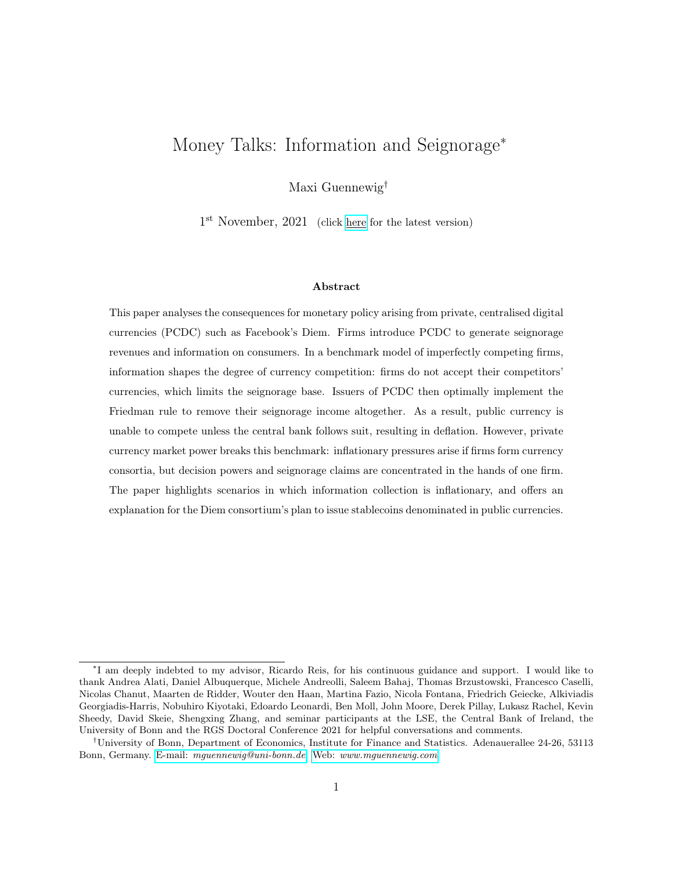- Bergemann, D. and A. Bonatti (2019): "Markets for Information: An Introduction," Annual Review of Economics, 11, 85–107.
- Bethune, Z., M. Choi, and R. Wright (2020): "Frictional Goods Markets: Theory and Applications," The Review of Economic Studies, 87, 691–720.
- Biais, B., C. Bisiere, M. Bouvard, C. Casamatta, and A. J. Menkveld (2018): "Equilibrium Bitcoin Pricing," Available at SSRN 3261063.
- Bonatti, A. and G. Cisternas (2020): "Consumer Scores and Price Discrimination," The Review of Economic Studies, 87, 750–791.
- Brunnermeier, M. K., H. James, and J.-P. Landau (2019): "The Digitalization of Money," mimeo.
- Budish, E. (2018): "The Economic Limits of Bitcoin and the Blockchain," mimeo.
- Burdett, K. and K. L. Judd (1983): "Equilibrium Price Dispersion," *Econometrica*, 955–969.
- Burdett, K., A. Trejos, and R. Wright (2017): "A New Suggestion for Simplifying the Theory of Money," Journal of Economic Theory, 172, 423–450.
- Catalini, C. and J. S. Gans (2018): "Initial Coin Offerings and the Value of Crypto Tokens," NBER Working Paper 24418.
- Chiu, J. and T. V. Koeppl (2017): "The Economics of Cryptocurrencies—Bitcoin and Beyond," Available at SSRN 3048124.
- Chiu, J. and R. Wong (2020): "Payments on Digital Platforms: Resilience, Interoperability and Welfare," mimeo.
- Choi, M. and G. Rocheteau (2020): "Money Mining and Price Dynamics," Available at SSRN 3336367.
- Cong, L. W., Y. Li, and N. Wang (2020): "Token-Based Platform Finance," Fisher College of Business Working Paper, 028.
- Diamond, P. A. (1971): "A Model of Price Adjustment," Journal of Economic Theory, 3, 156–168.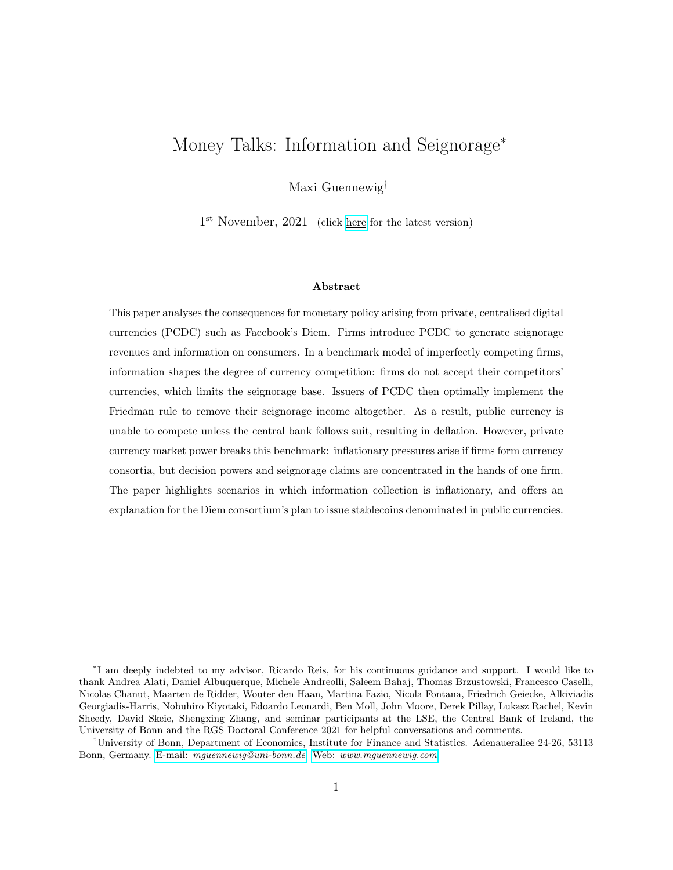- Fernández-Villaverde, J. and D. Sanches (2019): "Can Currency Competition Work?" Journal of Monetary Economics, 106, 1–15.
- Fernández-Villaverde, J., D. R. Sanches, L. Schilling, and H. Uhlig (2020): "Central Bank Digital Currency: When Price and Bank Stability Collide," Available at SSRN.
- Fudenberg, D. and J. Tirole (2000): "Customer Poaching and Brand Switching," The RAND Journal of Economics, 634–657.
- Fudenberg, D. and J. M. Villas-Boas (2012): "In the Digital Economy," The Oxford Handbook of the Digital Economy.
- Gans, J. S. and H. Halaburda (2015): "Some Economics of Private Digital Currency," in Economic Analysis of the Digital Economy, University of Chicago Press, 257–276.
- Garratt, R. and M. Lee (2021): "Monetizing Privacy with Central Bank Digital Currencies," Available at SSRN 3583949.
- Garratt, R. and M. van Oordt (2021): "Privacy as a Public Good: A Case for Electronic Cash," Journal of Political Economy, 129, 2157–2180.
- Garratt, R. and M. R. Van Oordt (2019): "Entrepreneurial Incentives and the Role of Initial Coin Offerings," Available at SSRN 3334166.
- Goldfarb, A. and C. Tucker (2019): "Digital Economics," Journal of Economic Literature, 57, 3–43.
- Grossman, G. M. and C. Shapiro (1984): "Informative Advertising With Differentiated Products," The Review of Economic Studies, 51, 63–81.
- Haan, M. A. and J. L. Moraga-González (2011): "Advertising for Attention in a Consumer Search Model," The Economic Journal, 121, 552–579.
- Kareken, J. and N. Wallace (1981): "On the Indeterminacy of Equilibrium Exchange Rates," The Quarterly Journal of Economics, 96, 207–222.
- Keister, T. and C. Monnet (2020): "Central Bank Digital Currency: Stability and Information," mimeo.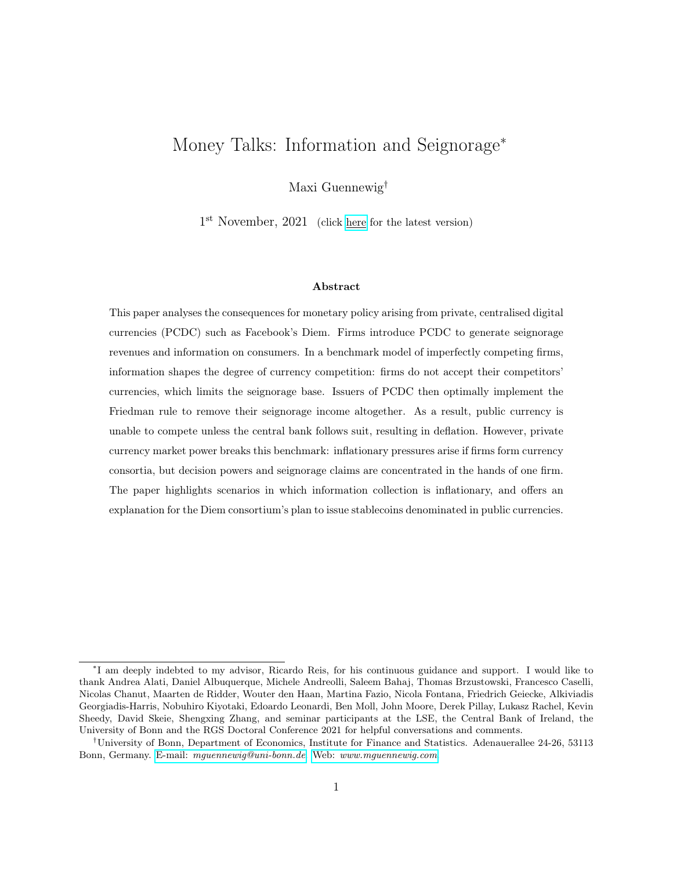- Lagos, R. and R. Wright (2005): "A Unified Framework for Monetary Theory and Policy Analysis," Journal of Political Economy, 113, 463–484.
- Li, J. and W. Mann (2018): "Initial Coin Offerings and Platform Building," mimeo.

Libra White Paper v2.0 (April 2020): *[link](https://libra.org/en-US/white-paper/)*.

- Lucas, R. E. and N. L. Stokey (1987): "Money and Interest in a Cash-in-advance Economy," Econometrica, 55, 491–513.
- Prat, J., V. Danos, and S. Marcassa (2019): "Fundamental Pricing of Utility Tokens," mimeo.
- Prat, J. and B. Walter (2018): "An Equilibrium Model of the Market for Bitcoin Mining," CESifo Working Paper Series.
- Rogoff, K. S. and Y. You (2020): "Redeemable Platform Currencies," mimeo.
- Schilling, L. and H. Uhlig (2019): "Some Simple Bitcoin Economics," Journal of Monetary Economics, 106, 16–26.
- Skeie, D. R. (2019): "Digital Currency Runs," Available at SSRN 3294313.
- Sockin, M. and W. Xiong (2020): "A Model of Cryptocurrencies," mimeo.
- Tirole, J. (1988): The Theory of Industrial Organization, MIT press.
- Uhlig, H. and T. Xie (2021): "Parallel Digital Currencies and Sticky Prices," Available at SSRN 3760082.
- Villas-Boas, J. M. (1999): "Dynamic Competition With Customer Recognition," The Rand Journal of Economics, 604–631.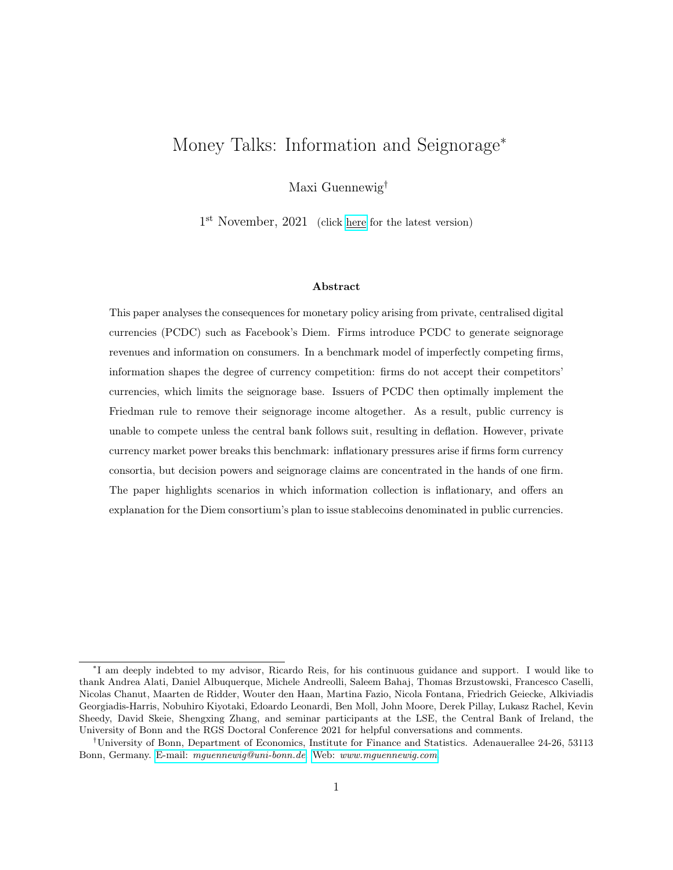## Appendices

### A Partial Equilibrium payment technology introduction decisions

Lemma 2 (Symmetric payment technology introduction decision). Consider a fixed cost  $k > 0$  to introduce the payment technology. Let the value of information in the partial equilibrium model be denoted by  $\therefore$  Then both firms introduce the payment technology if  $\therefore$  k; otherwise no firm does so.

The proof is provided in Appendix C.4. By Lemma 1, industry profits are fixed at  $= \kappa \mathbb{E}[\theta]$ . Whenever firms have equivalent sets of information—either because no firms have generated transaction data, or both have generated equal amounts—the expected payoffs for the two firms equal. Firms evenly divide the market in half. It follows that any information gains are mere redistributions from one firm to another. When firm  $i$  introduces the technology, their profits increase at the expense of their competitor. When the competitor also introduces their own technology, both firms again obtain information of the same value: firm  $i$  loses exactly those profits initially gained from firm i.

Lemma 2 states that there is no first mover advantage in introducing payment technologies. The result resonates with the observation that Alipay and WeChat Pay share the market for digital payments in China. With the imminent introduction of Diem, all of the digital giants Apple, eBay, Google and Facebook will have introduced payment technologies. However, this result is less likely to hold up in more general environments than the one presented here. Having to handle an increasing number of payment technologies, or currencies in Section 4, could become increasingly costly for consumers. General adoption also depends on network effects: consumers only want to use a payment technology (hold a particular currency) if they expect others to accept it. The number of equilibrium payment technologies may therefore well be limited once these considerations are included in the framework. In a similar vein, Section 4 presents a first mover advantage arising due to the second benefit of introducing a PCDC: seignorage revenues.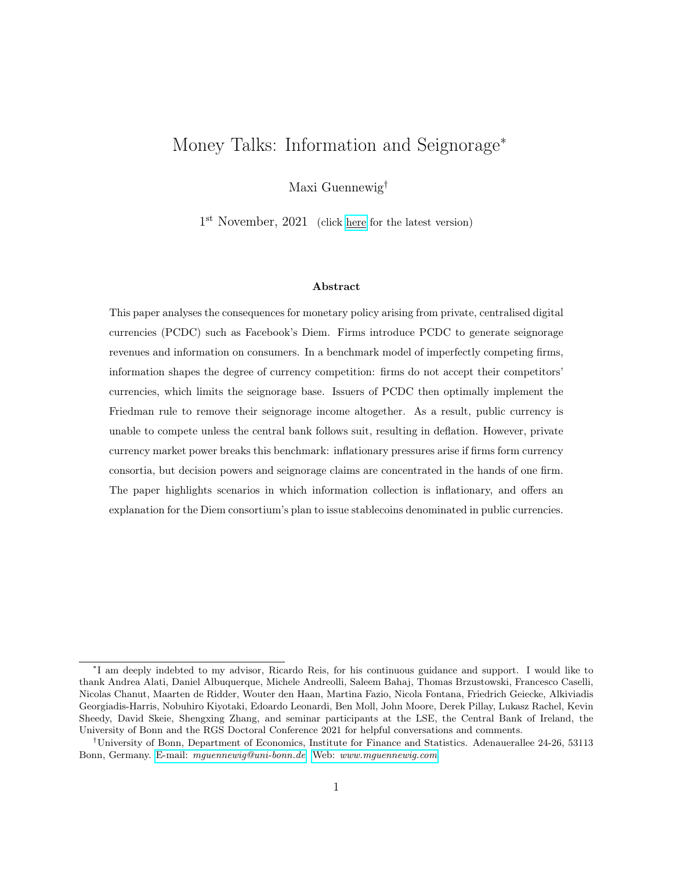## B General Equilibrium PCDC introduction decisions

Using the results of subsection 4.4, I now allow firms to counter-innovate by also introducing a private currency, thus calling this scenario general equilibrium. I highlight a first mover advantage in the monetary framework: while information rents reduce the competing firm's profit, seignorage revenues accrue to both firms in equilibrium. The second mover therefore may not find it profitable to also introduce a PCDC.

The first mover gains can be neatly decomposed into two components: information rents in a zero interest rate environment, and seignorage revenues. Prior to the introduction of a private currency, firms split the market equally. By Equation (31), the opportunity cost of holding Dollars acts as a tax on consumption, lowering profits for all firms in every time period. Proposition 3 showed that this opportunity cost is fully removed for all currencies upon the introduction of one private currency. Both firms benefit equally and achieve the seignorage gains, denoted by  $\mathcal{S} \left( \{\tau_{t+s}^{\$}\}_{s=0} \right)$ .

Turning to information, let  $I$  denote the lifetime information rents for an economy with zero interest rates.<sup>37</sup> The first mover trades off the total gains from introducing a private currency against a fixed cost of doing so. The second mover then trades off only the information gains against the fixed cost.

Proposition 8 (First mover advantage). If the fixed cost of introducing the currency is smaller than the lifetime information gain,  $k$  $I$ , then both firms introduce private digital currencies. Neither accept the Dollar nor their competitor's currency. The Dollar loses its role as medium of exchange, and thus money market clearing for a positive supply  $M_t^{\$, S} > 0$  again requires  $\tau_t^\$ = 0.$ 

For an intermediate cost k, with  $I < k$   $I + \frac{\$}{\left(\{\tau_{t+s}^{\$}\}_{s=0}\right)}$ , only one firm introduces a private currency. The competitor firm does not accept it. The first mover achieves both information and seignorage rents. While information rents impose a negative externality on the competitor firm, forcing the central bank to implement the Friedman rule imposes a positive externality.

Whether the public currency loses its role as medium of exchange depends on the size of the economy's information rents. For sufficiently large information rents, all firms form digital currency

 $37$ Let denote the period information gain for an economy with zero interest rates. It corresponds to the one-time information gain in Section 3. Firms discount future profits using the household's real discount factor, given by  $\beta$  in equilibrium. Since the firm benefits from information for the first time in the period after introducing the currency, the total lifetime information gain is given by  $I = \frac{\beta}{1-\beta}$ .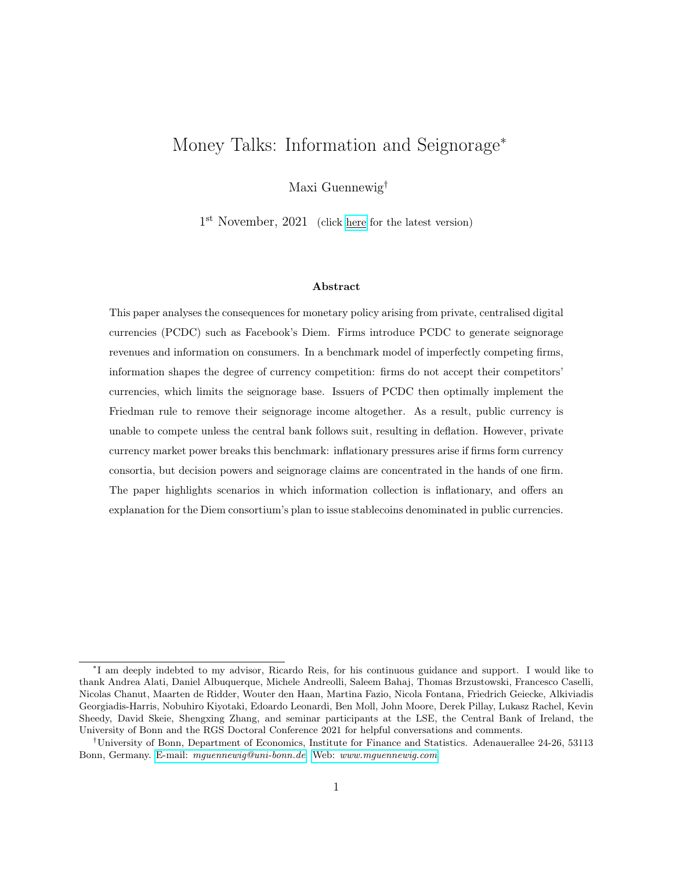areas as introduced by Brunnermeier et al. (2019): although transactions take place within one economy, they are settled using different currencies in different marketplaces. Information generated by purchases is valuable, and thus firms aim to maximise their own information set while minimising that of the competitor. This is achieved if each firm only accepts their private currency. It follows that firms prefer not to transact in the Dollar even for a central bank monetary policy of zero interest rates. However, given the privately-enforced Friedman rule result, payment technologies introduced by second movers need not take the form of private currencies. One currency already disciplines the government, and firms can rely on other technologies to generate transaction data.

Proposition 8 also shows that it is more profitable to introduce a PCDC in countries with high inflation. Incentives are higher if the central bank is ill-disciplined and monetary policy effectively taxes transactions between firms and consumers. Even in the absence of any PCDC, public currency interest rates are capped. As  $\tau_t^{\$}$  increases—or equivalently as  $\pi_{t+1}^{\$}$  increases—profits decrease. Unless the cost of introducing a PCDC approaches infinity, there exists a threshold level of public currency ill-discipline at which one firm introduces a PCDC, disciplining the government forever. This finding resonates with the observed dollarisation in economies which experienced high inflation rates.

Finally, the model's first mover advantage also resonates with frequently made arguments for the clear dominance of one currency in the majority of economies.<sup>38</sup> In all likelihood, handling multiple currencies is mentally costly, and the marginal cost of holding another currency is increasing. General adoption also depends on network effects: consumers only want to hold a particular currency if they expect others to accept it. Interestingly, the People's Bank of China is planning on issuing CBDC very shortly. One doubt about its future success is whether the CBDC can compete with Alipay and WeChat Pay which have successfully established themselves economy-wide. The example of China shows that two digital payment technologies can co-exist, but the number of currencies that can circulate in an economy may well be limited. Such considerations strengthen this paper's result. Together, they help explain why Facebook is pushing ahead with their currency project, although they have been unable to convince the desired amount of 100 firms to join their consortium so far.

<sup>38</sup>One argument for the success of public currencies is that the government can force agents to pay taxes in the public currency. I evaluate the equilibrium effects of such a policy in Section 6.3.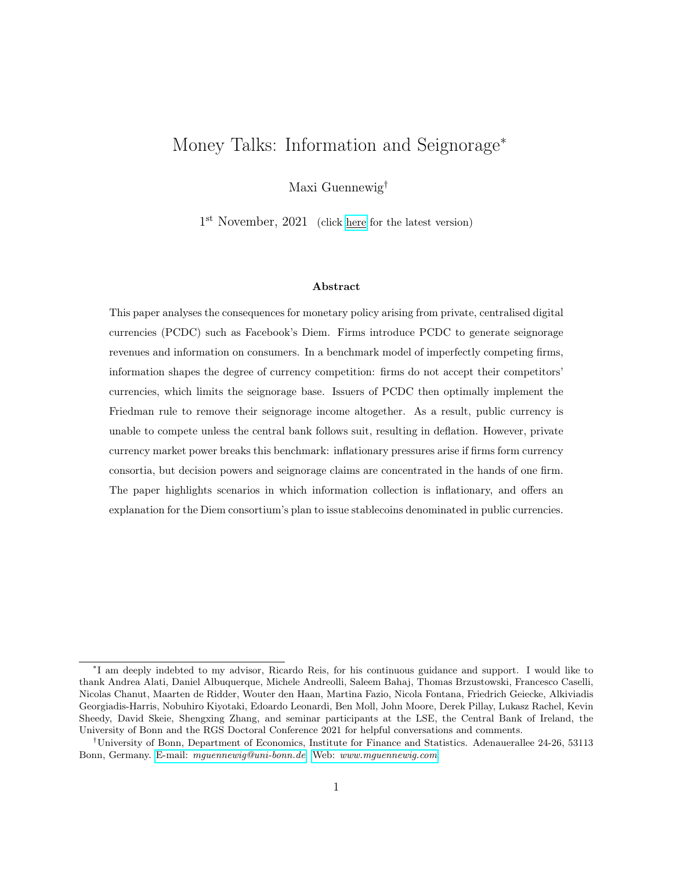## C Appendix to Section 3

#### C.1 Consumer strategies in full formality

Given the demand schedule  $c(p, \theta_j)$ , let  $V_j(p)$  denote the value function of a consumer of type  $\theta_j$ :

$$
V_j(p) = u_j(c(p, \theta_j))
$$
\n(IC.1)

Consumers shop at the firm where they have obtained the lowest price offer. Since time-1 is the final period, decisions have no consequences for any future payoffs. Thus, consumers first visit the firm which they expect to charge lower prices. Let  $\mu^{j}(p)$  denote the beliefs of consumer j over the firms' prices, and  $\psi^j(\mu^j(p))$  their initial search strategy. If they expect both firms to charge the same price, the relative advertising intensity determines the first search; otherwise consumers randomise:

$$
\psi^{j}(a^{j}, \mu^{j}(p)) = \begin{cases}\ni & \text{if } \mathbb{E}\left[p^{i}j\mu^{j}\right] < \mathbb{E}\left[p^{i}j\mu^{j}\right] \\
i & \text{if } \mathbb{E}\left[p^{i}j\mu^{j}\right] = \mathbb{E}\left[p^{i}j\mu^{j}\right], \text{ and } a^{i,j} > a^{i,j} \\
i & \text{with prob. } \frac{1}{2} \\
i & \text{with prob. } \frac{1}{2}\n\end{cases}
$$
\n
$$
\text{if } \mathbb{E}\left[p^{i}j\mu^{j}\right] = \mathbb{E}\left[p^{i}j\mu^{j}\right], \text{ and } a^{i,j} = a^{i,j}
$$
\n
$$
(IC.2)
$$

Let  $\omega^j(p^i, \mu^j(p^{-i}))$  denote the consumer's continuation search decision, having learnt about firm *i*'s price. Consumers decide not to search whenever they believe that obtaining another price offer is not profitable. Optimally, they follow a cut-off rule, trading off paying the additional search cost S and achieving higher utility due to a lower price offer:

$$
\omega^{j}(p^{i}, \mu^{j}(p^{i})) = \begin{cases} 0, & \text{if } V_{j}(p^{i}) \quad \mathbb{E}\big[V_{j}(p^{i}) \cup \mu^{j}(p^{i})\big] & S \\ 1, & \text{o/w} \end{cases}
$$
(IC.3)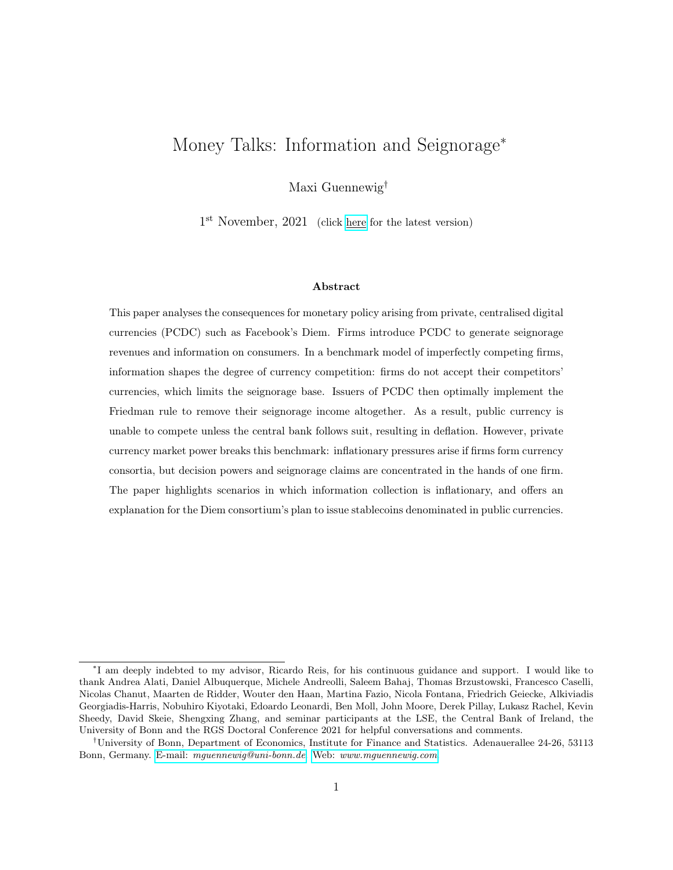#### C.2 Proof of Lemma 1

First, I show that charging the monopoly price is indeed the unique equilibrium outcome in the final period (again omitting time subscripts for readability). Since the firm's profit function has a unique maximum at p~ for all consumer types  $\theta$ , firms have no incentive to increase the price. Given consumer beliefs  $\mu(p) = p$ , the consumers' initial search strategy is either decided through advertising, or via a coin toss. Thus firms also have no incentive to reduce the price to attract more consumers. Consumers, having obtained one monopoly price quote, have no incentive to search any further, given their beliefs to obtain the exact same price quote a second time. Therefore no agents have any incentive to deviate unilaterally.

Now consider an equilibrium candidate for which firm i charges a price  $p^i < p$ , and the competitor i charges a price weakly larger than firm i:  $\mu(p^i) = p^i$   $p^{i} = \mu(p^{i})$ . According to the consumers' initial search strategies, and given consumer beliefs, all consumers visit firm i first if the above inequality is strict. By the law of large numbers, half of the measure of consumers visit firm *i* if the inequality holds with equality. Consider next the consumers' cut-off rule  $\omega(p^i, \mu(p^{-i}))$ . Let  $p$  denote the price that makes the consumer exactly indifferent between obtaining another price quote or purchasing from firm  $i$ , satisfying:

$$
V^{j}(p) = \mathbb{E}[V^{j}(p^{i}) \, j \, \mu(p^{i})] \qquad S \tag{IC.4}
$$

Note that  $V^j(p^i)$  is continuous in  $p^i$ . Further note that the profit function  $(p^i, \theta)$ , which captures profits conditional on selling, is also continuous in  $p^i$ . It then follows that there exists an  $\varepsilon > 0$ for every  $p^i < p$  such that charging a price  $p = p^i + \varepsilon$  minfp, pg yields strictly higher profits:  $(p, \theta) > (p^i, \theta)$ . Firm i thus unilaterally deviates, and there can be no equilibrium for which  $p^i$  p<sup>i</sup> p, with at least one inequality strict.

It follows that consumers of both types anticipate to face the same price  $p$  at both firms in the final period. Therefore their time-0 strategies cannot affect future utility, removing all strategic considerations other than searching for the lower price. The conditional demand schedules and the continuation search strategies at time-0 mirror those of time-1. The initial search strategy is given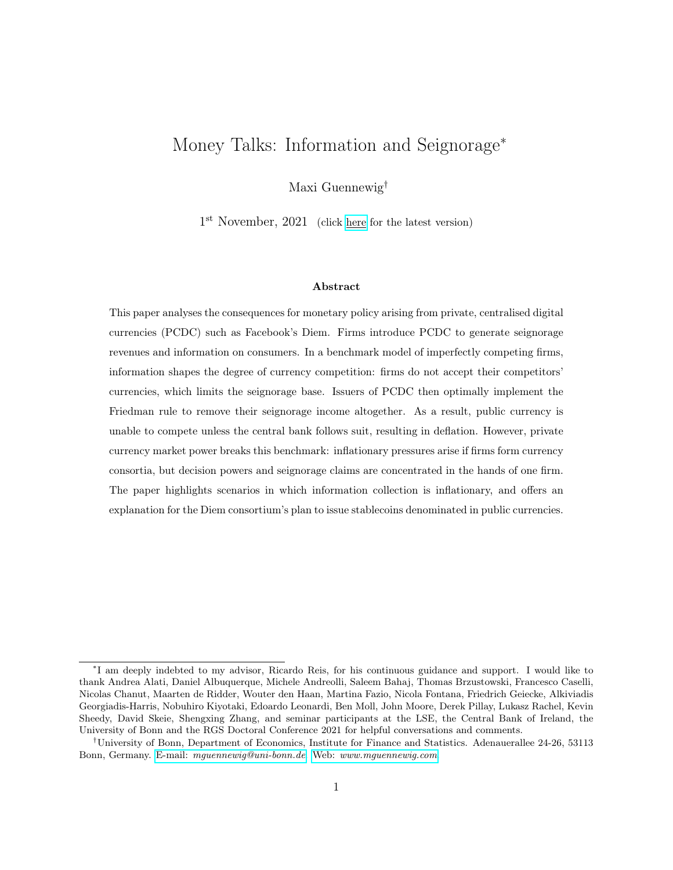$$
\psi_0^j(\mu^j(p_0)) = \begin{cases}\n\begin{cases}\ni \text{ with prob. } \frac{1}{2} \\
i \text{ with prob. } \frac{1}{2}\n\end{cases} & \text{if } \mathbb{E}\left[p_0^i/\mu_0^j\right] = \mathbb{E}\left[p_0^i/\mu_0^j\right] \\
i \text{ if } \mathbb{E}\left[p_0^i/\mu_0^j\right] < \mathbb{E}\left[p_0^i/\mu_0^j\right]\n\end{cases}\n\tag{IC.5}
$$

Following the same steps as above, I find that both firms charge the monopoly price at time-0, and thus in all time periods.

#### C.3 Proof of Proposition 1

In the initial period, given that consumers randomise between firms in equilibrium, firm  $f$  is visited by exactly half of the measure of consumers, with the average type of their customers equalling the population average type. Assume that all consumers use firm  $f$ 's technology at firm  $f$  (without loss of generality). With a payment technology generating information, firm f thus learns that  $\frac{q}{2}$ consumers have high valuations, while  $\frac{1-q}{2}$  consumers have low valuations. If  $\xi > \frac{q}{2}$ , some advertising capacity remains after firm  $f$  has advertised all of its previous high valuation customers. Suppose that firm g accepts their competitor's technology. Let the share of purchases with firm g conducted using firm f's technology be denoted by  $\rho > 0$ . Since  $\xi > \frac{q}{2}$ , it must be that  $\xi > \frac{(1+\rho)q}{2}$  for some  $\rho > 0$ . Information accrues to the owner of the technology used to transact. Not accepting the competitor technology,  $\gamma^{g,acc} = 0$ , corresponds to a share of  $\rho = 0$ . Effectively, I compare payoffs for firm g for these two values of  $\rho$ .

Consider first a firm  $g$  that does not operate a payment technology. This firm cannot match consumer ID and purchase, and therefore does not know who their previous customers are. Thus, it randomises among the general population of consumers when advertising. If  $\rho = 0$ , firm f optimally advertises to a fraction  $\frac{q}{2}$  of all consumers, and optimally does not advertise to a fraction of  $\frac{1-q}{2}$ . The remaining capacity is used for a total measure of  $\xi \frac{q}{2}$  $\frac{q}{2}$  of consumers that were firm  $g$ 's customers in the previous period. Thus firm  $f$  has no information on their types: some low valuation consumers receive firm f advertising. Now suppose  $\rho > 0$ . Firm f learns the valuation for an additional  $\frac{\rho}{2}$ measure of consumers, and therefore identifies an additional  $\frac{\rho q}{2}$  measure of high valuation types and directs advertising towards them. Given the randomisation strategy of firm  $g$ , the probability of

49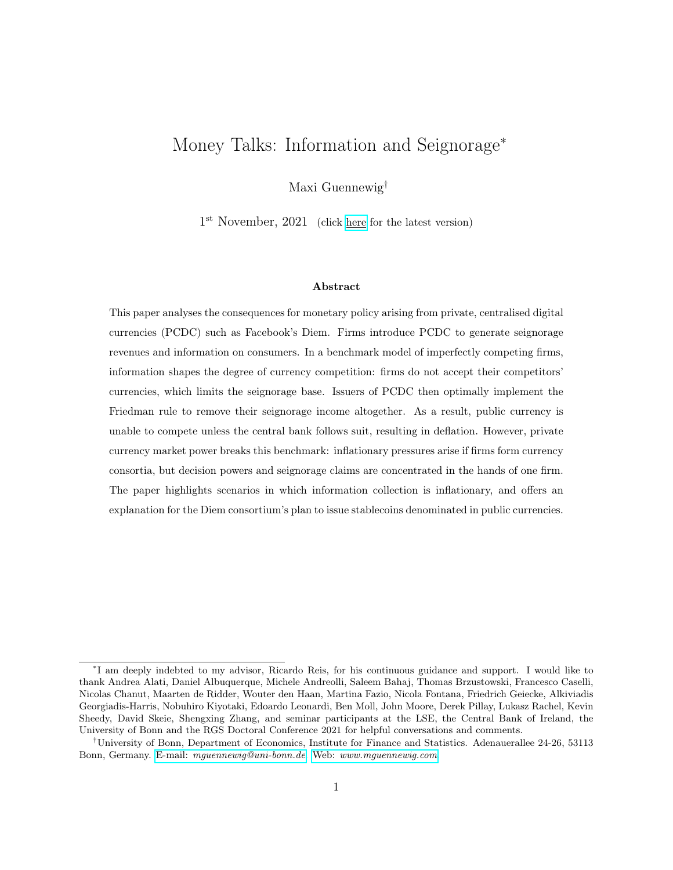double advertising to a previous customer of  $g$ 's with a high valuation increases. The probability of double advertising to a low type decreases in exactly the same proportion as it increases for high types. Overall, the expected match quality for firm g decreases as  $\rho$  becomes strictly positive, and so do profits.

The above reasoning is demonstrated algebraically below for the case in which  $\xi > \frac{(1+\rho)q}{2}$ . Firm g randomises, advertising to each consumer with a probability of  $\xi$ . Thus, the matching probability conditional on firm  $f$ 's advertising decision is given by

$$
P[\psi^{j} = f/a^{f,j} = 1] = (1 \quad \xi) + \frac{\xi}{2} \qquad P[\psi^{j} = f/a^{f,j} = 0] = \frac{1 - \xi}{2}
$$
 (IC.6)

Consumers with known type generate profits of  $\kappa \theta_H$  and  $\kappa \theta_L$ , respectively; consumers with unknown type generate  $\kappa \mathbb{E}[\theta]$  in expectation. Firm f identified a measure  $\frac{(1+\rho)q}{2}$  of consumer to be the high type, and a measure of  $\frac{(1+\rho)(1-q)}{2}$  of consumers to be the low type. Since  $\xi > \frac{(1+\rho)q}{2}$ , firm f advertises to all high types, and uses the remaining capacity for consumers that have not been  $f$ 's customers in the previous period. Expected profits of firm  $f$  are thus given by:

$$
f = \frac{(1+\rho)q}{2} \left[ (1 \quad \xi) + \frac{\xi}{2} \right] \kappa \theta_H + \frac{(1+\rho)(1-q)}{2} \left[ \frac{1 \quad \xi}{2} \right] \kappa \theta_L
$$
  
+ 
$$
\left[ \xi \quad \frac{(1+\rho)q}{2} \right] \left[ (1 \quad \xi) + \frac{\xi}{2} \right] \kappa \mathbb{E}[\theta] + \delta \left[ \frac{1 \quad \xi}{2} \right] \kappa \mathbb{E}[\theta]
$$
(IC.7)  
where  $\delta = 1$   $\frac{(1+\rho)(1-q)}{2} \quad \xi$ 

$$
\frac{\partial}{\partial \rho} \frac{f}{f} = \frac{\kappa}{4} q (1 \ q) [\theta_H \ \theta_L] > 0 \tag{IC.8}
$$

The derivative of the profit function with respect to  $\rho$  yields that firm f's profits are increasing in ρ. Given that equilibrium industry profits are fixed at = κ**E**[θ], it must be that firm g's profits are decreasing in  $\rho$ . It follows that  $\gamma^{g,acc} = 0$ .

If  $\xi < \frac{(1+\rho)q}{2}$ , the relevant comparison of payoffs is for the case where firm g does not accept firm f's payment technology ( $\rho = 0$ ); and the case where firm f identifies more high valuation types than they can advertise to, corresponding to a maximum value of  $\rho$  given by  $\rho$ , satisfying  $\xi = \frac{(1+\rho)q}{2}$  $rac{\rho}{2}$ .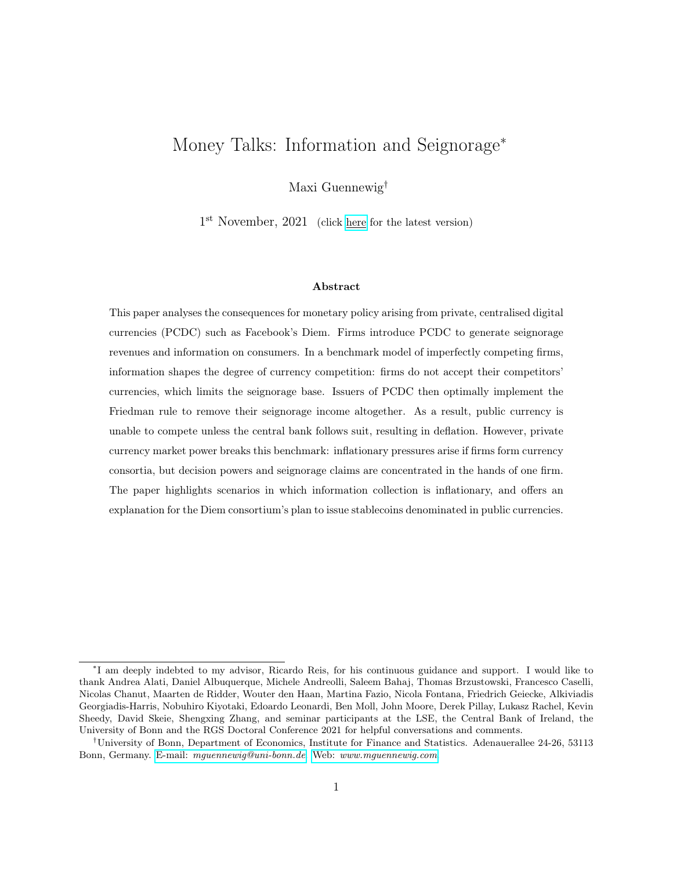The algebraic proof for a firm that has also introduced a payment technology is not presented here. Noting that the information loss is even stronger if firm  $q$  is collecting information themselves, the claim immediately follows. Above I showed that more competitor information and a constant information for firm g negatively affected firm  $g$ 's profits. With a technology, not only does firm  $g$ generate information for competitor firm  $f$  when accepting their technology, but they also directly reduce the information they themselves collect. The losses in profits are even stronger for a firm that has introduced a payment technology and thus  $\gamma^{g,acc} = 0$ .

#### C.4 Proof of Lemma 2

The first mover gains in profits from introducing the payment technology, denoted by  $1st$ , are given by

$$
^{1st} = {^{i}}[(1,0), (0,0)] \t{}^{i}[0,0] \t\t (IC.9)
$$

Since industry profits are fixed at  $= \kappa \mathbb{E}[\theta]$  in any scenario, and the firms' payoffs always equal for fully symmetric strategies and equivalent levels of information, it must be that<sup>39</sup>

<sup>2</sup>nd = i -(1, 0),(1, 0) i -(0, 0),(1, 0) = i -(1, 0),(1, 0) h i -0, 0 <sup>1</sup>st i = 1st (IC.10)

First and second mover gains, denoted by  $2nd$ , are equal. If one firm finds it profitable to introduce the payment technology, so does the other:  $=$   $1st = 2nd$  k. Any potential advantages that the payment technology delivers are only redistributions of equilibrium profits from one firm to another. When firm  $i$  introduces the technology, their profits increase at the expense of their competitor. When the competitor also introduces their own technology, the game is symmetric again: firms have information of equal value, profits are shared equally, and firm  $i$  loses exactly those profits initially gained from firm  $i$ .

<sup>&</sup>lt;sup>39</sup>Information is not symmetric because firms will always obtain information on different individual consumers. However it is equivalent if both firms have collected information on half of the population, where each half is of the same average type  $\mathbb{E}[\theta]$ .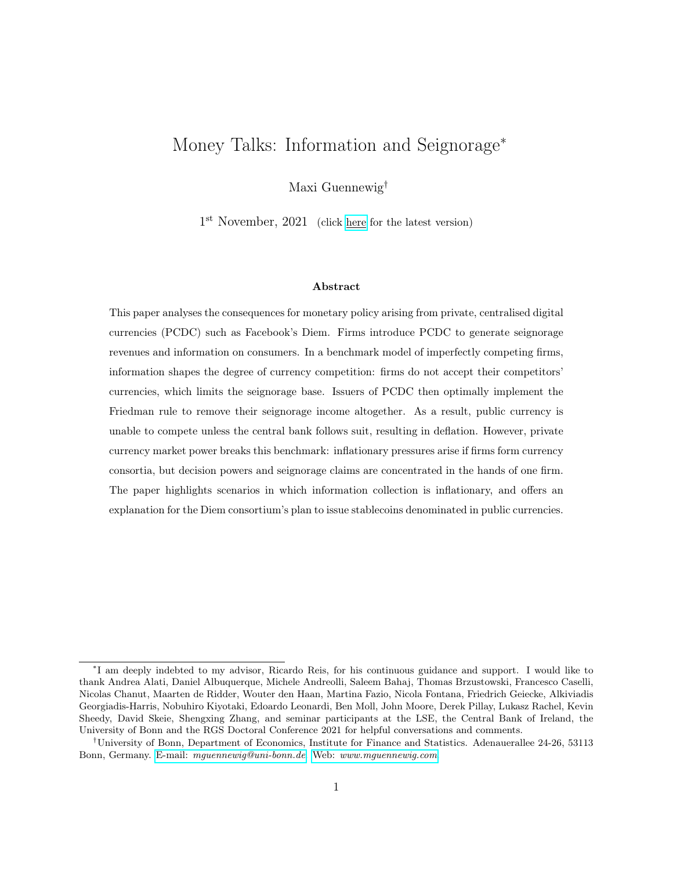## D Appendix to Section 4

#### D.1 Equilibrium definition

The competitive equilibrium of this economy is given by

1. Set of firm strategies that solve the profit maximisation problems, given beliefs  $\mu_t^i$ 

$$
\left( \begin{array}{c} i, p_t^i, a_t^i, \tau_t^z \end{array} \right)_{i2ff, gg, z2f \text{ ,} \mathbb{G}g, t \text{ } 0}
$$

2. Set of consumer strategies that solve the utility maximisation problem, given beliefs  $\mu_t^j$ t

$$
\left(\psi_{j,y,t}, \psi_{j,m,t}, C_{j,A,t}, X_{j,A,t}, M_{j,A,t}^z, B_{j,A,t}^z, N_{j,A,t}\right)_{j\geq [0,1],\ A\geq f\ y,m,og,\ z\geq f\$,\ \forall s,\ g,t\ \theta
$$
\n3. Set of prices  $\left(w_t, P_t, \tau_t^{\$}, e_t^z\right)_{t\geq 0}$ 

such that the markets for labour, the credit good, the money good, bonds and money clear. Beliefs are formed rationally, and updated according to Bayes' Law.

#### D.2 The middle-aged consumer's maximisation problem

 $z2f$  , Gg, t O

Consider the second period of consumer j's life, born at time  $t-1$ , having visited firm  $f$ 's shop and learnt their price  $p_t^f$  $_t^I$ . The consumer maximises remaining lifetime utility subject to budget constraints when middle-aged and old (Equation 21) and the CIA constraint when middle-aged (Equation 25). As in the main body of text, drop all j-subscripts for readability. Consumer j's total money holdings in Dollar values is denoted by  $e_t M_t$ :

$$
e_t M_{m,t} = M_{m,t}^{\$} + e_t M_{m,t} + e_t^{\$} M_{m,t}^{\$} \tag{ID.1}
$$

where the exchange rates  $(e_t, e_t^{\mathbb{G}})$  denote the price of private currencies in terms of the Dollar. Formally, the non-negativity constraints on their real money holdings reads:

$$
\frac{M_{m,t}^{\$}}{P_t}, \frac{e_t M_{m,t}}{P_t}, \frac{e_t^{\$} M_{m,t}^{\$}}{P_t} \qquad 0
$$
\n(ID.2)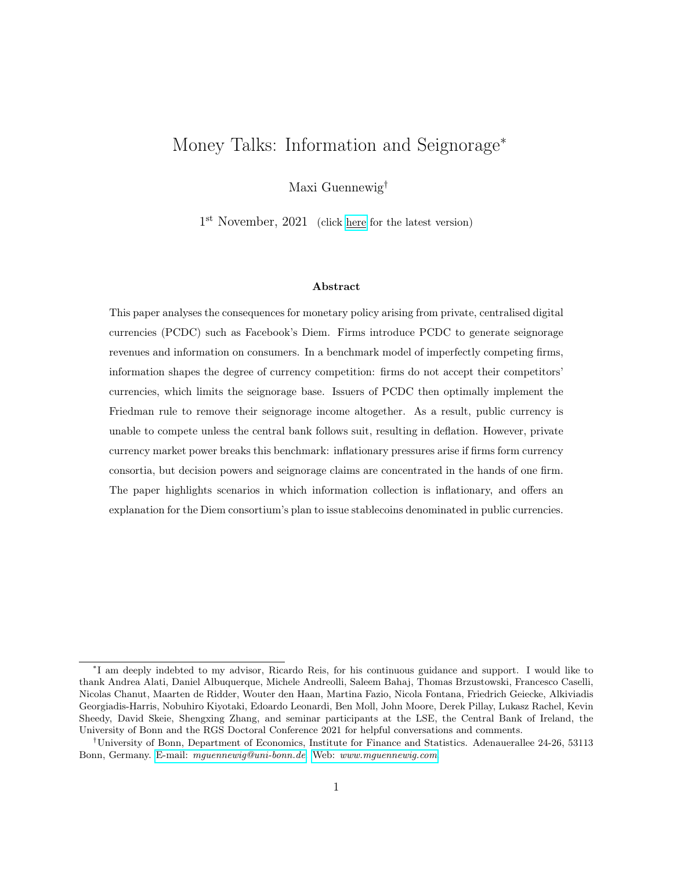The Dollar value of total bond holdings,  $e_t Q_t B_t$ , is given by:

$$
e_t \mathbf{Q}_t \mathbf{B}_{m,t} = Q_t^{\$} B_{m,t}^{\$} + e_t Q_t B_{m,t} + e_t^{\$} Q_t^{\$} B_{m,t}^{\$} \tag{ID.3}
$$

where  $Q_t$  denotes the prices of bonds issued at time-t, to mature in the following period. Bond prices are inversely related to the interest rate prevailing in the respective currencies:

$$
Q_t^z = \frac{1}{1 + i_t^z} \quad z \geq f\$, \quad, \mathbb{G}\mathcal{G} \tag{ID.4}
$$

Lastly, summarise money holdings accepted in exchange by firm  $f$ 's as

$$
\frac{\gamma^f e_t M_{m,t}}{P_t} = \gamma^{f,\$} \frac{M_{m,t}^{\$}}{P_t} + \frac{e_t M_{m,t}}{P_t} + \gamma^{f,\$} \frac{e_t^{\$} M_{m,t}^{\$}}{P_t}
$$
(ID.5)

The above imposes that firm  $f$  accepts their own currency Diem. The utility maximisation problem is then given by

$$
\max_{fX_{m,t}, X_{o,t+1}, C_{m,t}, N_{m,t}} U(X_{m,t}) + \theta_j^1 \alpha(C_{m,t})^{\alpha} \qquad N_{m,t} + \beta \Big[ U(X_{o,t+1}) \qquad N_{o,t+1} \Big]
$$
\n
$$
N_{o,t+1}, B_{m,t}, M_{m,t}g
$$
\n
$$
s.t. \quad X_{m,t} + p_t^f C_{m,t} + \frac{e_t(M_{m,t} + Q_t B_{m,t})}{P_t} \qquad N_{m,t} + \frac{e_t(M_{y,t-1} + B_{y,t-1})}{P_t}
$$
\n
$$
X_{o,t+1} \qquad N_{o,t+1} + \frac{e_{t+1}(M_{m,t} + B_{m,t})}{P_{t+1}}
$$
\n
$$
p_t^f C_{m,t} \qquad \frac{\gamma^f e_t M_{m,t}}{P_t}
$$
\n
$$
\frac{M_{m,t}^{\$}}{P_t}, \frac{e_t M_{m,t}}{P_t}, \frac{e_t^{\$} M_{m,t}^{\$}}{P_t} \qquad 0 \qquad (ID.6)
$$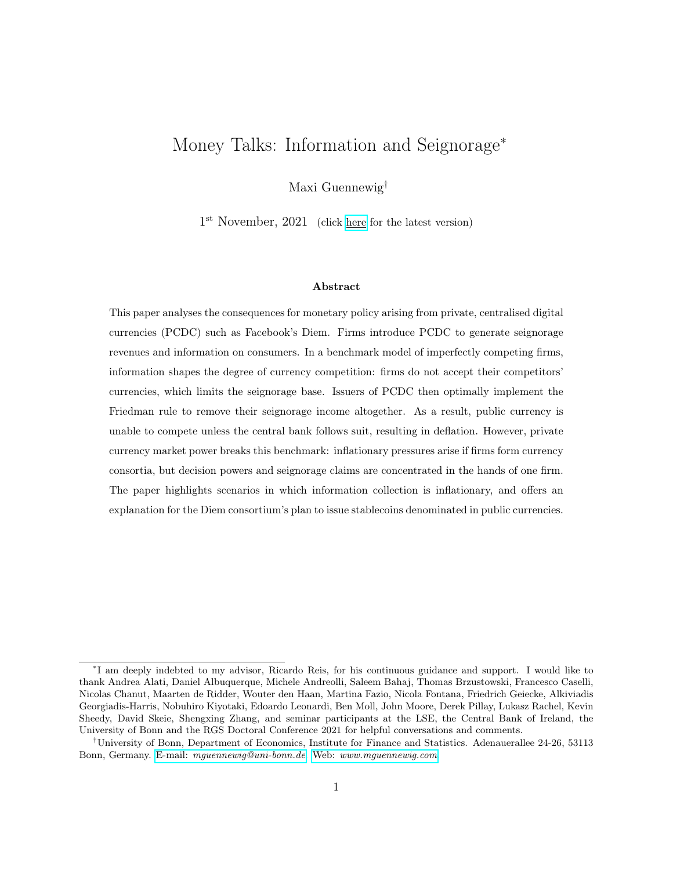The first order conditions (FOCs) are then given by

$$
X_{m,t}: \quad U^{\theta}(X_{m,t}) = \lambda_{m,t} \tag{ID.7}
$$

$$
X_{o,t+1}: \quad U^{\theta}(X_{o,t+1}) = \lambda_{m,t+1} \tag{ID.8}
$$

$$
C_{m,t}: \quad \alpha \theta_j^1 \, \alpha (C_{m,t})^{\alpha} \, \mathbf{1} \, = \, p_t^f(\lambda_{m,t} + \nu_{m,t}) \tag{ID.9}
$$

$$
N_{m,t}: \quad 1 = \lambda_{m,t} \tag{ID.10}
$$

$$
N_{o,t+1}: \quad 1 = \lambda_{o,t+1} \tag{ID.11}
$$

$$
B_{m,t}^{z} : Q_{t}^{z} = \beta \frac{\lambda_{o,t+1}}{\lambda_{m,t}} \frac{e_{t+1}^{z}}{e_{t}^{z}} \frac{P_{t}}{P_{t+1}}
$$
(ID.12)

$$
M_t^z: \quad 1 \; = \; \beta \frac{\lambda_{o,t+1}}{\lambda_{m,t}} \frac{e_{t+1}^z}{e_t^z} \frac{P_t}{P_{t+1}} \; + \; \gamma^{f,z} \nu_{m,t} \; + \; \rho_{m,t}^z \tag{ID.13}
$$

for all currencies  $z \nightharpoonup 7$ ,  $\oplus g$ . The Lagrange and Kuhn-Tucker multipliers of the budget and CIA constraints are denoted by  $\lambda_{A,t}$  and  $\nu_{m,t}$ . The Kuhn-Tucker conditions for the CIA and the non-negativity constraints are given by

$$
\nu_{m,t} \left( \frac{\gamma^f e_t M_{m,t}}{P_t} \quad p_t^f C_{m,t} \right) = 0 \quad \text{and} \quad \nu_{m,t} \quad 0 \tag{ID.14}
$$

$$
\rho_{m,t}^z \frac{e_t^z M_{m,t}^z}{P_t} = 0 \quad \text{and} \quad \rho_{m,t}^z \quad 0 \quad \mathcal{S}z \tag{ID.15}
$$

Combining FOCs for consumption of the credit good and labour supply immediately yields that  $X_{m,t} = X_{o,t+1} = X$  . Because consumption of the credit good is equal across time, the real interest rate of the economy is pinned down by the discount factor  $\beta$ . Defining inflation as  $1 + \pi_{t+1}^z = \frac{P_{t+1}^z}{P_t^z}$ , the FOCs for bonds in all currencies simplify to

$$
Q_t^z = \beta (1 + \pi_{t+1}^z)^{-1}
$$
 (ID.16)

Using this expression for bond prices, money FOCs become

$$
\gamma^{i,z}\nu_{m,t} = 1 \quad Q_t^z \quad \rho_{m,t}^z \tag{ID.17}
$$

Consumers only hold currencies accepted by firms, and only hold the one with the lower inflation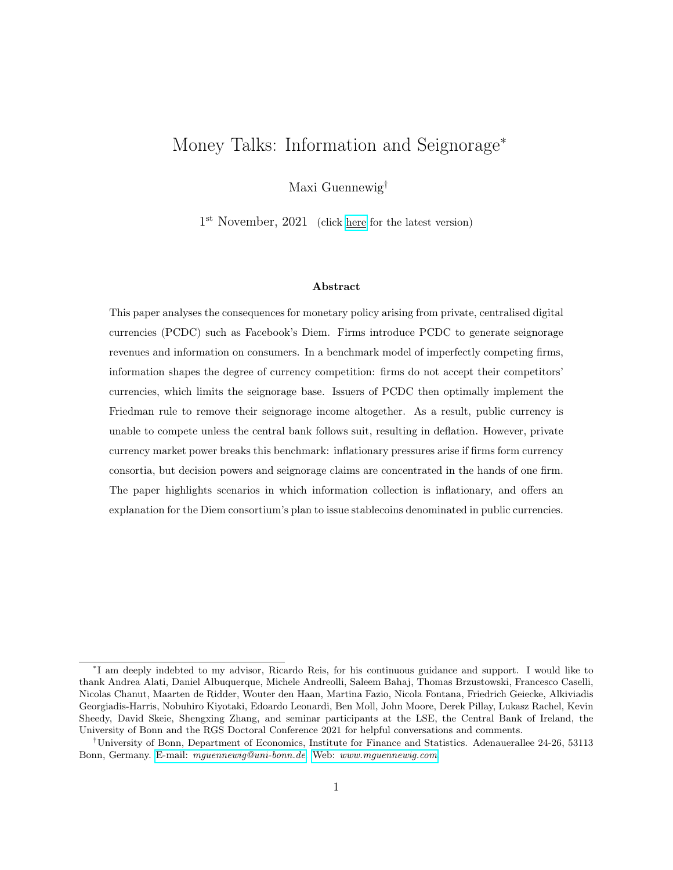rate (higher bond price) if multiple currencies are accepted. Consider first the case where firm f only accepts one currency:  $\gamma^f = (\gamma^{f,\$}, \gamma^{f,\$}, \gamma^{f,\$}) = (0, 1, 0)$ . The LHS of the above is zero, requiring  $(\rho_t^{\$}, \rho_t^{\$}) > 0$  whenever  $(Q_t^{\$}, Q_t^{\$}) < 1$ ; it follows that  $M_{m,t}^{\$} = M_{m,t}^{\$} = 0$ . Consider next a firm that accepts multiple currencies, i.e. the Dollar and Diem. Combining the two FOCs for  $M^{\$}$  and  $M$ shows that whenever  $Q_t^{\$} < Q_t$ , it must be that  $\rho_{m,t}^{\$} > \rho_{m,t}$ ; since  $\rho_{m,t}$  0, this requires  $\rho_{m,t}^{\$} > 0$ , yielding  $M_{m,t}^{\$} = M_{m,t}^{\$} = 0.$ 

The FOC for money also implies a zero lower bound on the nominal interest rate. All of  $\gamma^{f,z}$ ,  $\nu_{m,t}$  and  $\rho_{m,t}^z$  are non-negative, and hence  $Q_t^z$  can take a maximum value of one  $(i_t^z$  can take a minimum value of zero).

Denote the lowest seignorage tax rate with firm  $f$  by  $\tau_t^f$  $t_t^J$ . The FOC for this money then reads

$$
\nu_{m,t} = \tau_t^f
$$

which implies that  $\nu_{m,t} > 0$  whenever  $\tau_t^f > 0$ . Then the CIA constraint holds with equality:

$$
m_{m,t} = p_t^f C_{m,t} (p_t^f, \tau_t^f)
$$

where  $m_{m,t}$  denote real money balances of currencies held by the consumer. Turning to the FOC for money good consumption, the demand schedule is given by

$$
C_{m,t}(p_t^f, \tau_t^f) = \theta_j \left[ \frac{\alpha}{p_t^f (1 + \tau_t^f)} \right]^{\frac{1}{1-\alpha}}
$$
(ID.18)

Combining all of the equilibrium conditions—see Appendix D.4 for a full derivation—I can write down the middle-aged household's value function at time-t as

$$
V_{m,t}^{j}(M_{y,t-1}, B_{y,t-1}) = V_m + \frac{e_t(M_{y,t-1} + B_{y,t-1})}{P_t} + \theta_j \kappa \left[ p_t^{f}(1 + \tau_t^{f}) \right]^{\frac{\alpha}{\alpha - 1}}
$$
(ID.19)

where  $\kappa > 0$  is a constant, and function of  $\alpha$  only. Utility derived from the money good consumption at time-t is only affected by the price that consumers face at the firm they visit, and by the inflation rate on the money that they need to hold. Clearly, consumers visit the firm which they expect to charge the lowest seignorage-adjusted real price. For equal seignorage-adjusted prices, they visit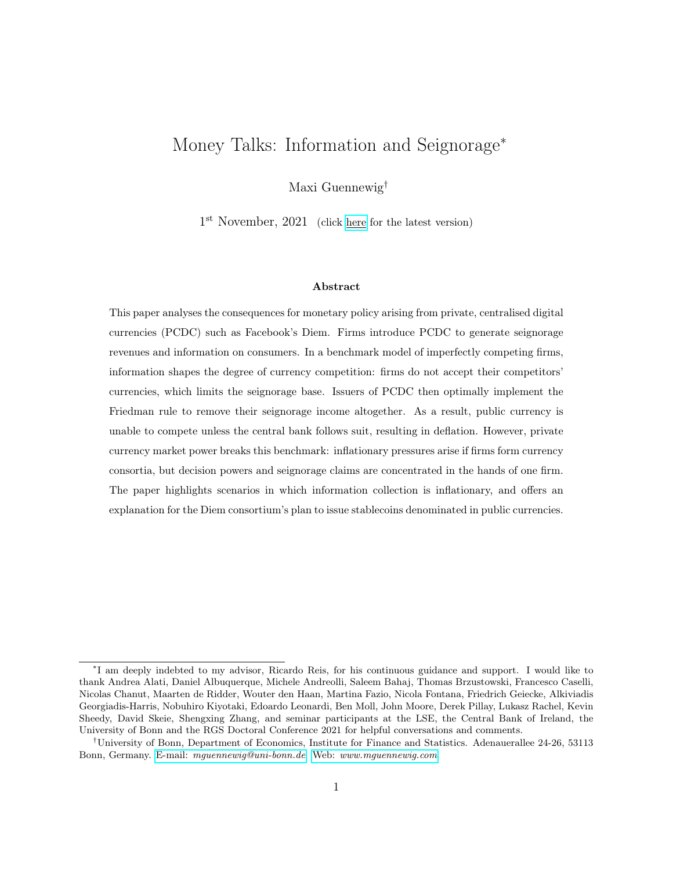the more heavily advertised firm:

$$
\psi_{m,t}^{j}(a_t^j, \mu_t^j(p_t), \tau_t) = \begin{cases} i & \text{if } \mathbb{E}\left[p_t^i(1 + \tau_t^i) / \mu_t^j\right] = \mathbb{E}\left[p_t^{i}(1 + \tau_t^{i}) / \mu_t^j\right], \text{ and } a_t^{i,j} > a_t^{i,j} \\ i & \text{if } \mathbb{E}\left[p_t^i(1 + \tau_t^i) / \mu_t^j\right] < \mathbb{E}\left[p_t^{i}(1 + \tau_t^{i}) / \mu_t^j\right] \end{cases}
$$
(ID.20)

If both seignorage-adjusted price and advertising intensity equal, consumers randomly choose a firm.

## D.3 The young consumer's maximisation problem

The middle-aged consumer's value function is independent of any consumer's decisions taken when young, apart from asset holdings. Consider a consumer born at time  $t$ . Given the equilibrium pricing by a producer issuing private currency, utility is affected by the currency introduction decisions . In the absence of private currencies, Dollar inflation also affects utility:

$$
V_{m,t+1}^{j} = V_m(\quad, \tau_{t+1}^{\$}, \theta_j) + \frac{e_{t+1}(M_{y,t} + B_{y,t})}{P_{t+1}}
$$
(ID.21)

Having visited firm *i*'s shop and learnt their price  $p_t^i$ , the young consumer's utility maximisation problem is given by

$$
fX_{y,t}, C_{y,t}, N_{y,t}, B_{y,t}, M_{y,t}g
$$

$$
U(X_{y,t}) + \theta_j^1 \alpha (C_{y,t})^{\alpha} \qquad N_{y,t} + \beta V_{m,t+1}^j (M_{y,t}, B_{y,t})
$$
  
s.t.  $X_{y,t} + p_t^i C_{y,t} + \frac{e_t (M_{y,t} + Q_t B_{y,t})}{P_t} \qquad N_{y,t} + T_{y,t}$   

$$
p_t^i C_{y,t} \qquad \frac{\gamma^i e_t M_{y,t}}{P_t}
$$

$$
\frac{M_{y,t}^s}{P_t}, \frac{e_t M_{y,t}}{P_t}, \frac{e_t^{\alpha} M_{y,t}^{\alpha}}{P_t} \qquad 0
$$
(ID.22)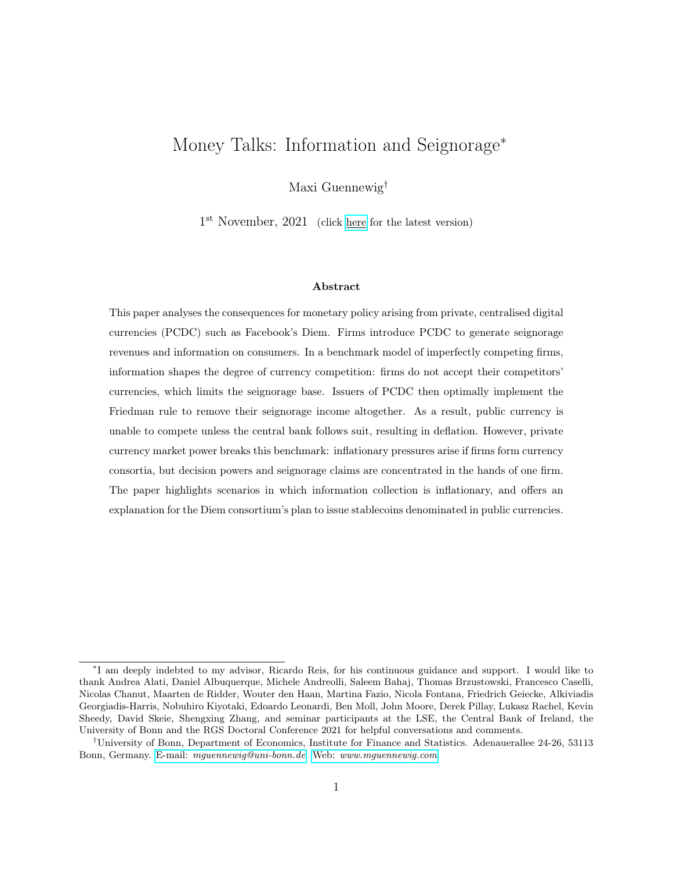The resulting equilibrium conditions below, together with the budget and CIA constraint holding with equality, mirror those for the middle-aged consumer:

$$
X_{y,t} = X \tag{ID.23}
$$

$$
C_{y,t}(\theta_j, p_t^i, \tau_t^i) = \theta_j \left[ \frac{\alpha}{p_t^i (1 + \tau_t^i)} \right]^{\frac{1}{1 - \alpha}}
$$
(ID.24)

Combining all of the above, fully derived in Appendix D.4, the value function of consumer  $j$  is given by

$$
V_{y,t}^{j} = V_y + T_{y,t} + \theta_j \kappa \left[ p_t^{i} (1 + \tau_t^{i}) \right]^{\frac{\alpha}{\alpha - 1}} + \beta V_m(\tau_{t+1}^{s}, \theta_j)
$$
 (ID.25)

Since firms do not advertise in the consumer's initial period, consumers simply visit firms seeking to minimize the seignorage-adjusted cost of purchasing the money good, and randomise if indifferent:

$$
\psi_{y,t}^j(\mu^j(p_t), \tau_t) = i \quad \text{if} \quad \mathbb{E}\Big[p_t^i(1+\tau_t^i) / \mu_t^j\Big] < \quad \mathbb{E}\Big[p_t^i(1+\tau_t^i) / \mu_t^j\Big] \tag{ID.26}
$$

## D.4 Deriving the consumer's value functions

The value function of the middle aged consumer  $j$  at time-t is given by

$$
V_{m,t}^{j} = U(X) + \theta_{j}^{1} \alpha (C_{m,t}^{i})^{\alpha} \qquad N_{m,t} + \beta [U(X) \qquad N_{o,t+1}] \qquad (ID.27)
$$

where

$$
N_{m,t} = X + p_t^i C_{m,t}^i + \frac{e_t (M_{m,t} + Q_t B_{m,t})}{P_t} \frac{e_t (M_{y,t-1} + B_{y,t-1})}{P_t}
$$
 (ID.28)

$$
N_{o,t+1} = X \qquad \frac{e_{t+1}(M_{m,t} + B_{m,t})}{P_{t+1}}
$$
\n(ID.29)

$$
C_{m,t}^i = \theta_j \left[ \frac{\alpha}{p_t^i (1 + \tau_t^i)} \right]^{\frac{1}{1 - \alpha}}
$$
(ID.30)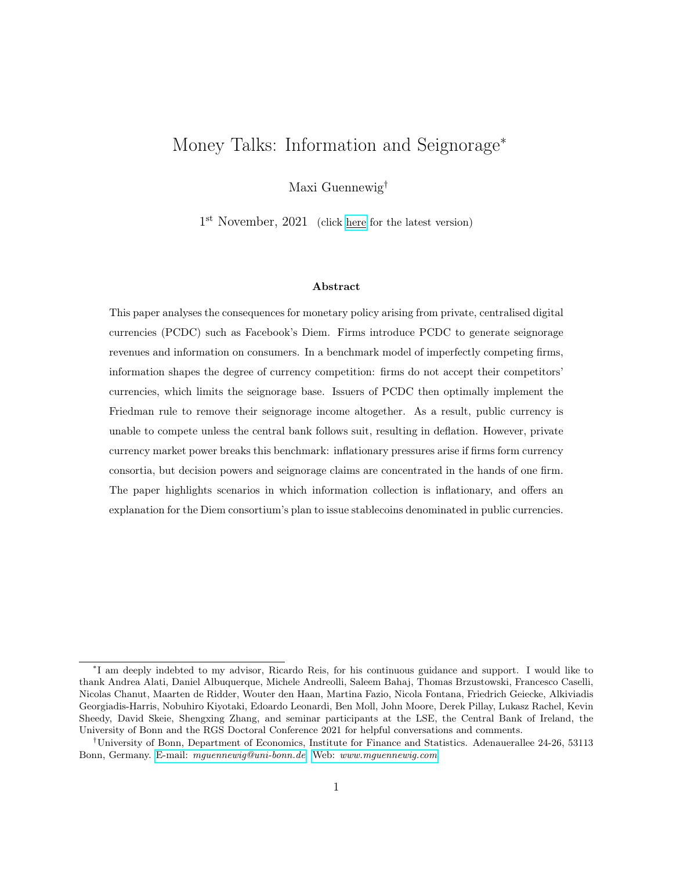Plugging in and rearranging, the expression becomes

$$
V_{m,t}^{j} = V_m + \theta_j \left[ \frac{\alpha}{p_t^{i}(1 + \tau_t^{i})} \right]^{\frac{\alpha}{1 - \alpha}} \quad p_t^{i} \theta_j \left[ \frac{\alpha}{p_t^{i}(1 + \tau_t^{i})} \right]^{\frac{1}{1 - \alpha}}
$$
(ID.31)  

$$
\frac{e_t(M_{m,t} + Q_t B_{m,t})}{P_t} + \frac{e_t(M_{y,t-1} + B_{y,t-1})}{P_t} + \beta \frac{e_{t+1}(M_{m,t} + B_{m,t})}{P_{t+1}}
$$
(ID.32)

By the nominal stochastic discount factors, I know that

$$
\frac{e_t^z Q_t^z}{P_t} = \beta \frac{e_{t+1}^z}{P_{t+1}}
$$
 (ID.33)

for all  $z \nightharpoonup \mathcal{B}$ , , Gg. Therefore  $B_{m,t}$  cancels out, and the expression for  $M_{m,t}$  simplifies substantially:

$$
V_{m,t}^{j} = V_m + \theta_j \left[ \frac{\alpha}{p_t^{i}(1 + \tau_t^{i})} \right]^{\frac{\alpha}{1 - \alpha}} \qquad p_t^{i} \theta_j \left[ \frac{\alpha}{p_t^{i}(1 + \tau_t^{i})} \right]^{\frac{1}{1 - \alpha}}
$$
(ID.34)

$$
\frac{(1 - Q_t)e_t M_{m,t}}{P_t} + \frac{e_t (M_{y,t-1} + B_{y,t-1})}{P_t}
$$
 (ID.35)

Optimally consumers only bring currencies accepted by the firm, choose the one subject to the lower inflation rate than other currencies accepted. The cash-in-advance constraint is holding with equality. It follows that

$$
p_t^i C_{m,t} = \frac{e_t M_{m,t}}{P_t} \tag{ID.36}
$$

and the expression for the value function becomes

$$
V_{m,t}^{j} = V_m + \theta_j \left[ \frac{\alpha}{p_t^{i}(1 + \tau_t^{i})} \right]^{\frac{\alpha}{1 - \alpha}} \qquad p_t^{i}(1 + \tau_t^{i}) \theta_j \left[ \frac{\alpha}{p_t^{i}(1 + \tau_t^{i})} \right]^{\frac{1}{1 - \alpha}} + \frac{e_t(M_{y,t-1} + B_{y,t-1})}{P_t}
$$
\n(ID.37)

Combining the two middle terms yields the expression as in Appendix D.2, with  $\kappa = \alpha^{\frac{\alpha}{1-\alpha}}(1-\alpha) > 0$ .

The value function of the young consumer  $j$  at time-t is found in analogy to the middle age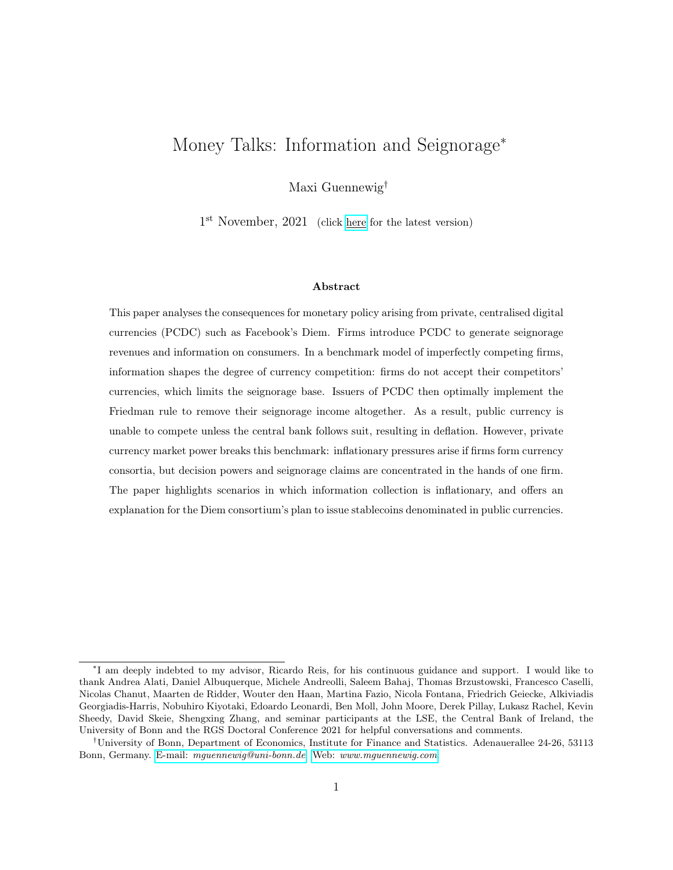value function above. Starting point is the middle-age value function:

$$
V_{m,t+1}^{j} = V_m(\quad, \tau_{t+1}^{\$}, \theta_j) + \frac{e_{t+1}(M_{y,t} + B_{y,t})}{P_{t+1}}
$$
(ID.38)

Given the time- $(t + 1)$  equilibrium outcomes for consumption of the credit and money goods, time-t decisions only affect future utility through asset holdings: for every unit of real assets in the next period, consumers need to supply one unit less labour.

$$
V_{y,t}^{j} = U(X) + \theta_j^{1-\alpha} C_{y,t} \quad N_{y,t} + \beta \left[ V_m(\tau_{t+1}^{s}, \theta_j) + \frac{e_{t+1}(M_{y,t} + B_{y,t})}{P_{t+1}} \right]
$$
(ID.39)

where

$$
N_{y,t} = X + p_t^i C_{y,t} + \frac{e_t(M_{y,t} + Q_t B_{y,t})}{P_t} T_{y,t}
$$
 (ID.40)

Plugging in the expression for  $N_{y,t}$  and  $C_{y,t}$ , and again making use of the expression for the nominal stochastic discount factor and equilibrium money holdings gives

$$
V_{y,t}^j = V_y + \theta_j \left[ \frac{\alpha}{p_t^i (1 + \tau_t^i)} \right]^{\frac{\alpha}{1 - \alpha}} \quad p_t^i (1 + \tau_t^i) \theta_j \left[ \frac{\alpha}{p_t^i (1 + \tau_t^i)} \right]^{\frac{1}{1 - \alpha}} + T_{y,t} + \beta V_m \left( \tau_t^{\$}, \tau_{t+1}^{\$}, \theta_j \right) \quad \text{(ID.41)}
$$

As for the middle age value function, combining the middle terms yields the expression as in Appendix D.3.

### D.5 Deriving the expression for seignorage revenues

This section of the appendix formally derives the expression for seignorage revenues. Consider firm f that is conducting a transaction in its private currency. The firm generates profits from selling the money good,  $\frac{f}{t}$ , transfers resources to the young households, issues money and holds assets in the form of bonds. The flow budget constraint at time- $t$  is given by

$$
f_t + \frac{e_t (M_t^{S_t} - M_t^{S_t})}{P_t} = T_t^f + \frac{e_t (Q_t B_t^f - B_{t-1}^f)}{P_t}
$$
 (ID.42)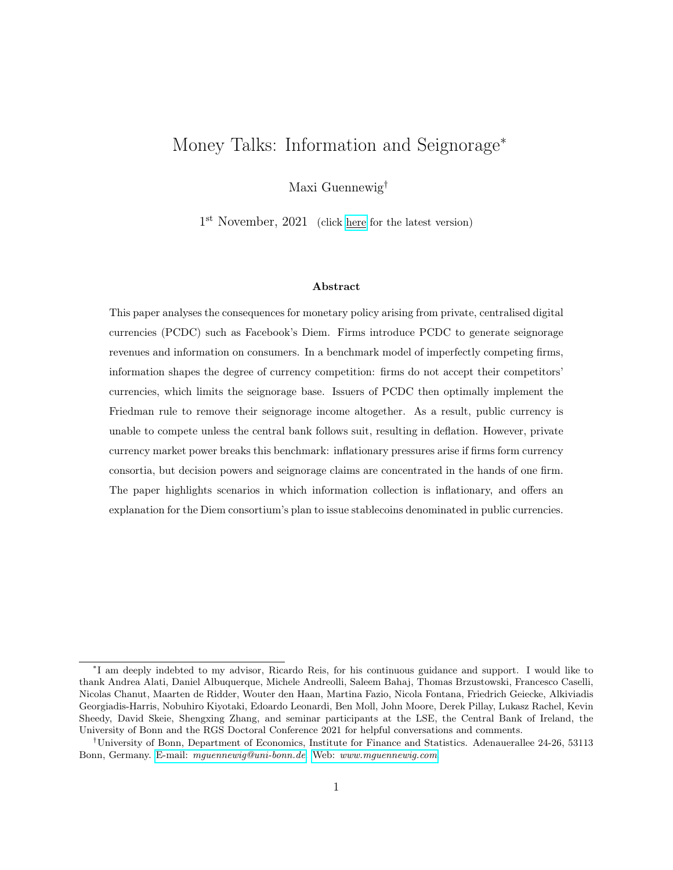where  $M_t^{S}$  denotes the Diem supply.<sup>40</sup> Diem is modelled as stablecoin: it is backed with Diemdenominated bonds that have been issued by the household.<sup>41,42</sup> For every unit of money issued, the firm purchases a unit of Diem-denominated bonds:  $M_t^{S_t} = B_t^{f_t}$  $t^{J, \dagger}$ . Jumping ahead to impose the market clearing condition,  $M_t^{S_t} = M_t$ , and defining  $m_t = \frac{e_t M_t}{P_t}$  $\frac{m_t}{P_t}$ , the firm's flow budget constraint simplifies to

$$
t^{m,f} + (1 \quad Q_t) m_t = T_t^f
$$

where  $(1 \quad Q_t) m_t$  are the firm's seignorage revenues.

## E Alternative specifications of the CIA model

### E.1 Alternative timing assumption

For simplicity, and without loss of generality, assume that the firm is a monopolist producer of the money good and also the sole supplier of money in this economy. Ignore the OLG structure and any consumer heterogeneity: a representative consumers purchases consumption goods from a monopolist and holds their money Diem. In the full model as developed in the main text, firms issuing PCDC charge seignorage-adjusted prices as if they were monopolists. Here I demonstrate that this monopoly price is unchanged in the alternative CIA specification.

Suppose the money market opens before the credit market. Money then enables transactions with a one-period delay:

$$
p_t C_t \qquad \frac{M_{t-1}}{P_t} \tag{IE.1}
$$

where  $P_t$  is the price of Diem in terms of the numeraire. The consumer's utility maximisation

 $\frac{40}{3}$ Such a budget constraint is relevant if firms also provide currency. Otherwise they simply transfer profits to the household.

<sup>&</sup>lt;sup>41</sup>An alternative backing of the currency is discussed in Appendix E.2. The results are unchanged.

<sup>42</sup>I discuss an economy in which only Dollar-denominated bonds exist in Section 6.2.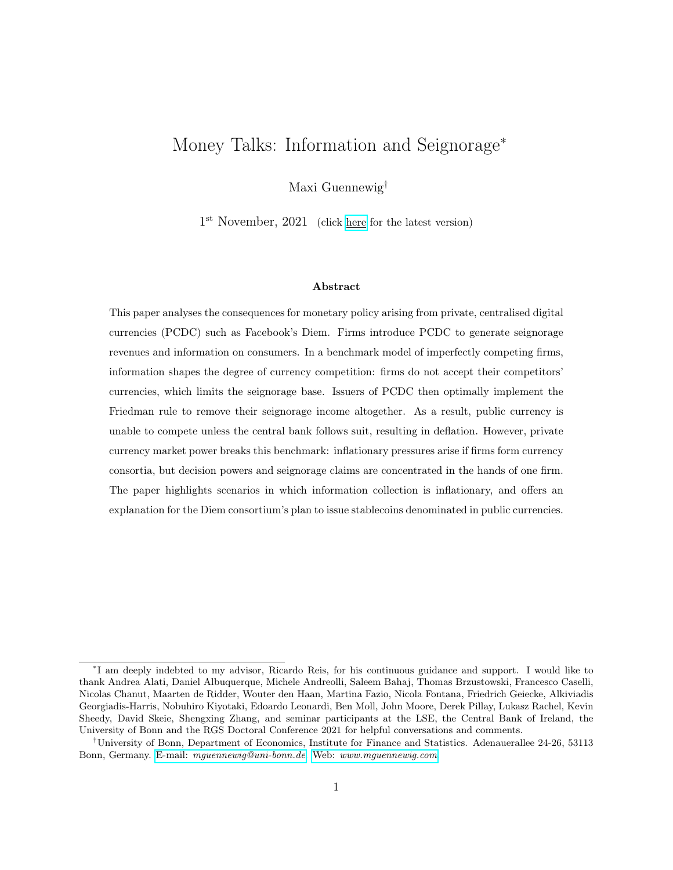problem becomes

$$
L_0 = \max_{fX_t, C_t, N_t, B_t, M_t, g_t} \sum_{t=0}^{\infty} \left\{ U(X_t) + (C_t)^{\alpha} N_t + \lambda_t \left( N_t + \frac{B_{t-1}}{P_t} + \frac{M_{t-1}}{P_t} + T_t^f X_t \right) + \nu_t \left( \frac{M_{t-1}}{P_t} \right) \rho_t C_t \right\}
$$
\n
$$
+ \nu_t \left( \frac{M_{t-1}}{P_t} \right) \tag{IE.2}
$$

where  $\lambda$  and  $\nu$  denote the Lagrange and Kuhn-Tucker multipliers corresponding to the budget and cash-in-advance constraints.<sup>43</sup> The first order conditions are unchanged relative to the full model, with the exception of (the now only type of) money  $M_t$ :

$$
\lambda_t \frac{1}{P_t} = \beta \frac{1}{P_{t+1}} [\lambda_{t+1} + \nu_{t+1}]
$$
 (IE.3)

Rearrange, and use  $\lambda_t = 1$  and  $Q_t = \beta(1 + \pi_{t+1})^{-1}$ , to find that

$$
\nu_{t+1} = \frac{1}{Q_t} \qquad 1 \tag{IE.4}
$$

The bond price is inversely related to the nominal interest rate:  $Q_t = \frac{1}{1+t}$  $\frac{1}{1+i_t}$ . The first order condition for consumption of the money good is given by

$$
u^{\theta}(C_t) = p_t(\lambda_t + \nu_t) = p_t(1 + i_t \quad 1) \qquad \qquad C_t = \left[\frac{\alpha}{p_t(1 + i_t \quad 1)}\right]^{\frac{1}{1-\alpha}} \qquad \text{(IE.5)}
$$

Comparing the demand schedule to the one obtained in the main body of the paper, the opportunity cost of having to hold Diem is now captured by the interest rate of the previous period. Turning to the firm's problem, write the flow budget constraint as

$$
t + \frac{M_t}{P_t} = T_t^f + \frac{B_t^{f,}}{P_t} \qquad (1 + i_{t-1})B_t^{f,}
$$
 (IE.6)

<sup>43</sup>For simplicity, I omit a money non-negativity constraint which never binds in equilibrium.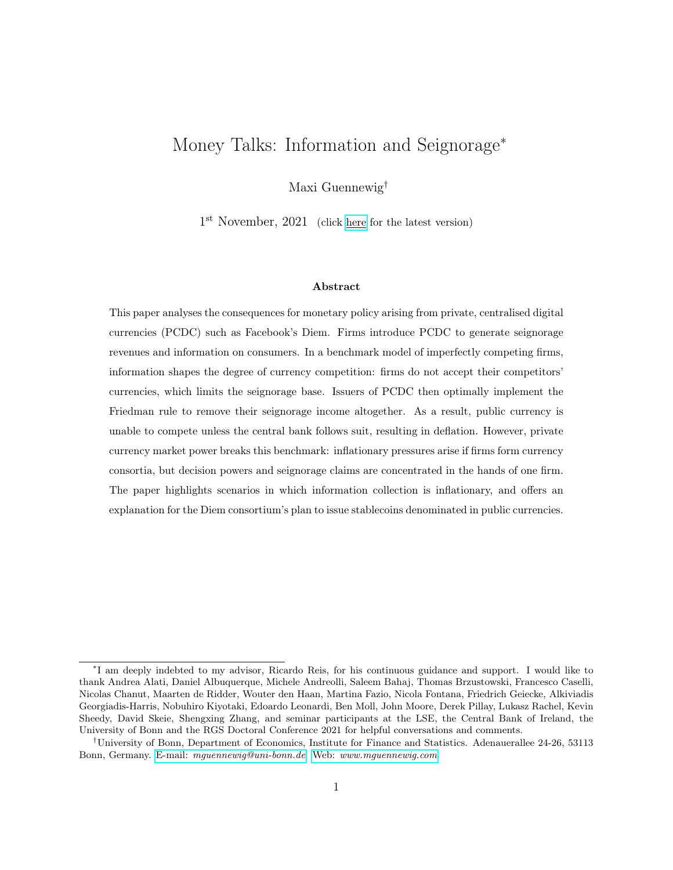The currency is backed according to  $M_t = B_t^{f}$ ,  $t_t^{f,}$  . Define  $m_t = \frac{M_{t-1}}{P}$  $\frac{a_{t-1}}{P_t}$  to find

$$
t + i_t \quad 1m_t = T_t^f \tag{IE.7}
$$

Consider a binding cash-in-advance constraint:  $m_t = p_t C(p_t, i_t, \tau)$ . Plugging this expression into the flow budget constraint shows that total profits are given by

$$
t = [p_t(1 + i_{t-1}) \quad 1] C(p_t, i_{t-1}) = [p_t(1 + i_{t-1}) \quad 1] \left[ \frac{\alpha}{p_t(1 + i_{t-1})} \right]^{\frac{1}{1-\alpha}}
$$
 (IE.8)

Firms choose an optimal seignorage-price tuple  $(p_t, i_t, \tau)$  satisfying

$$
p_t(1 + i_{t-1}) = p \tag{IE.9}
$$

This variant of the model delivers a solution that is equivalent to the monopoly solution in the main model: firms perfectly internalise the opportunity cost of holding money. Seignorage discounts here correspond to the previous period's interest rate. Importantly, firms can internalise the effect of non-zero interest rates when setting their price, thus manipulating consumer demand. If firms would be unable to do so, they can always implement a zero interest rate policy which, combined with real monopoly prices for the consumption good, also satisfies the above.

## E.2 Backing the currency according to  $M_t = Q_t B_t$

As in Appendix E.1, consider the model of a representative consumer and a firm that is the only supplier of the money good and currency. Begin with the flow budget constraint, but assume that the stablecoin is backed according to  $M_t = Q_t B_t^{f_t}$  $t^{J}$ . Effectively, firms spend all of the funds raised by issuing money in financial markets, and receive interest gains from bond purchases in the following period. Plugging in and rearranging, the flow budget constraint becomes

$$
t + \left[\frac{1}{Q_{t-1}} \quad 1\right] \frac{M_{t-1}}{P_t} = T_t^f \tag{IE.10}
$$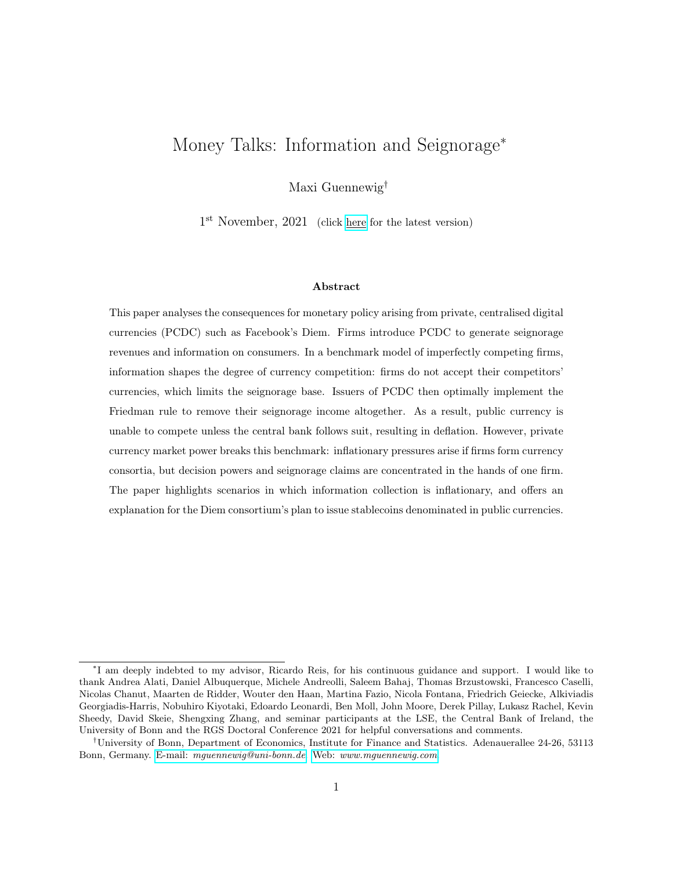Rearranging and using  $m_{t-1} = \frac{M_{t-1}}{P_{t-1}}$  $\frac{m_{t-1}}{P_{t-1}}$ , the expression is given by

$$
t + \left[\frac{1 - Q_{t-1}}{Q_{t-1}}\right] \frac{m_{t-1}}{1 + \pi_t} = T_t^f \tag{IE.11}
$$

The firm's problem becomes dynamic, but only in the sense that some revenues accrue with a one-period delay (see also Section 6.2 and Appendix G.2). Firms discount future profits at rate β, the appropriate discount factor implied by the consumer maximisation problem.<sup>44</sup> Since  $Q_t$  =  $\beta(1 + \pi_{t+1})^{-1}$  and  $\tau_t = 1 - Q_t$ , the profit maximisation problem can be written as

$$
\max_{p_t, i_t} \quad (p_t \quad 1) \ C_t(p_t, \tau_t) + \tau_t \ m_t \tag{IE.12}
$$

Plugging in the demand curve for  $C_t$  and the CIA constraint holding with equality, the problem becomes

$$
\max_{p_t, \tau_t} \left( p_t \left( 1 + \tau_t \right) - 1 \right) \left[ \frac{\alpha}{p_t \left( 1 + \tau_t \right)} \right]^{\frac{1}{1 - \alpha}} \tag{IE.13}
$$

Clearly, the solution perfectly matches the solution of the main specification.

## F Appendix to Section 5

# F.1 Derivation of optimal pricing strategies and of the upper bound on the Diem seignorage tax rate

Consider firm  $f$  's profit function:

$$
\begin{array}{rcl}\nf_t & = & (p_t^f & 1) C_t^f + (1 & \eta) \tau_t \left[ p_t^f C_t^f + p_t^f C_t^f \right]\n\end{array} \tag{IF.1}
$$

<sup>&</sup>lt;sup>44</sup>Firms are owned by the household and thus use their discount factor.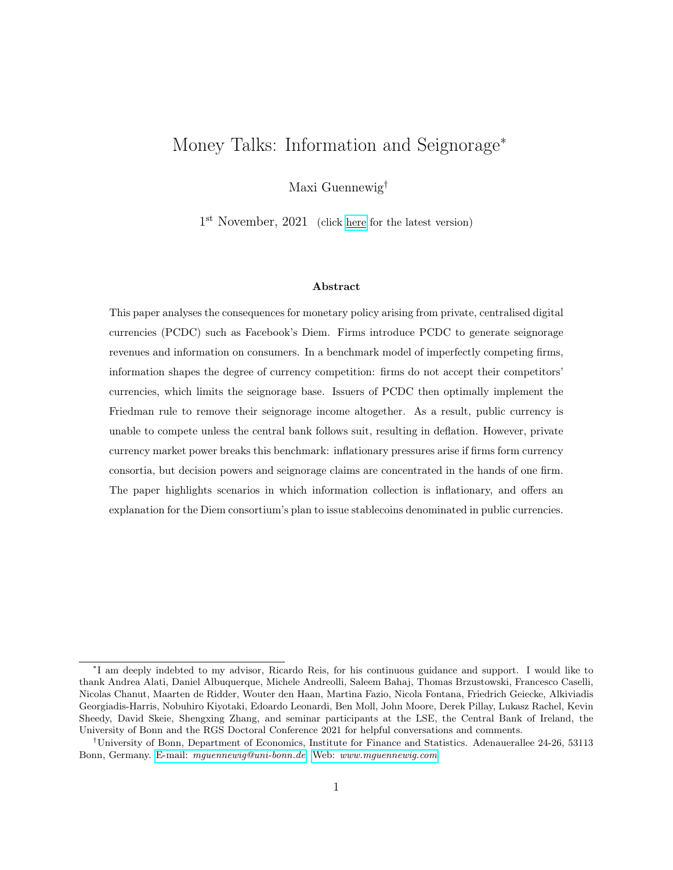The demand schedules, conditional on purchase using Diem, match the demand schedules of the previous sections:

$$
C_t^f(p_t^f, \tau_t) = \left[\frac{\alpha}{p_t^f(1 + \tau_t)}\right]^{\frac{1}{1 - \alpha}}
$$
(IF.2)

$$
C_t^f \left( \theta_{A,j}, p_t^f \right), \tau_t \left. \right) = \chi \theta_{A,j} \left[ \frac{\alpha}{p_t^f \left( 1 + \tau_t \right)} \right]^{\frac{1}{1-\alpha}} \tag{IF.3}
$$

Note that there is no heterogeneity among consumers in the first money good market. The firms' first order conditions then reveal that firms charge the following prices in Diem:

$$
p_t^f(\eta, \tau_t) = \frac{p}{1 + \eta \tau_t} \qquad p_t^f(\eta, \tau_t) = \frac{p}{1 + (1 - \eta)\tau_t}
$$
 (IF.4)

The equilibrium profit function of the consortium-leading firm  $f$  is then given by:

$$
f_t^f(\tau_t, \eta, \chi\theta) = \kappa \left[ \frac{1 + \eta \tau_t}{1 + \tau_t} \right]^{\frac{1}{1 - \alpha}} + \eta \tau_t \chi\theta \frac{\kappa}{1 - \alpha} \left[ \frac{\left[ 1 + (1 - \eta)\tau_t \right]^{\alpha}}{1 + \tau_t} \right]^{\frac{1}{1 - \alpha}}
$$
(IF.5)

where the first term captures firm f's product profits and seignorage revenues due to its own transactions; the second term captures the seignorage revenues generated by firm  $f$  which accrue to firm f. Firm f 's customer base is denoted by  $\theta$ .

To derive the lower bound on the Diem seignorage tax rate, begin by noting that firm f only wants to remain part of the consortium if they pay weakly lower seignorage-adjusted prices than their competitor—otherwise they do not sell any goods and prefer to only accept the Dollar.

$$
p_t^f(1+\tau_t) \qquad p(1+\tau_t^{\$}) \qquad (\text{IF.6})
$$

where the above expression imposed that firm g charges a real product price of  $p$  as by Equation  $(31)$ . Given firm f 's pricing strategy as above, rearrange to find

$$
\tau_t \qquad \frac{\tau_t^{\$}}{1 \quad (1 + \tau_t^{\$})(1 \quad \eta)} \tag{IF.7}
$$

whenever this expression's numerator is strictly greater than zero. If the numerator is weakly less than zero, Diem inflation is unconstrained by central bank policy.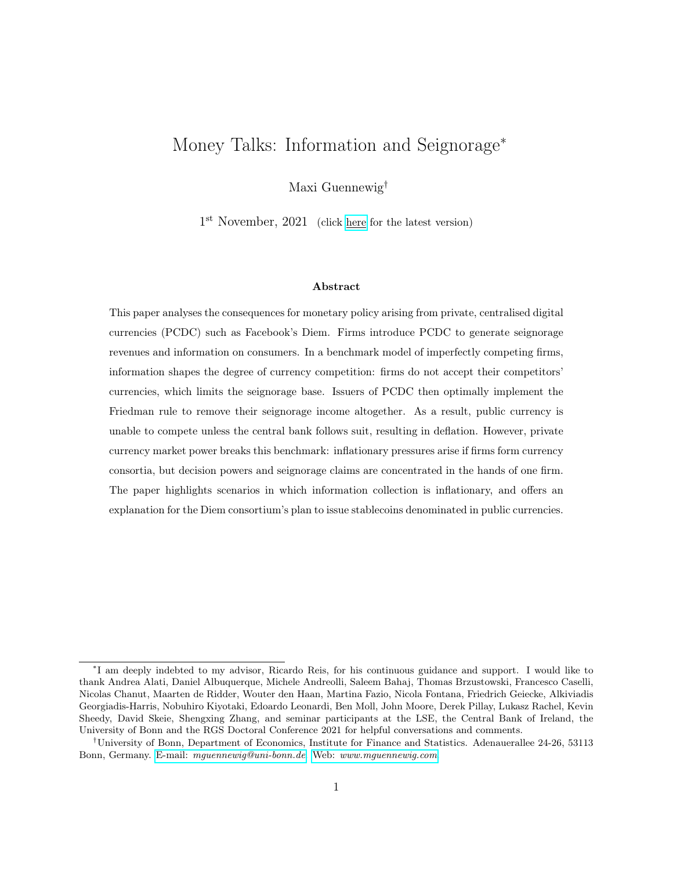#### F.2 Proof of Proposition 4

Given the firms' optimal pricing strategies, the consortium leader's profits are given by

$$
f, total = \frac{1-\alpha}{\alpha} \left(\frac{1+\eta\tau}{1+\tau}\right)^{\frac{1}{1-\alpha}} + \frac{\eta\tau \chi \theta}{\alpha} \left(\frac{[1+(1-\eta)\tau]^{\alpha}}{1+\tau}\right)^{\frac{1}{1-\alpha}}
$$
(IF.8)

Taking the first order condition with respect to  $\tau$ , and evaluating it at zero reveals that  $\tau = 0$ is a critical point whenever the consortium leader's dividend share corresponds to their transaction share  $(\eta = \varphi)$ . Evaluating the second order conditions at zero and imposing  $\eta = \varphi$  reveals that there exists a consortium leader transaction share  $\underline{\varphi}$  such that

- For all  $\varphi > \varphi$ ,  $\tau = 0$  is a maximum.
- For  $\varphi = \underline{\varphi}, \tau = 0$  is a saddle point.
- For all  $\varphi < \varphi$ ,  $\tau = 0$  is a minimum.

Since implementing a seignorage tax of zero for a sufficiently small transaction share minimises profits, it must be that there is a positive seignorage tax rate  $\tau > 0$  associated with higher profits. It follows that the consortium leader implements a positive seignorage tax if  $\varphi \leq \underline{\varphi}$  and their dividend share corresponds to their transaction share.

Next, I show that the optimal seignorage tax rate for concentrated ownership is strictly positive. Take the derivative of profits with respect to the Diem seignorage tax rate and evaluate it at zero. This derivative is strictly greater than zero whenever ownership is concentrated:

$$
\eta > \varphi \qquad \qquad \frac{d f, total}{d\tau} \bigg|_{\tau = 0} > 0 \qquad \qquad (IF.9)
$$

This implies that there is a  $\tau > 0$  in the neighbourhood of zero associated with larger profits. Hence it must be that the maximum of the profit function over the permissible domain of  $\tau$  is strictly positive.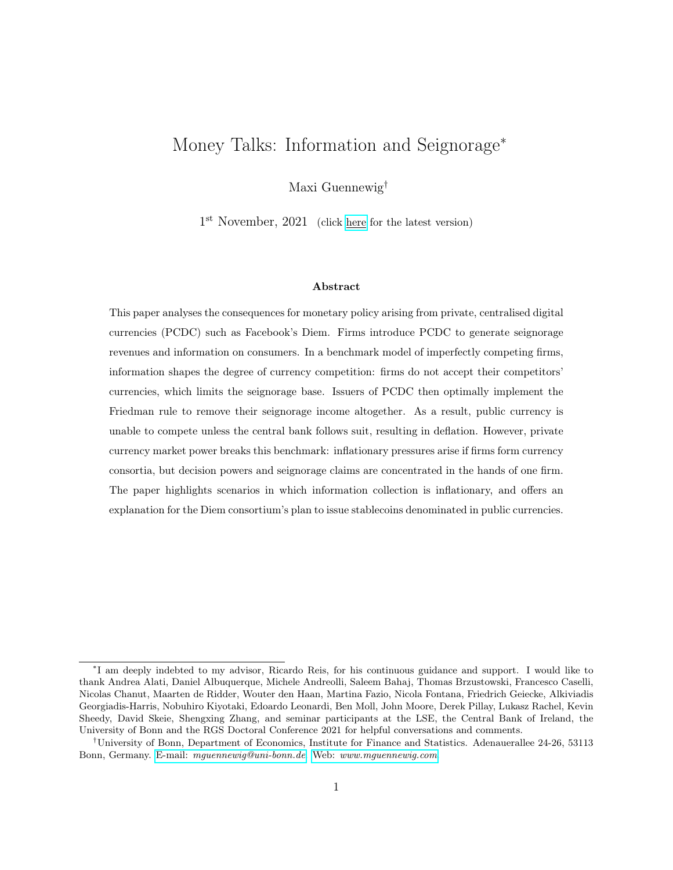## G Appendix to Section 6

### G.1 Formal model demonstrating Proposition 5: CBDC

Consider the following variant of the model, demonstrating how the central bank can escape the zero interest rate environment if the public currency has lost its role as medium of exchange. A representative consumer derives period utility according to

$$
U(X_t) + (C_t)^{\alpha} \qquad N_t \tag{IG.1}
$$

The model features two currencies: the Diem issued by firm  $f$ , and the Dollar issued by the central bank. The Dollar here is a digital currency that pays interest at rate  $i_t^{M^{\$}}$ . The budget constraint is thus given by

$$
X_t + p_t C_t + \frac{Q_t^{\$} B_t^{\$}}{P_t} + \frac{e_t Q_t B_t}{P_t} + \frac{M_t^{\$}}{P_t} + \frac{e_t M_t}{P_t} \quad w_t N_t + \frac{B_t^{\$}}{P_t} + \frac{e_t B_t}{P_t} + \frac{(1 + i_t^M_{t-1}^{\$}) M_t^{\$}}{P_t} + \frac{e_t M_t}{P_t} \tag{IG.2}
$$

Firms produce according to the linear production functions as in the main body of the text. The credit market is perfectly competitive, and the real wage is again pinned down as  $w_t = 1$ . Firm f supplies the money good as a monopolist at price  $p_t$  and does not accept the Dollar in exchange. The consumer thus faces a CIA constraint as below:

$$
p_t C_t \quad \frac{e_t M_t}{P_t} \tag{IG.3}
$$

Real money balances in both currencies need to be weakly positive at all points in time:

$$
\frac{e_t M_t}{P_t}, \frac{M_t^{\$}}{P_t} \qquad 0 \tag{IG.4}
$$

The resulting optimality conditions are largely unchanged. The first order condition for Dollar bonds simplifies to

$$
Q_t^{\$} = \beta (1 + \pi_{t+1}^{\$})^{-1} \tag{IG.5}
$$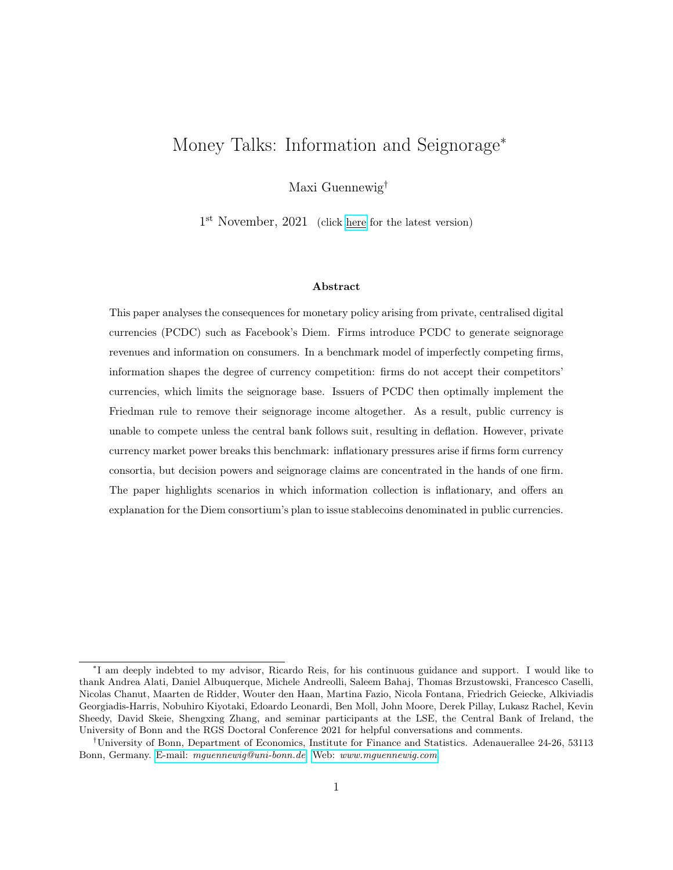The simplified first order condition for Dollar balances is given by

$$
1 = \beta \frac{1 + i_t^{M^{\$}}}{1 + \pi_{t+1}^{\$}} + \rho_t^{\$}
$$
 (IG.6)

where  $\rho_t^{\$}$  is the multiplier of the non-negativity constraint on real Dollar balances. Combining the two equations yields

$$
1 = Q_t^{\$} (1 + i_t^{M^{\$}}) + \rho_t^{\$} \tag{IG.7}
$$

The Kuhn-Tucker conditions for Dollar balances imply that

$$
\frac{M_t^{\$}}{P_t} \rho_t^{\$} = 0 \tag{IG.8}
$$

And hence positive real money balances, for which  $\rho_t^{\$} = 0$ , require that

$$
Q_t^{\$} (1 + i_t^{M^{\$}}) = 1 \t\t j \t\t i_t = i_t^{M^{\$}} \t\t (IG.9)
$$

For a one-sided introduction, the main body of text established that the issuer of PCDC charges a seignorage-adjusted price satisfying

$$
p^f(1 + \tau_t) = p \tag{IG.10}
$$

While still achieving monopoly rents, the firm fully removes the opportunity cost of holding money. A firm that transacts in the public currency does not internalise the opportunity cost of holding Dollars and charges a real price  $p^g = p$ . Thus, no consumer visits firm g if the opportunity cost of holding Dollars is positive. In Section 4, the central bank did not have the option to pay interest on its money and therefore was forced to set the nominal interest rate on bonds to zero. Consider now the problem for the consumer as in subsections 4.1.1 and 4.2 but with two currencies in circulation, the Dollar and Diem. The Dollar pays interest, and the period budget constraint is given by Equation (IG.2). Firm g only accepts the Dollar, and so  $(\gamma^{g,\$}, \gamma^{g,\$}) = (1,0)$ . Having visited their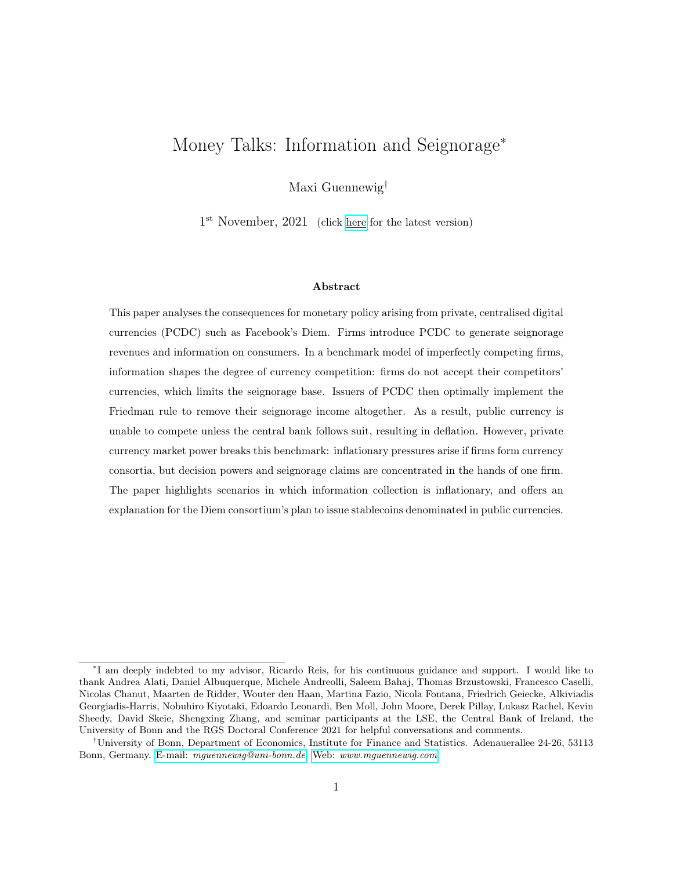shop, the first order condition for Dollar holdings for a middle-aged consumer becomes

$$
1 = \beta \frac{(1 + i_t^{M^{\$}})P_t}{P_{t+1}} + \nu_{m,t} + \rho_{m,t}^{\$} \qquad (IG.11)
$$

where  $\nu$  and  $\rho$  denote the Kuhn-Tucker multipliers of the CIA and non-negativity constraints. Having visited firm  $g$ , the consumer can only purchase goods from this firm and thus holds positive real Dollar balances. Combining with the first order condition for Dollar-denominated bonds, the above becomes

1 Q \$ t (1 + i M\$ t ) = νm,t (IG.12)

First of all,  $Q_t^{\$}(1 + i_t^M)^{\$}) = 1$  already implies that  $\nu_{m,t} = 0$ . The CIA constraint does not bind: there is no opportunity cost of holding Dollars that pay sufficient interest and the constraint forcing money holdings is slack. Combining Equation (IG.12) with the first order conditions outlined in Appendix D.2, the consumer's money good demand becomes

$$
C_{m,t}(p_t^g, Q_t^{\$}, i_t^{M^{\$}}) = \theta_j \left[ \frac{\alpha}{p_t^g \left(2 - Q_t^{\$}(1 + i_t^{M^{\$}})\right)} \right]^{\frac{1}{1 - \alpha}}
$$
(IG.13)

The seignorage-adjusted price face by consumer j at firm g is thus given by  $p_t^g$  $\frac{g}{t} \left(2 \quad Q_t^{\$}(1 + i_t^{M^{\$}})\right).$ Consumers visit firm  $g$ 's store, leading to positive demand for Dollar goods in equilibrium, if

$$
p_t^g\left(2 \tQ_t^{\$}(1+i_t^{M^{\$}})\right) = p\left(2 \tQ_t^{\$}(1+i_t^{M^{\$}})\right) \t p^f(1+\tau_t) = p \t(G.14)
$$

which requires  $Q_t^{\$}(1 + i_t^{M^{\$}}) = 1$ , or equivalently,  $i_t^{\$} = i_t^{M^{\$}}$ .

### G.2 Derivations for subsection 6.2: Capital gains

Consider the flow budget constraint of a firm that issues Diem currency,  $M_t$  , and holds household bonds denominated in the Dollar:

$$
f_t + \frac{e_t (M_t \cdot S - M_t \cdot S)}{P_t} = T_t^f + \frac{Q_t^{\$} B_t^f - B_t^f}{P_t}
$$
 (IG.15)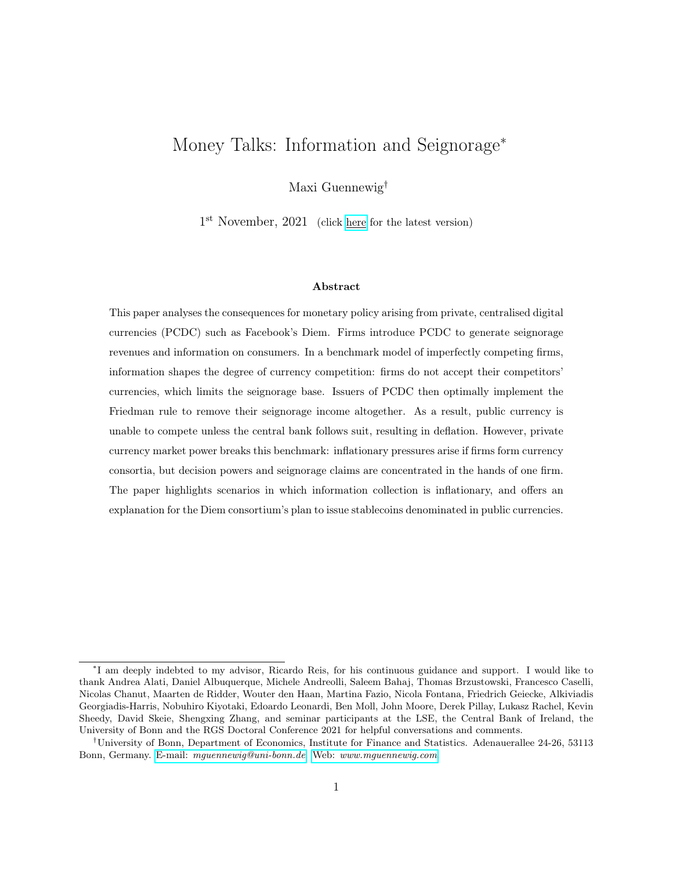where  $f \phi$  denote firm f's product profits. As before, there is full backing of the currency:  $e_t M_t$ <sup>, S</sup> =  $B_t^f$ <sup>f</sup><sub>t</sub>. Plugging in the market clearing condition for Diem,  $M_t$ <sup>, S</sup> =  $M_t$ , the Diem exchange rate,  $e_t = \frac{P_t}{P_t}$  $\frac{P_t}{P_t}$  , and the definition of real Diem balances,  $m_t~=~\frac{e_t~M_t}{P_t}$  $\frac{M_t}{P_t}$ , the flow budget constraint becomes:

$$
\frac{f}{t} + \tau_t^{\$} m_t + \left[1 - \frac{e_t}{e_{t-1}}\right] \frac{e_{t-1} M_{t-1}}{P_t} = T_t^f \tag{IG.16}
$$

By the definitions of the exchange rate, the inflation rates in both currencies and real Diem balances, the above becomes

$$
\frac{f}{t} + \tau_t^{\$} m_t + \left[ 1 - \frac{1 + \tau_t^{\$}}{1 + \tau_t} \right] \frac{m_{t-1}}{1 + \tau_t^{\$}} = T_t^f \tag{IG.17}
$$

From consumers first order conditions, I obtain  $Q_t^{\$} = \beta(1 + \pi_t^{\$})^{-1}$ . Since this economy does not feature Diem-denominated bonds, define  $Q_t = \beta(1 + \pi_{t+1})^{-1}$ . Effectively, if a Diem bond would exist, its price would account for the time rate of preferences and the change in the value of Diem relative to the numeraire. Using the definition of seignorage tax rates  $\tau$ , I obtain

$$
\frac{f}{t} + \tau_t^{\$} m_t + \frac{\tau_{t-1} \tau_t^{\$} }{\beta} m_{t-1} = T_t^f \tag{IG.18}
$$

where the  $\frac{\tau_{t-1}}{\beta} \frac{\tau_{t-1}^{\$}}{\beta}$  captures the capital gains due to inflation rate differentials on the two currencies. Note how higher inflation on Diem, or equivalently  $\tau_{t-1}^{\$} < \tau_{t-1}$ , yields capital gains in the following period. The firm's profit maximisation problem is now dynamic: a choice of  $(Q_t, p_t^f)$  $_{t}^{J}$ ) affects both profits today and tomorrow. Since there is no meaningful economic connection between time periods other than the fact that some profits only accrue tomorrow, I the firm's total profit maximisation problem becomes:

$$
\begin{aligned}\n\max_{p_t^f, \tau_t} \quad & \quad t^{f, total} = \max_{p_t^f, \tau_t} \quad t^{f} + \tau_t^{\$} m_t + \beta \frac{\tau_t}{\beta} \frac{\tau_t^{\$}}{\beta} m_t \\
&= \max_{p_t^f, \tau_t} \quad t^{f} + \tau_t \ m_t \\
&= \max_{p_t^f, \tau_t} \left( p_t^f (1 + \tau_t) \right) \left[ \frac{\alpha \theta^{1-\alpha}}{p_t^f (1 + \tau_t)} \right]^{\frac{1}{1-\alpha}} \end{aligned} \tag{IG.19}
$$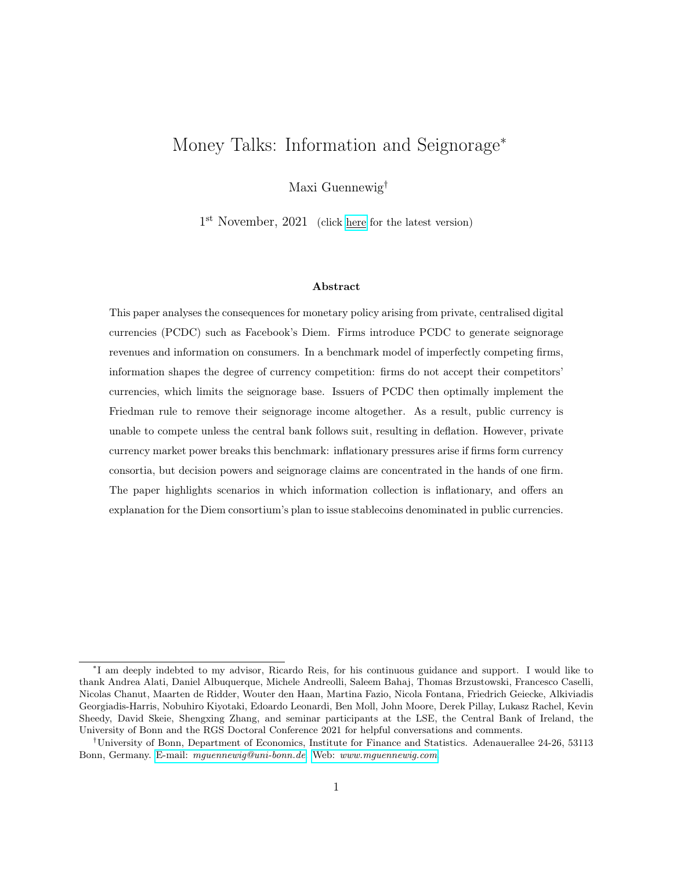where tomorrow's profits are discounted at rate  $\beta$ . The problem and also its solution are exactly as before.

G.3 Derivations for subsection 6.3: Sales taxes payable in public currency Consider firm  $f$ 's flow budget constraint:

$$
\frac{f}{t} + \frac{e_t \left(M_t^{S,} M_t^{S,} \right)}{P_t} = T_t^f + \frac{Q_t^{\$} B_t^f B_t^f}{P_t} + \frac{M_t^{f,\$} M_t^{f,\$}}{P_t} \tag{IG.20}
$$

Diem is backed using dollar-denominated assets:  $e_t M_t^{S_t} = B_t^f + M_t^{f, \$}$  $t^{J,\mathfrak{d}}$ . Since the firm achieves seignorage returns when holding bonds, the cash-tax constraint always binds. Thus, the firm holds government currency and bonds according to

$$
\lambda \frac{e_t M_t^{S}}{P_t} = \frac{M_t^{f,\$}}{P_t} \qquad (1 \quad \lambda) \frac{e_t M_t^{S}}{P_t} = \frac{B_t^f}{P_t} \qquad (IG.21)
$$

The firm's profit function is derived in analogy to Appendix G.2. Plugging in the firm's government currency and bond holdings, using definitions as above and rearranging, the flow budget constraint becomes:

$$
\frac{f}{t} + (1 - \lambda)\tau_t^{\$}m_t + \left[1 - \frac{e_t}{e_{t-1}}\right] \frac{e_{t-1}M_{t-1}}{P_t} = T_t^f \tag{IG.22}
$$

Direct seignorage revenues now only accrue on a fraction  $(1 \lambda)$  of Diem balances, since a fraction  $\lambda$  need to be held in non-interest-bearing public currency. Following the same steps as before, the firm's flow budget constraint becomes

$$
f_{t} + (1 - \lambda)\tau_{t}^{s}m_{t} + \frac{\tau_{t-1}}{\beta}m_{t-1} = T_{t}^{f}
$$
 (IG.23)

Again, the firm's profits are only dynamic in the sense that some profits accrue with a one-period delay. The profit function is thus given by

$$
f_t^{total} = \left[ p_t^f(1 \lambda) \quad 1 \right] C(\theta_{A,j}, p_t^f, \tau_t) + \left[ (1 \lambda) \tau_t^{\$} + (\tau_t \tau_t^{\$}) \right] p_t^f C(\theta_{A,j}, p_t^f, \tau_t) \quad (IG.24)
$$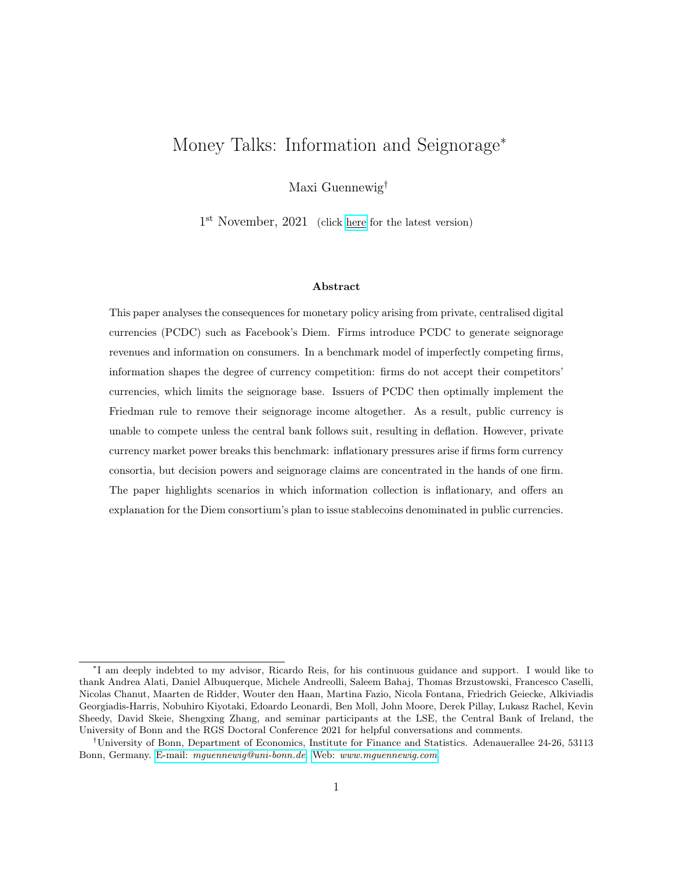which yields the expression as in the main body of text. Firm  $f$  optimally charges a real price given by

$$
p_t^f = \frac{\alpha}{\left[ (1 - \lambda) + \tau_t - \lambda \tau_t^{\$} \right]}
$$
 (IG.25)

Plugging this expression into the profit function and the consumer's money good consumption function, reveals both are increasing in  $\tau_t$  :

$$
f = \kappa \theta_{A,j} \left[ 1 \quad \lambda \frac{1 + \tau_t^{\$}}{1 + \tau_t} \right]^{\frac{1}{1 - \alpha}} \qquad C_t = \theta_{A,j} \left[ 1 \quad \lambda \frac{1 + \tau_t^{\$}}{1 + \tau_t} \right]^{\frac{1}{1 - \alpha}} \qquad (IG.26)
$$

where  $\kappa$  is constant as in the main body of text. It follows that Diem monetary policy is characterised by the corner solution  $\tau_t = 1$ , corresponding to infinite inflation.

The competitor is fully priced out of the market. Given the tax, firm g charges a seignorageadjusted price satisfying

$$
p^g(1+\tau_t^{\$}) = \frac{1+\tau_t^{\$}}{\alpha(1-\lambda)}
$$
 (IG.27)

As  $\tau_t$  ! 1, firm f charges a seignorage-adjusted price of

$$
p_t^f(1 + \tau_t) / \frac{2}{\alpha[2 + \lambda(1 + \tau_t^{\$})]}
$$
 (IG.28)

Comparing the two expressions reveals that firm  $g$  can only compete if two conditions are met: a) in the absence of a tax ( $\lambda = 0$ ); and b) if  $\tau_t^{\$} = 0$ . Effectively, there cannot be an opportunity cost to hold Dollars, and there cannot be capital gains discounts that firm  $f$  provides but firm  $g$  does not.

#### G.4 Derivations for subsection 6.3: Macroprudential policies

Diem firm  $f$  faces a macroprudential constraint:

$$
\lambda e_t M_t^{S,} \qquad M_t^{f, \$} \tag{IG.29}
$$